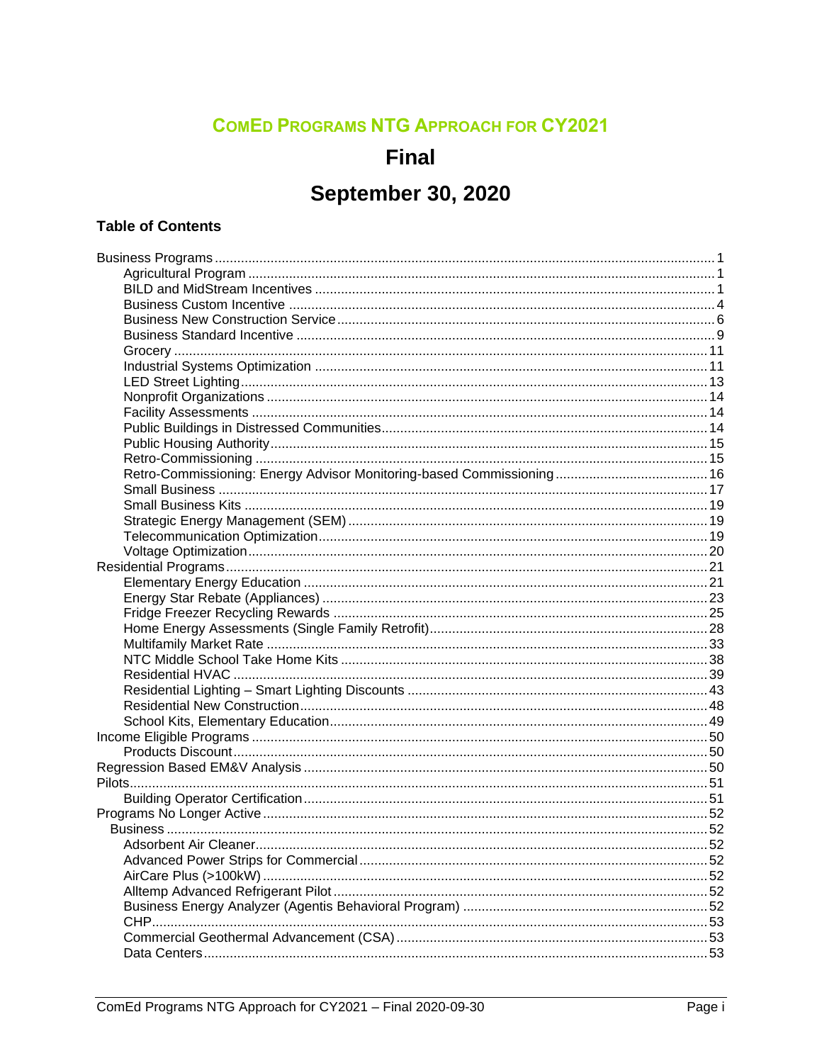### **COMED PROGRAMS NTG APPROACH FOR CY2021**

### **Final**

### **September 30, 2020**

#### **Table of Contents**

| Adsorbent Air Cleaner |  |
|-----------------------|--|
|                       |  |
|                       |  |
|                       |  |
|                       |  |
|                       |  |
|                       |  |
|                       |  |
|                       |  |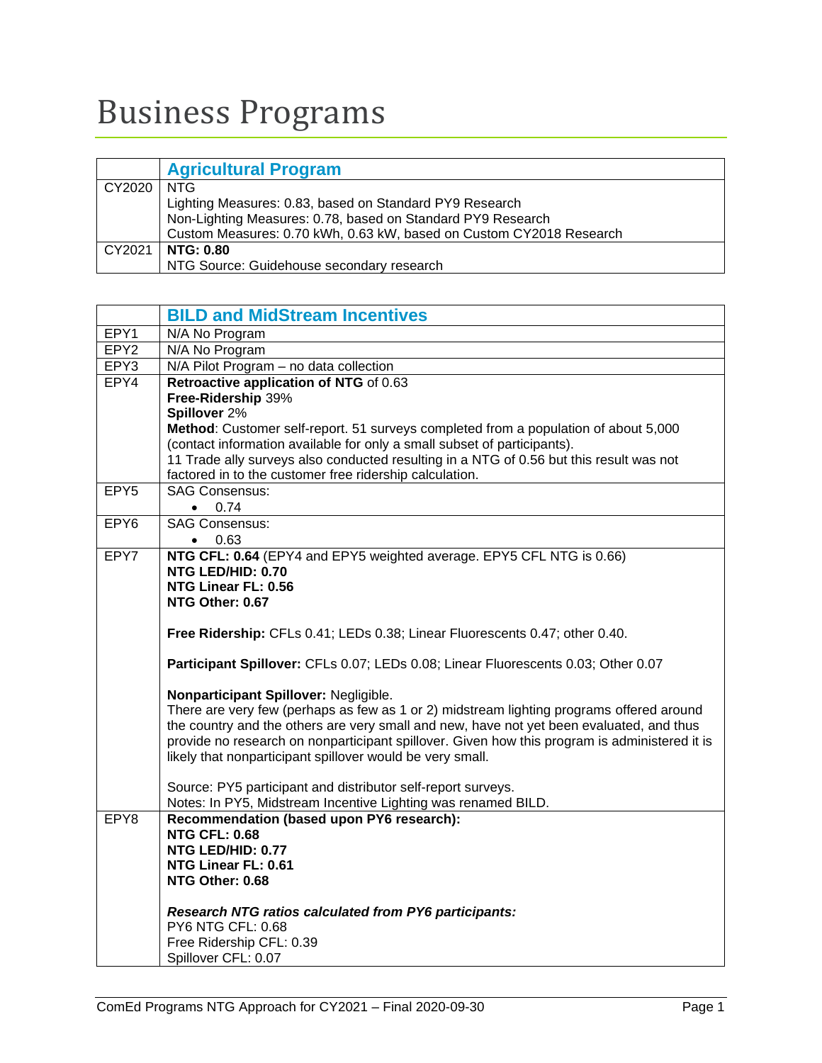# <span id="page-2-0"></span>Business Programs

<span id="page-2-1"></span>

|              | <b>Agricultural Program</b>                                         |
|--------------|---------------------------------------------------------------------|
| CY2020   NTG |                                                                     |
|              | Lighting Measures: 0.83, based on Standard PY9 Research             |
|              | Non-Lighting Measures: 0.78, based on Standard PY9 Research         |
|              | Custom Measures: 0.70 kWh, 0.63 kW, based on Custom CY2018 Research |
| CY2021       | NTG: 0.80                                                           |
|              | NTG Source: Guidehouse secondary research                           |

<span id="page-2-2"></span>

|                  | <b>BILD and MidStream Incentives</b>                                                          |  |  |  |  |  |  |
|------------------|-----------------------------------------------------------------------------------------------|--|--|--|--|--|--|
| EPY1             | N/A No Program                                                                                |  |  |  |  |  |  |
| EPY <sub>2</sub> | N/A No Program                                                                                |  |  |  |  |  |  |
| EPY3             | N/A Pilot Program - no data collection                                                        |  |  |  |  |  |  |
| EPY4             | Retroactive application of NTG of 0.63                                                        |  |  |  |  |  |  |
|                  | Free-Ridership 39%                                                                            |  |  |  |  |  |  |
|                  | Spillover 2%                                                                                  |  |  |  |  |  |  |
|                  | Method: Customer self-report. 51 surveys completed from a population of about 5,000           |  |  |  |  |  |  |
|                  | (contact information available for only a small subset of participants).                      |  |  |  |  |  |  |
|                  | 11 Trade ally surveys also conducted resulting in a NTG of 0.56 but this result was not       |  |  |  |  |  |  |
|                  | factored in to the customer free ridership calculation.                                       |  |  |  |  |  |  |
| EPY <sub>5</sub> | <b>SAG Consensus:</b>                                                                         |  |  |  |  |  |  |
|                  | $\bullet$ 0.74                                                                                |  |  |  |  |  |  |
| EPY <sub>6</sub> | <b>SAG Consensus:</b>                                                                         |  |  |  |  |  |  |
|                  | $\bullet$ 0.63                                                                                |  |  |  |  |  |  |
| EPY7             | NTG CFL: 0.64 (EPY4 and EPY5 weighted average. EPY5 CFL NTG is 0.66)                          |  |  |  |  |  |  |
|                  | NTG LED/HID: 0.70                                                                             |  |  |  |  |  |  |
|                  | NTG Linear FL: 0.56                                                                           |  |  |  |  |  |  |
|                  | NTG Other: 0.67                                                                               |  |  |  |  |  |  |
|                  |                                                                                               |  |  |  |  |  |  |
|                  | Free Ridership: CFLs 0.41; LEDs 0.38; Linear Fluorescents 0.47; other 0.40.                   |  |  |  |  |  |  |
|                  | Participant Spillover: CFLs 0.07; LEDs 0.08; Linear Fluorescents 0.03; Other 0.07             |  |  |  |  |  |  |
|                  |                                                                                               |  |  |  |  |  |  |
|                  | Nonparticipant Spillover: Negligible.                                                         |  |  |  |  |  |  |
|                  | There are very few (perhaps as few as 1 or 2) midstream lighting programs offered around      |  |  |  |  |  |  |
|                  | the country and the others are very small and new, have not yet been evaluated, and thus      |  |  |  |  |  |  |
|                  | provide no research on nonparticipant spillover. Given how this program is administered it is |  |  |  |  |  |  |
|                  | likely that nonparticipant spillover would be very small.                                     |  |  |  |  |  |  |
|                  |                                                                                               |  |  |  |  |  |  |
|                  | Source: PY5 participant and distributor self-report surveys.                                  |  |  |  |  |  |  |
|                  | Notes: In PY5, Midstream Incentive Lighting was renamed BILD.                                 |  |  |  |  |  |  |
| EPY8             | Recommendation (based upon PY6 research):<br><b>NTG CFL: 0.68</b>                             |  |  |  |  |  |  |
|                  | NTG LED/HID: 0.77                                                                             |  |  |  |  |  |  |
|                  | NTG Linear FL: 0.61                                                                           |  |  |  |  |  |  |
|                  | NTG Other: 0.68                                                                               |  |  |  |  |  |  |
|                  |                                                                                               |  |  |  |  |  |  |
|                  | <b>Research NTG ratios calculated from PY6 participants:</b>                                  |  |  |  |  |  |  |
|                  | PY6 NTG CFL: 0.68                                                                             |  |  |  |  |  |  |
|                  | Free Ridership CFL: 0.39                                                                      |  |  |  |  |  |  |
|                  | Spillover CFL: 0.07                                                                           |  |  |  |  |  |  |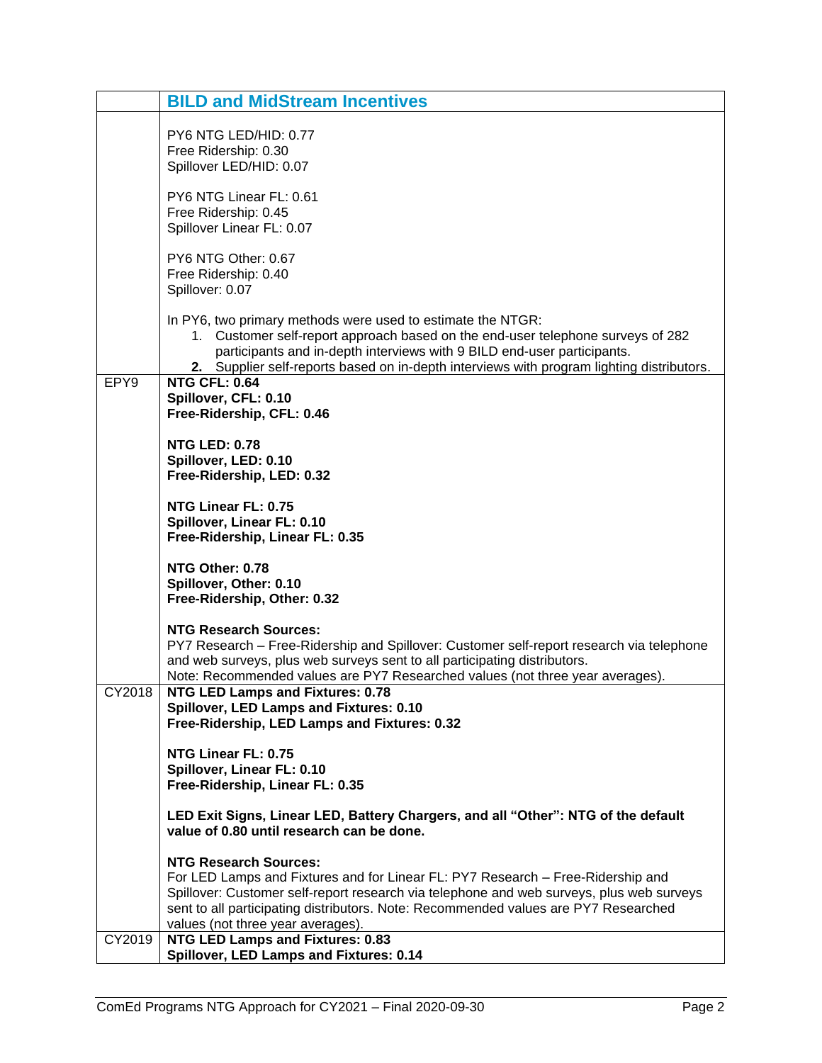|        | <b>BILD and MidStream Incentives</b>                                                                                                                                                                                                                                                                                                    |  |  |  |  |  |
|--------|-----------------------------------------------------------------------------------------------------------------------------------------------------------------------------------------------------------------------------------------------------------------------------------------------------------------------------------------|--|--|--|--|--|
|        | PY6 NTG LED/HID: 0.77<br>Free Ridership: 0.30<br>Spillover LED/HID: 0.07                                                                                                                                                                                                                                                                |  |  |  |  |  |
|        | PY6 NTG Linear FL: 0.61<br>Free Ridership: 0.45<br>Spillover Linear FL: 0.07                                                                                                                                                                                                                                                            |  |  |  |  |  |
|        | PY6 NTG Other: 0.67<br>Free Ridership: 0.40<br>Spillover: 0.07                                                                                                                                                                                                                                                                          |  |  |  |  |  |
|        | In PY6, two primary methods were used to estimate the NTGR:<br>1. Customer self-report approach based on the end-user telephone surveys of 282<br>participants and in-depth interviews with 9 BILD end-user participants.<br>2. Supplier self-reports based on in-depth interviews with program lighting distributors.                  |  |  |  |  |  |
| EPY9   | <b>NTG CFL: 0.64</b><br>Spillover, CFL: 0.10<br>Free-Ridership, CFL: 0.46                                                                                                                                                                                                                                                               |  |  |  |  |  |
|        | <b>NTG LED: 0.78</b><br>Spillover, LED: 0.10<br>Free-Ridership, LED: 0.32                                                                                                                                                                                                                                                               |  |  |  |  |  |
|        | NTG Linear FL: 0.75<br>Spillover, Linear FL: 0.10<br>Free-Ridership, Linear FL: 0.35                                                                                                                                                                                                                                                    |  |  |  |  |  |
|        | NTG Other: 0.78<br>Spillover, Other: 0.10<br>Free-Ridership, Other: 0.32                                                                                                                                                                                                                                                                |  |  |  |  |  |
|        | <b>NTG Research Sources:</b><br>PY7 Research - Free-Ridership and Spillover: Customer self-report research via telephone<br>and web surveys, plus web surveys sent to all participating distributors.<br>Note: Recommended values are PY7 Researched values (not three year averages).                                                  |  |  |  |  |  |
| CY2018 | <b>NTG LED Lamps and Fixtures: 0.78</b><br>Spillover, LED Lamps and Fixtures: 0.10<br>Free-Ridership, LED Lamps and Fixtures: 0.32                                                                                                                                                                                                      |  |  |  |  |  |
|        | NTG Linear FL: 0.75<br>Spillover, Linear FL: 0.10<br>Free-Ridership, Linear FL: 0.35                                                                                                                                                                                                                                                    |  |  |  |  |  |
|        | LED Exit Signs, Linear LED, Battery Chargers, and all "Other": NTG of the default<br>value of 0.80 until research can be done.                                                                                                                                                                                                          |  |  |  |  |  |
|        | <b>NTG Research Sources:</b><br>For LED Lamps and Fixtures and for Linear FL: PY7 Research - Free-Ridership and<br>Spillover: Customer self-report research via telephone and web surveys, plus web surveys<br>sent to all participating distributors. Note: Recommended values are PY7 Researched<br>values (not three year averages). |  |  |  |  |  |
| CY2019 | <b>NTG LED Lamps and Fixtures: 0.83</b><br>Spillover, LED Lamps and Fixtures: 0.14                                                                                                                                                                                                                                                      |  |  |  |  |  |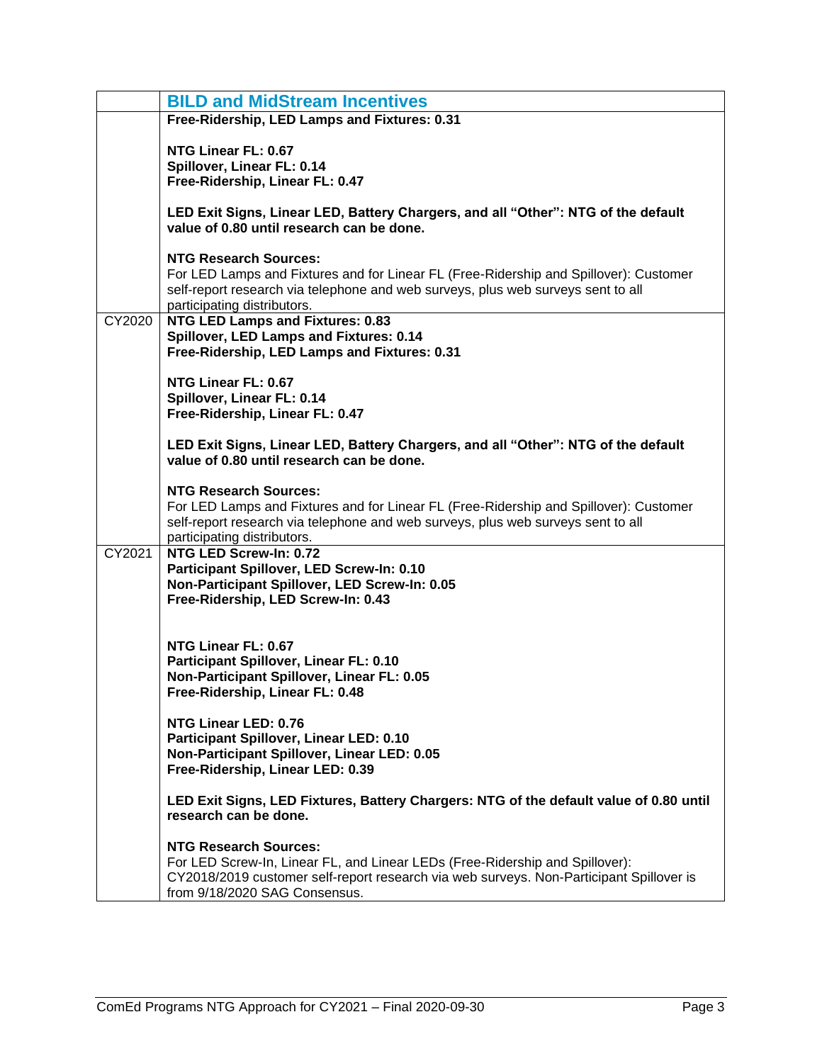|        | <b>BILD and MidStream Incentives</b>                                                                                                                                                                                                     |  |  |  |  |  |  |
|--------|------------------------------------------------------------------------------------------------------------------------------------------------------------------------------------------------------------------------------------------|--|--|--|--|--|--|
|        | Free-Ridership, LED Lamps and Fixtures: 0.31                                                                                                                                                                                             |  |  |  |  |  |  |
|        | NTG Linear FL: 0.67<br>Spillover, Linear FL: 0.14<br>Free-Ridership, Linear FL: 0.47                                                                                                                                                     |  |  |  |  |  |  |
|        | LED Exit Signs, Linear LED, Battery Chargers, and all "Other": NTG of the default<br>value of 0.80 until research can be done.                                                                                                           |  |  |  |  |  |  |
|        | <b>NTG Research Sources:</b><br>For LED Lamps and Fixtures and for Linear FL (Free-Ridership and Spillover): Customer<br>self-report research via telephone and web surveys, plus web surveys sent to all<br>participating distributors. |  |  |  |  |  |  |
| CY2020 | <b>NTG LED Lamps and Fixtures: 0.83</b><br>Spillover, LED Lamps and Fixtures: 0.14<br>Free-Ridership, LED Lamps and Fixtures: 0.31                                                                                                       |  |  |  |  |  |  |
|        | NTG Linear FL: 0.67<br>Spillover, Linear FL: 0.14<br>Free-Ridership, Linear FL: 0.47                                                                                                                                                     |  |  |  |  |  |  |
|        | LED Exit Signs, Linear LED, Battery Chargers, and all "Other": NTG of the default<br>value of 0.80 until research can be done.                                                                                                           |  |  |  |  |  |  |
|        | <b>NTG Research Sources:</b><br>For LED Lamps and Fixtures and for Linear FL (Free-Ridership and Spillover): Customer<br>self-report research via telephone and web surveys, plus web surveys sent to all<br>participating distributors. |  |  |  |  |  |  |
| CY2021 | NTG LED Screw-In: 0.72<br>Participant Spillover, LED Screw-In: 0.10<br>Non-Participant Spillover, LED Screw-In: 0.05<br>Free-Ridership, LED Screw-In: 0.43                                                                               |  |  |  |  |  |  |
|        | NTG Linear FL: 0.67<br>Participant Spillover, Linear FL: 0.10<br>Non-Participant Spillover, Linear FL: 0.05<br>Free-Ridership, Linear FL: 0.48                                                                                           |  |  |  |  |  |  |
|        | NTG Linear LED: 0.76<br>Participant Spillover, Linear LED: 0.10<br>Non-Participant Spillover, Linear LED: 0.05<br>Free-Ridership, Linear LED: 0.39                                                                                       |  |  |  |  |  |  |
|        | LED Exit Signs, LED Fixtures, Battery Chargers: NTG of the default value of 0.80 until<br>research can be done.                                                                                                                          |  |  |  |  |  |  |
|        | <b>NTG Research Sources:</b><br>For LED Screw-In, Linear FL, and Linear LEDs (Free-Ridership and Spillover):<br>CY2018/2019 customer self-report research via web surveys. Non-Participant Spillover is<br>from 9/18/2020 SAG Consensus. |  |  |  |  |  |  |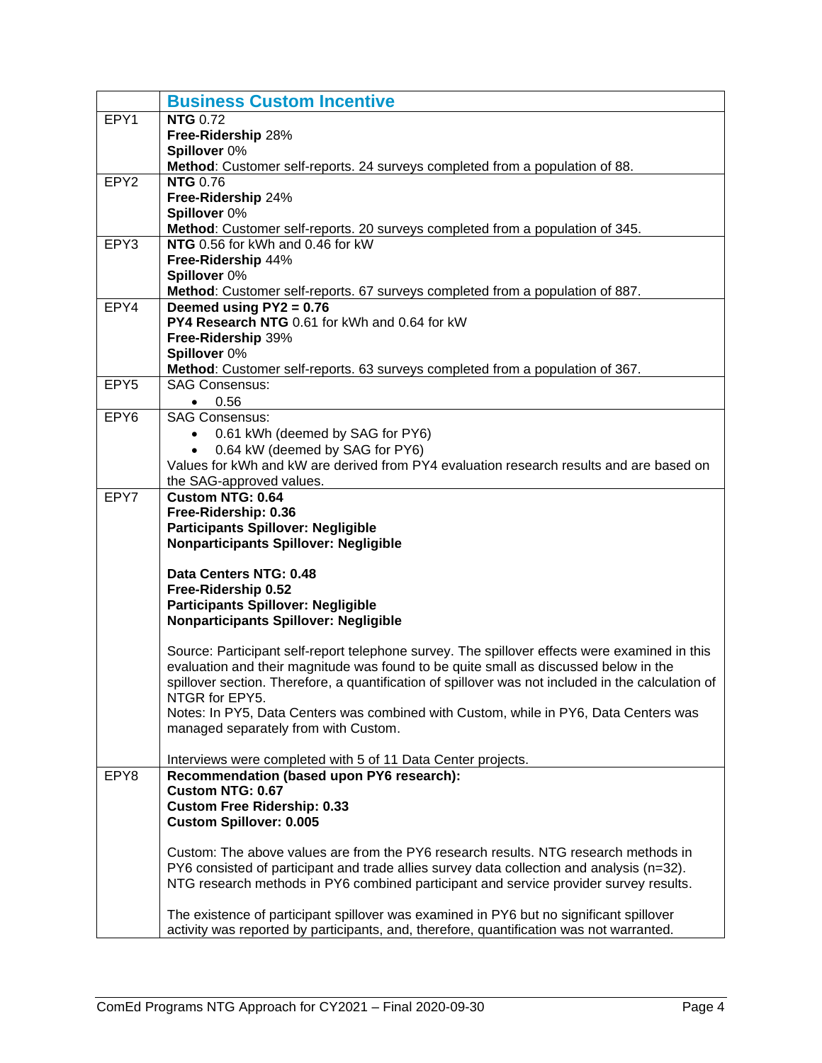<span id="page-5-0"></span>

|                  | <b>Business Custom Incentive</b>                                                                          |  |  |  |  |  |  |
|------------------|-----------------------------------------------------------------------------------------------------------|--|--|--|--|--|--|
| EPY1             | <b>NTG 0.72</b>                                                                                           |  |  |  |  |  |  |
|                  | Free-Ridership 28%                                                                                        |  |  |  |  |  |  |
|                  | Spillover 0%                                                                                              |  |  |  |  |  |  |
|                  | Method: Customer self-reports. 24 surveys completed from a population of 88.                              |  |  |  |  |  |  |
| EPY <sub>2</sub> | <b>NTG 0.76</b>                                                                                           |  |  |  |  |  |  |
|                  | Free-Ridership 24%                                                                                        |  |  |  |  |  |  |
|                  | Spillover 0%                                                                                              |  |  |  |  |  |  |
|                  | Method: Customer self-reports. 20 surveys completed from a population of 345.                             |  |  |  |  |  |  |
| EPY3             | NTG 0.56 for kWh and 0.46 for kW                                                                          |  |  |  |  |  |  |
|                  | Free-Ridership 44%                                                                                        |  |  |  |  |  |  |
|                  | Spillover 0%                                                                                              |  |  |  |  |  |  |
| EPY4             | Method: Customer self-reports. 67 surveys completed from a population of 887.<br>Deemed using PY2 = 0.76  |  |  |  |  |  |  |
|                  | PY4 Research NTG 0.61 for kWh and 0.64 for kW                                                             |  |  |  |  |  |  |
|                  | Free-Ridership 39%                                                                                        |  |  |  |  |  |  |
|                  | Spillover 0%                                                                                              |  |  |  |  |  |  |
|                  | Method: Customer self-reports. 63 surveys completed from a population of 367.                             |  |  |  |  |  |  |
| EPY5             | <b>SAG Consensus:</b>                                                                                     |  |  |  |  |  |  |
|                  | 0.56<br>$\bullet$                                                                                         |  |  |  |  |  |  |
| EPY <sub>6</sub> | <b>SAG Consensus:</b>                                                                                     |  |  |  |  |  |  |
|                  | 0.61 kWh (deemed by SAG for PY6)                                                                          |  |  |  |  |  |  |
|                  | 0.64 kW (deemed by SAG for PY6)                                                                           |  |  |  |  |  |  |
|                  | Values for kWh and kW are derived from PY4 evaluation research results and are based on                   |  |  |  |  |  |  |
|                  | the SAG-approved values.                                                                                  |  |  |  |  |  |  |
| EPY7             | <b>Custom NTG: 0.64</b>                                                                                   |  |  |  |  |  |  |
|                  | Free-Ridership: 0.36                                                                                      |  |  |  |  |  |  |
|                  | <b>Participants Spillover: Negligible</b>                                                                 |  |  |  |  |  |  |
|                  | <b>Nonparticipants Spillover: Negligible</b>                                                              |  |  |  |  |  |  |
|                  | Data Centers NTG: 0.48                                                                                    |  |  |  |  |  |  |
|                  | Free-Ridership 0.52                                                                                       |  |  |  |  |  |  |
|                  | <b>Participants Spillover: Negligible</b>                                                                 |  |  |  |  |  |  |
|                  | <b>Nonparticipants Spillover: Negligible</b>                                                              |  |  |  |  |  |  |
|                  |                                                                                                           |  |  |  |  |  |  |
|                  | Source: Participant self-report telephone survey. The spillover effects were examined in this             |  |  |  |  |  |  |
|                  | evaluation and their magnitude was found to be quite small as discussed below in the                      |  |  |  |  |  |  |
|                  | spillover section. Therefore, a quantification of spillover was not included in the calculation of        |  |  |  |  |  |  |
|                  | NTGR for EPY5.                                                                                            |  |  |  |  |  |  |
|                  | Notes: In PY5, Data Centers was combined with Custom, while in PY6, Data Centers was                      |  |  |  |  |  |  |
|                  | managed separately from with Custom.                                                                      |  |  |  |  |  |  |
|                  |                                                                                                           |  |  |  |  |  |  |
| EPY8             | Interviews were completed with 5 of 11 Data Center projects.<br>Recommendation (based upon PY6 research): |  |  |  |  |  |  |
|                  | <b>Custom NTG: 0.67</b>                                                                                   |  |  |  |  |  |  |
|                  | <b>Custom Free Ridership: 0.33</b>                                                                        |  |  |  |  |  |  |
|                  | <b>Custom Spillover: 0.005</b>                                                                            |  |  |  |  |  |  |
|                  |                                                                                                           |  |  |  |  |  |  |
|                  | Custom: The above values are from the PY6 research results. NTG research methods in                       |  |  |  |  |  |  |
|                  | PY6 consisted of participant and trade allies survey data collection and analysis (n=32).                 |  |  |  |  |  |  |
|                  | NTG research methods in PY6 combined participant and service provider survey results.                     |  |  |  |  |  |  |
|                  |                                                                                                           |  |  |  |  |  |  |
|                  | The existence of participant spillover was examined in PY6 but no significant spillover                   |  |  |  |  |  |  |
|                  | activity was reported by participants, and, therefore, quantification was not warranted.                  |  |  |  |  |  |  |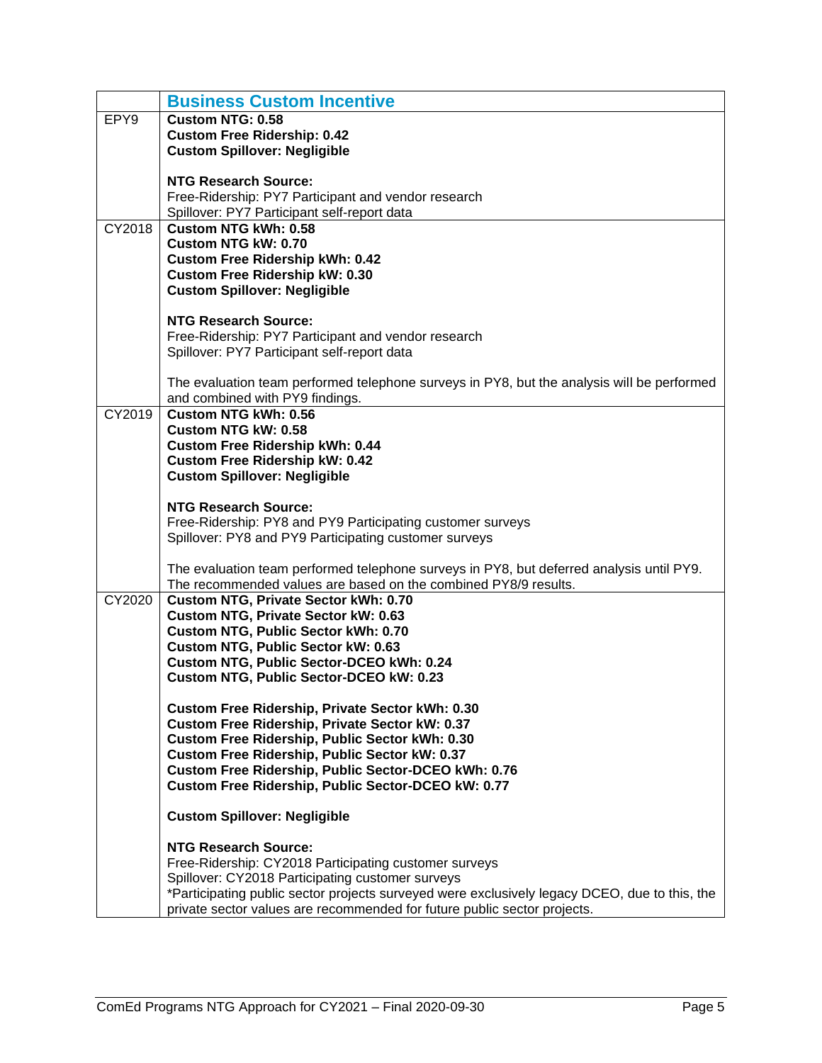|        | <b>Business Custom Incentive</b>                                                                          |
|--------|-----------------------------------------------------------------------------------------------------------|
| EPY9   | <b>Custom NTG: 0.58</b>                                                                                   |
|        | <b>Custom Free Ridership: 0.42</b>                                                                        |
|        | <b>Custom Spillover: Negligible</b>                                                                       |
|        |                                                                                                           |
|        | <b>NTG Research Source:</b>                                                                               |
|        | Free-Ridership: PY7 Participant and vendor research                                                       |
|        | Spillover: PY7 Participant self-report data                                                               |
| CY2018 | <b>Custom NTG kWh: 0.58</b>                                                                               |
|        | Custom NTG kW: 0.70                                                                                       |
|        | <b>Custom Free Ridership kWh: 0.42</b>                                                                    |
|        | <b>Custom Free Ridership kW: 0.30</b>                                                                     |
|        | <b>Custom Spillover: Negligible</b>                                                                       |
|        | <b>NTG Research Source:</b>                                                                               |
|        | Free-Ridership: PY7 Participant and vendor research                                                       |
|        | Spillover: PY7 Participant self-report data                                                               |
|        |                                                                                                           |
|        | The evaluation team performed telephone surveys in PY8, but the analysis will be performed                |
|        | and combined with PY9 findings.                                                                           |
| CY2019 | <b>Custom NTG kWh: 0.56</b>                                                                               |
|        | <b>Custom NTG kW: 0.58</b>                                                                                |
|        | <b>Custom Free Ridership kWh: 0.44</b>                                                                    |
|        | <b>Custom Free Ridership kW: 0.42</b>                                                                     |
|        | <b>Custom Spillover: Negligible</b>                                                                       |
|        |                                                                                                           |
|        | <b>NTG Research Source:</b>                                                                               |
|        | Free-Ridership: PY8 and PY9 Participating customer surveys                                                |
|        | Spillover: PY8 and PY9 Participating customer surveys                                                     |
|        | The evaluation team performed telephone surveys in PY8, but deferred analysis until PY9.                  |
|        | The recommended values are based on the combined PY8/9 results.                                           |
| CY2020 | <b>Custom NTG, Private Sector kWh: 0.70</b>                                                               |
|        | Custom NTG, Private Sector kW: 0.63                                                                       |
|        | <b>Custom NTG, Public Sector kWh: 0.70</b>                                                                |
|        | Custom NTG, Public Sector kW: 0.63                                                                        |
|        | Custom NTG, Public Sector-DCEO kWh: 0.24                                                                  |
|        | Custom NTG, Public Sector-DCEO kW: 0.23                                                                   |
|        |                                                                                                           |
|        | Custom Free Ridership, Private Sector kWh: 0.30                                                           |
|        | Custom Free Ridership, Private Sector kW: 0.37                                                            |
|        | Custom Free Ridership, Public Sector kWh: 0.30                                                            |
|        | Custom Free Ridership, Public Sector kW: 0.37                                                             |
|        | Custom Free Ridership, Public Sector-DCEO kWh: 0.76<br>Custom Free Ridership, Public Sector-DCEO kW: 0.77 |
|        |                                                                                                           |
|        | <b>Custom Spillover: Negligible</b>                                                                       |
|        |                                                                                                           |
|        | <b>NTG Research Source:</b><br>Free-Ridership: CY2018 Participating customer surveys                      |
|        | Spillover: CY2018 Participating customer surveys                                                          |
|        | *Participating public sector projects surveyed were exclusively legacy DCEO, due to this, the             |
|        | private sector values are recommended for future public sector projects.                                  |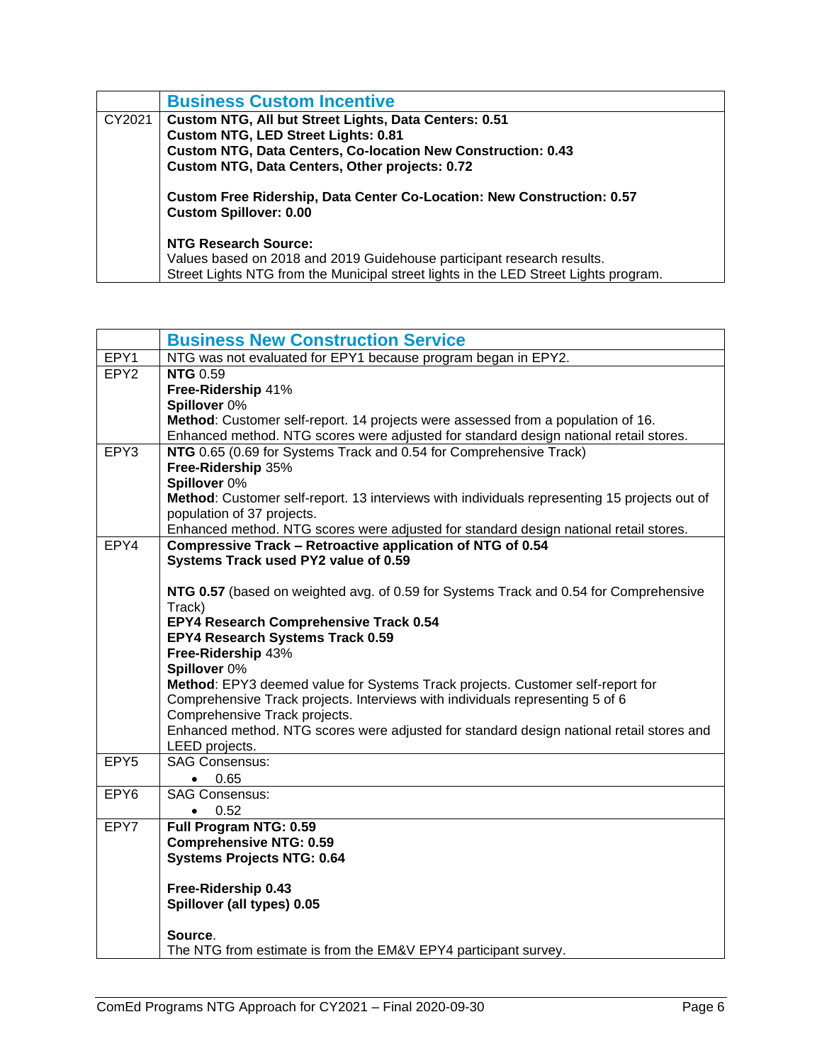|        | <b>Business Custom Incentive</b>                                                                        |  |  |  |  |  |  |
|--------|---------------------------------------------------------------------------------------------------------|--|--|--|--|--|--|
| CY2021 | Custom NTG, All but Street Lights, Data Centers: 0.51                                                   |  |  |  |  |  |  |
|        | <b>Custom NTG, LED Street Lights: 0.81</b>                                                              |  |  |  |  |  |  |
|        | <b>Custom NTG, Data Centers, Co-location New Construction: 0.43</b>                                     |  |  |  |  |  |  |
|        | Custom NTG, Data Centers, Other projects: 0.72                                                          |  |  |  |  |  |  |
|        | Custom Free Ridership, Data Center Co-Location: New Construction: 0.57<br><b>Custom Spillover: 0.00</b> |  |  |  |  |  |  |
|        | <b>NTG Research Source:</b>                                                                             |  |  |  |  |  |  |
|        | Values based on 2018 and 2019 Guidehouse participant research results.                                  |  |  |  |  |  |  |
|        | Street Lights NTG from the Municipal street lights in the LED Street Lights program.                    |  |  |  |  |  |  |

<span id="page-7-0"></span>

|                  | <b>Business New Construction Service</b>                                                                                                            |  |  |  |  |  |  |
|------------------|-----------------------------------------------------------------------------------------------------------------------------------------------------|--|--|--|--|--|--|
| EPY1             | NTG was not evaluated for EPY1 because program began in EPY2.                                                                                       |  |  |  |  |  |  |
| EPY <sub>2</sub> | <b>NTG 0.59</b>                                                                                                                                     |  |  |  |  |  |  |
|                  | Free-Ridership 41%                                                                                                                                  |  |  |  |  |  |  |
|                  | Spillover 0%                                                                                                                                        |  |  |  |  |  |  |
|                  | Method: Customer self-report. 14 projects were assessed from a population of 16.                                                                    |  |  |  |  |  |  |
|                  | Enhanced method. NTG scores were adjusted for standard design national retail stores.                                                               |  |  |  |  |  |  |
| EPY3             | NTG 0.65 (0.69 for Systems Track and 0.54 for Comprehensive Track)                                                                                  |  |  |  |  |  |  |
|                  | Free-Ridership 35%                                                                                                                                  |  |  |  |  |  |  |
|                  | Spillover 0%                                                                                                                                        |  |  |  |  |  |  |
|                  | Method: Customer self-report. 13 interviews with individuals representing 15 projects out of                                                        |  |  |  |  |  |  |
|                  | population of 37 projects.                                                                                                                          |  |  |  |  |  |  |
| EPY4             | Enhanced method. NTG scores were adjusted for standard design national retail stores.<br>Compressive Track - Retroactive application of NTG of 0.54 |  |  |  |  |  |  |
|                  | Systems Track used PY2 value of 0.59                                                                                                                |  |  |  |  |  |  |
|                  |                                                                                                                                                     |  |  |  |  |  |  |
|                  | NTG 0.57 (based on weighted avg. of 0.59 for Systems Track and 0.54 for Comprehensive                                                               |  |  |  |  |  |  |
|                  | Track)                                                                                                                                              |  |  |  |  |  |  |
|                  | EPY4 Research Comprehensive Track 0.54                                                                                                              |  |  |  |  |  |  |
|                  | EPY4 Research Systems Track 0.59                                                                                                                    |  |  |  |  |  |  |
|                  | Free-Ridership 43%                                                                                                                                  |  |  |  |  |  |  |
|                  | Spillover 0%                                                                                                                                        |  |  |  |  |  |  |
|                  | Method: EPY3 deemed value for Systems Track projects. Customer self-report for                                                                      |  |  |  |  |  |  |
|                  | Comprehensive Track projects. Interviews with individuals representing 5 of 6                                                                       |  |  |  |  |  |  |
|                  | Comprehensive Track projects.                                                                                                                       |  |  |  |  |  |  |
|                  | Enhanced method. NTG scores were adjusted for standard design national retail stores and                                                            |  |  |  |  |  |  |
|                  | LEED projects.                                                                                                                                      |  |  |  |  |  |  |
| EPY5             | <b>SAG Consensus:</b>                                                                                                                               |  |  |  |  |  |  |
|                  | 0.65<br>$\bullet$                                                                                                                                   |  |  |  |  |  |  |
| EPY <sub>6</sub> | <b>SAG Consensus:</b>                                                                                                                               |  |  |  |  |  |  |
|                  | 0.52<br>$\bullet$                                                                                                                                   |  |  |  |  |  |  |
| EPY7             | Full Program NTG: 0.59                                                                                                                              |  |  |  |  |  |  |
|                  | <b>Comprehensive NTG: 0.59</b>                                                                                                                      |  |  |  |  |  |  |
|                  | <b>Systems Projects NTG: 0.64</b>                                                                                                                   |  |  |  |  |  |  |
|                  |                                                                                                                                                     |  |  |  |  |  |  |
|                  | Free-Ridership 0.43                                                                                                                                 |  |  |  |  |  |  |
|                  | Spillover (all types) 0.05                                                                                                                          |  |  |  |  |  |  |
|                  | Source.                                                                                                                                             |  |  |  |  |  |  |
|                  | The NTG from estimate is from the EM&V EPY4 participant survey.                                                                                     |  |  |  |  |  |  |
|                  |                                                                                                                                                     |  |  |  |  |  |  |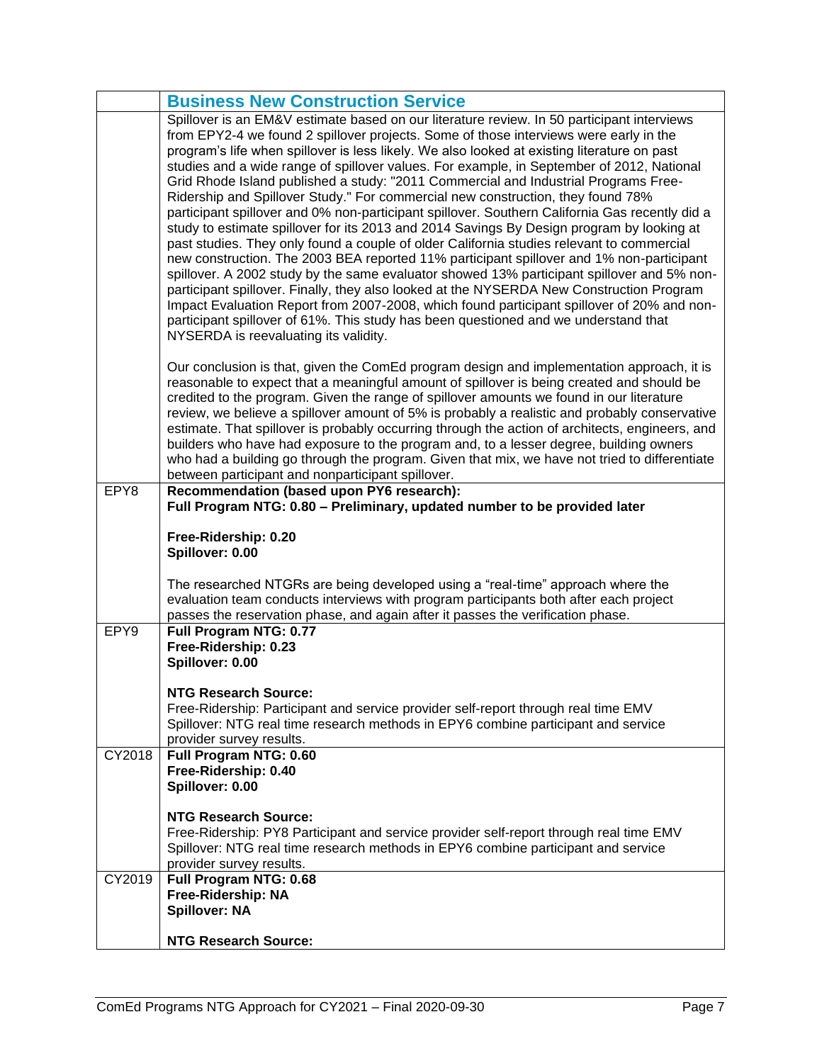|        | <b>Business New Construction Service</b>                                                                                                                                                  |  |  |  |  |  |  |
|--------|-------------------------------------------------------------------------------------------------------------------------------------------------------------------------------------------|--|--|--|--|--|--|
|        | Spillover is an EM&V estimate based on our literature review. In 50 participant interviews                                                                                                |  |  |  |  |  |  |
|        | from EPY2-4 we found 2 spillover projects. Some of those interviews were early in the<br>program's life when spillover is less likely. We also looked at existing literature on past      |  |  |  |  |  |  |
|        | studies and a wide range of spillover values. For example, in September of 2012, National                                                                                                 |  |  |  |  |  |  |
|        | Grid Rhode Island published a study: "2011 Commercial and Industrial Programs Free-                                                                                                       |  |  |  |  |  |  |
|        | Ridership and Spillover Study." For commercial new construction, they found 78%                                                                                                           |  |  |  |  |  |  |
|        | participant spillover and 0% non-participant spillover. Southern California Gas recently did a                                                                                            |  |  |  |  |  |  |
|        | study to estimate spillover for its 2013 and 2014 Savings By Design program by looking at                                                                                                 |  |  |  |  |  |  |
|        | past studies. They only found a couple of older California studies relevant to commercial                                                                                                 |  |  |  |  |  |  |
|        | new construction. The 2003 BEA reported 11% participant spillover and 1% non-participant<br>spillover. A 2002 study by the same evaluator showed 13% participant spillover and 5% non-    |  |  |  |  |  |  |
|        | participant spillover. Finally, they also looked at the NYSERDA New Construction Program                                                                                                  |  |  |  |  |  |  |
|        | Impact Evaluation Report from 2007-2008, which found participant spillover of 20% and non-                                                                                                |  |  |  |  |  |  |
|        | participant spillover of 61%. This study has been questioned and we understand that                                                                                                       |  |  |  |  |  |  |
|        | NYSERDA is reevaluating its validity.                                                                                                                                                     |  |  |  |  |  |  |
|        | Our conclusion is that, given the ComEd program design and implementation approach, it is                                                                                                 |  |  |  |  |  |  |
|        | reasonable to expect that a meaningful amount of spillover is being created and should be                                                                                                 |  |  |  |  |  |  |
|        | credited to the program. Given the range of spillover amounts we found in our literature                                                                                                  |  |  |  |  |  |  |
|        | review, we believe a spillover amount of 5% is probably a realistic and probably conservative                                                                                             |  |  |  |  |  |  |
|        | estimate. That spillover is probably occurring through the action of architects, engineers, and<br>builders who have had exposure to the program and, to a lesser degree, building owners |  |  |  |  |  |  |
|        | who had a building go through the program. Given that mix, we have not tried to differentiate                                                                                             |  |  |  |  |  |  |
|        | between participant and nonparticipant spillover.                                                                                                                                         |  |  |  |  |  |  |
| EPY8   | Recommendation (based upon PY6 research):                                                                                                                                                 |  |  |  |  |  |  |
|        | Full Program NTG: 0.80 - Preliminary, updated number to be provided later                                                                                                                 |  |  |  |  |  |  |
|        |                                                                                                                                                                                           |  |  |  |  |  |  |
|        | Free-Ridership: 0.20                                                                                                                                                                      |  |  |  |  |  |  |
|        | Spillover: 0.00                                                                                                                                                                           |  |  |  |  |  |  |
|        |                                                                                                                                                                                           |  |  |  |  |  |  |
|        | The researched NTGRs are being developed using a "real-time" approach where the                                                                                                           |  |  |  |  |  |  |
|        | evaluation team conducts interviews with program participants both after each project<br>passes the reservation phase, and again after it passes the verification phase.                  |  |  |  |  |  |  |
| EPY9   | Full Program NTG: 0.77                                                                                                                                                                    |  |  |  |  |  |  |
|        | Free-Ridership: 0.23                                                                                                                                                                      |  |  |  |  |  |  |
|        | Spillover: 0.00                                                                                                                                                                           |  |  |  |  |  |  |
|        | NTG Research Source:                                                                                                                                                                      |  |  |  |  |  |  |
|        | Free-Ridership: Participant and service provider self-report through real time EMV                                                                                                        |  |  |  |  |  |  |
|        | Spillover: NTG real time research methods in EPY6 combine participant and service                                                                                                         |  |  |  |  |  |  |
|        | provider survey results.                                                                                                                                                                  |  |  |  |  |  |  |
| CY2018 | Full Program NTG: 0.60                                                                                                                                                                    |  |  |  |  |  |  |
|        | Free-Ridership: 0.40<br>Spillover: 0.00                                                                                                                                                   |  |  |  |  |  |  |
|        |                                                                                                                                                                                           |  |  |  |  |  |  |
|        | <b>NTG Research Source:</b>                                                                                                                                                               |  |  |  |  |  |  |
|        | Free-Ridership: PY8 Participant and service provider self-report through real time EMV<br>Spillover: NTG real time research methods in EPY6 combine participant and service               |  |  |  |  |  |  |
|        | provider survey results.                                                                                                                                                                  |  |  |  |  |  |  |
| CY2019 | Full Program NTG: 0.68                                                                                                                                                                    |  |  |  |  |  |  |
|        | Free-Ridership: NA                                                                                                                                                                        |  |  |  |  |  |  |
|        | <b>Spillover: NA</b>                                                                                                                                                                      |  |  |  |  |  |  |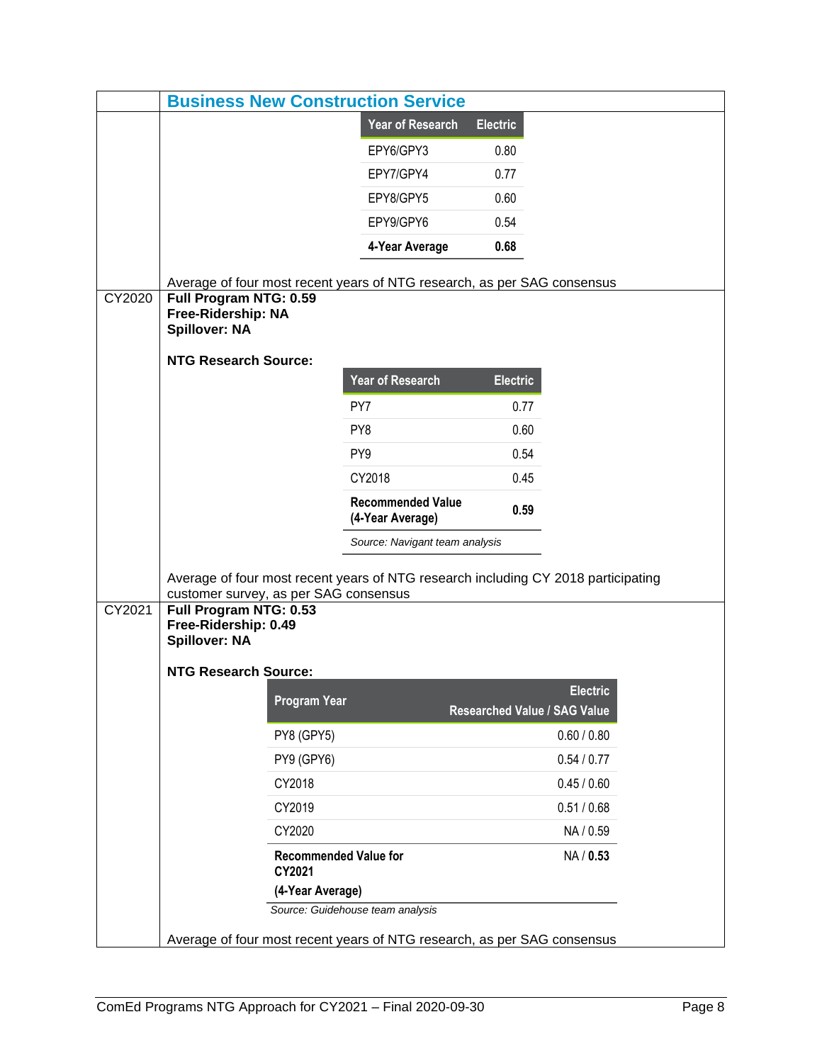| <b>Business New Construction Service</b> |                                                                         |                     |                                                                                   |                                     |                 |  |
|------------------------------------------|-------------------------------------------------------------------------|---------------------|-----------------------------------------------------------------------------------|-------------------------------------|-----------------|--|
|                                          |                                                                         |                     | <b>Year of Research</b>                                                           | <b>Electric</b>                     |                 |  |
|                                          |                                                                         |                     | EPY6/GPY3                                                                         | 0.80                                |                 |  |
|                                          |                                                                         |                     | EPY7/GPY4                                                                         | 0.77                                |                 |  |
|                                          |                                                                         |                     | EPY8/GPY5                                                                         | 0.60                                |                 |  |
|                                          |                                                                         |                     | EPY9/GPY6                                                                         | 0.54                                |                 |  |
|                                          |                                                                         |                     | 4-Year Average                                                                    | 0.68                                |                 |  |
|                                          |                                                                         |                     |                                                                                   |                                     |                 |  |
| CY2020                                   | Full Program NTG: 0.59<br>Free-Ridership: NA<br><b>Spillover: NA</b>    |                     | Average of four most recent years of NTG research, as per SAG consensus           |                                     |                 |  |
|                                          | <b>NTG Research Source:</b>                                             |                     |                                                                                   |                                     |                 |  |
|                                          |                                                                         |                     | <b>Year of Research</b>                                                           | <b>Electric</b>                     |                 |  |
|                                          |                                                                         |                     | PY7                                                                               | 0.77                                |                 |  |
|                                          |                                                                         |                     | PY8                                                                               | 0.60                                |                 |  |
|                                          |                                                                         |                     | PY <sub>9</sub>                                                                   | 0.54                                |                 |  |
|                                          |                                                                         |                     | CY2018                                                                            | 0.45                                |                 |  |
|                                          |                                                                         |                     | <b>Recommended Value</b><br>(4-Year Average)                                      | 0.59                                |                 |  |
|                                          |                                                                         |                     | Source: Navigant team analysis                                                    |                                     |                 |  |
|                                          |                                                                         |                     |                                                                                   |                                     |                 |  |
|                                          | customer survey, as per SAG consensus                                   |                     | Average of four most recent years of NTG research including CY 2018 participating |                                     |                 |  |
| CY2021                                   | Full Program NTG: 0.53<br>Free-Ridership: 0.49<br><b>Spillover: NA</b>  |                     |                                                                                   |                                     |                 |  |
|                                          | <b>NTG Research Source:</b>                                             |                     |                                                                                   |                                     |                 |  |
|                                          |                                                                         | <b>Program Year</b> |                                                                                   | <b>Researched Value / SAG Value</b> | <b>Electric</b> |  |
|                                          | PY8 (GPY5)                                                              |                     |                                                                                   |                                     | 0.60 / 0.80     |  |
|                                          |                                                                         | PY9 (GPY6)          |                                                                                   |                                     | 0.54 / 0.77     |  |
|                                          |                                                                         | CY2018              |                                                                                   |                                     | 0.45 / 0.60     |  |
|                                          |                                                                         | CY2019              |                                                                                   |                                     | 0.51 / 0.68     |  |
|                                          |                                                                         | CY2020              |                                                                                   |                                     | NA / 0.59       |  |
|                                          | <b>Recommended Value for</b><br>CY2021                                  |                     |                                                                                   |                                     | NA / 0.53       |  |
|                                          | (4-Year Average)                                                        |                     |                                                                                   |                                     |                 |  |
|                                          | Source: Guidehouse team analysis                                        |                     |                                                                                   |                                     |                 |  |
|                                          | Average of four most recent years of NTG research, as per SAG consensus |                     |                                                                                   |                                     |                 |  |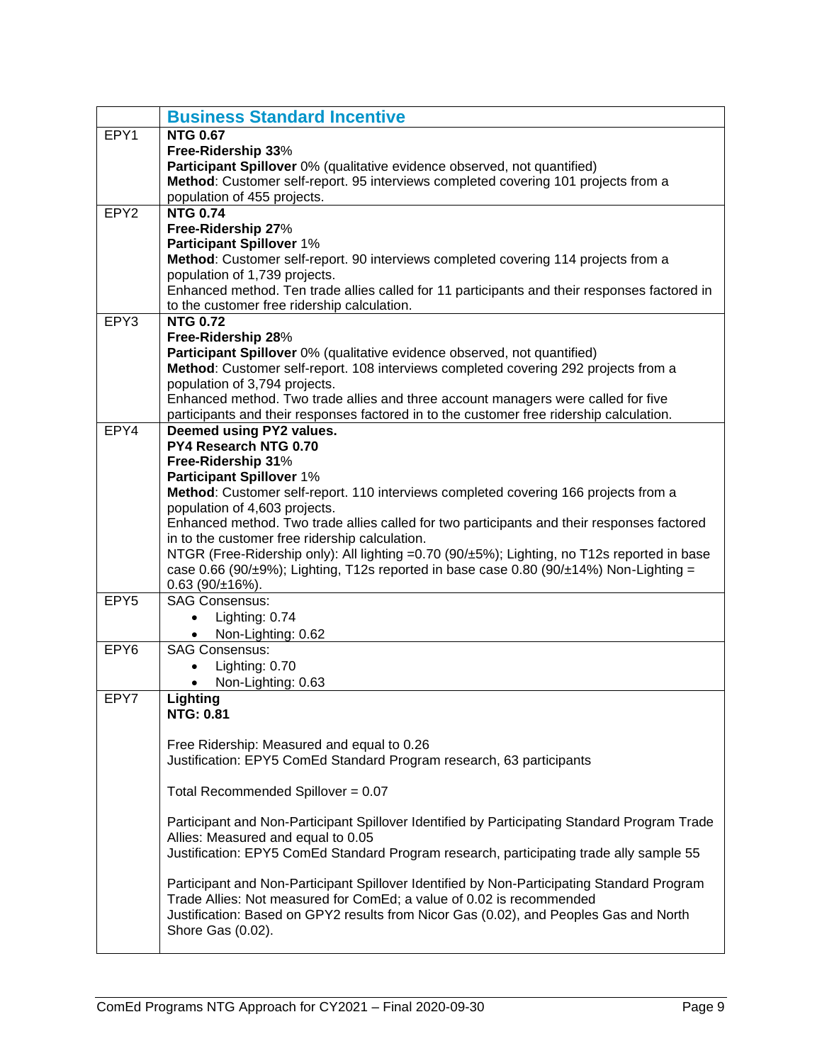<span id="page-10-0"></span>

|                  | <b>Business Standard Incentive</b>                                                                                                                                            |
|------------------|-------------------------------------------------------------------------------------------------------------------------------------------------------------------------------|
| EPY1             | <b>NTG 0.67</b>                                                                                                                                                               |
|                  | Free-Ridership 33%                                                                                                                                                            |
|                  | Participant Spillover 0% (qualitative evidence observed, not quantified)                                                                                                      |
|                  | Method: Customer self-report. 95 interviews completed covering 101 projects from a                                                                                            |
|                  | population of 455 projects.                                                                                                                                                   |
| EPY <sub>2</sub> | <b>NTG 0.74</b>                                                                                                                                                               |
|                  | Free-Ridership 27%                                                                                                                                                            |
|                  | <b>Participant Spillover 1%</b>                                                                                                                                               |
|                  | Method: Customer self-report. 90 interviews completed covering 114 projects from a                                                                                            |
|                  | population of 1,739 projects.                                                                                                                                                 |
|                  | Enhanced method. Ten trade allies called for 11 participants and their responses factored in                                                                                  |
|                  | to the customer free ridership calculation.                                                                                                                                   |
| EPY3             | <b>NTG 0.72</b>                                                                                                                                                               |
|                  | Free-Ridership 28%                                                                                                                                                            |
|                  | Participant Spillover 0% (qualitative evidence observed, not quantified)                                                                                                      |
|                  | Method: Customer self-report. 108 interviews completed covering 292 projects from a                                                                                           |
|                  | population of 3,794 projects.                                                                                                                                                 |
|                  | Enhanced method. Two trade allies and three account managers were called for five<br>participants and their responses factored in to the customer free ridership calculation. |
| EPY4             | Deemed using PY2 values.                                                                                                                                                      |
|                  | PY4 Research NTG 0.70                                                                                                                                                         |
|                  | Free-Ridership 31%                                                                                                                                                            |
|                  | <b>Participant Spillover 1%</b>                                                                                                                                               |
|                  | Method: Customer self-report. 110 interviews completed covering 166 projects from a                                                                                           |
|                  | population of 4,603 projects.                                                                                                                                                 |
|                  | Enhanced method. Two trade allies called for two participants and their responses factored                                                                                    |
|                  | in to the customer free ridership calculation.                                                                                                                                |
|                  | NTGR (Free-Ridership only): All lighting =0.70 (90/±5%); Lighting, no T12s reported in base                                                                                   |
|                  | case 0.66 (90/ $\pm$ 9%); Lighting, T12s reported in base case 0.80 (90/ $\pm$ 14%) Non-Lighting =                                                                            |
|                  | $0.63$ (90/ $\pm$ 16%).                                                                                                                                                       |
| EPY5             | <b>SAG Consensus:</b>                                                                                                                                                         |
|                  | Lighting: 0.74<br>$\bullet$                                                                                                                                                   |
|                  | Non-Lighting: 0.62                                                                                                                                                            |
| EPY6             | <b>SAG Consensus:</b>                                                                                                                                                         |
|                  | Lighting: 0.70                                                                                                                                                                |
|                  | Non-Lighting: 0.63                                                                                                                                                            |
| EPY7             | Lighting                                                                                                                                                                      |
|                  | <b>NTG: 0.81</b>                                                                                                                                                              |
|                  | Free Ridership: Measured and equal to 0.26                                                                                                                                    |
|                  | Justification: EPY5 ComEd Standard Program research, 63 participants                                                                                                          |
|                  |                                                                                                                                                                               |
|                  | Total Recommended Spillover = $0.07$                                                                                                                                          |
|                  |                                                                                                                                                                               |
|                  | Participant and Non-Participant Spillover Identified by Participating Standard Program Trade                                                                                  |
|                  | Allies: Measured and equal to 0.05                                                                                                                                            |
|                  | Justification: EPY5 ComEd Standard Program research, participating trade ally sample 55                                                                                       |
|                  |                                                                                                                                                                               |
|                  | Participant and Non-Participant Spillover Identified by Non-Participating Standard Program                                                                                    |
|                  | Trade Allies: Not measured for ComEd; a value of 0.02 is recommended                                                                                                          |
|                  | Justification: Based on GPY2 results from Nicor Gas (0.02), and Peoples Gas and North                                                                                         |
|                  | Shore Gas (0.02).                                                                                                                                                             |
|                  |                                                                                                                                                                               |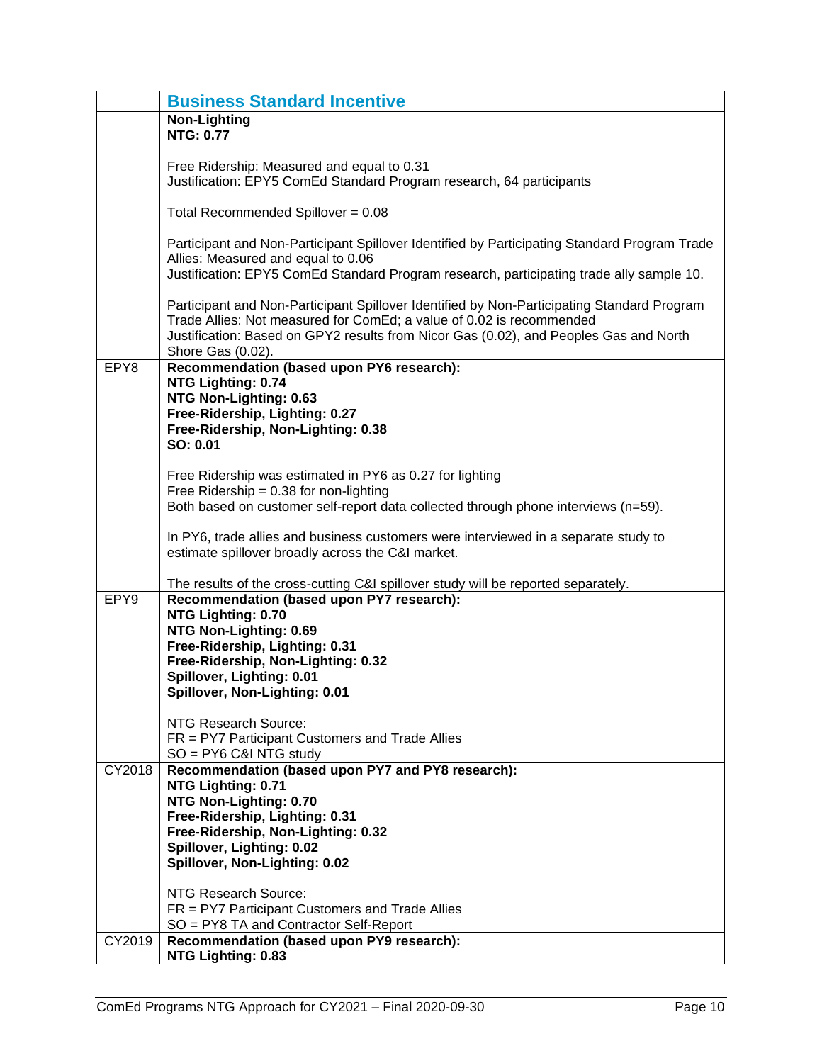|        | <b>Business Standard Incentive</b>                                                                                             |
|--------|--------------------------------------------------------------------------------------------------------------------------------|
|        | <b>Non-Lighting</b>                                                                                                            |
|        | <b>NTG: 0.77</b>                                                                                                               |
|        |                                                                                                                                |
|        | Free Ridership: Measured and equal to 0.31<br>Justification: EPY5 ComEd Standard Program research, 64 participants             |
|        |                                                                                                                                |
|        | Total Recommended Spillover = $0.08$                                                                                           |
|        | Participant and Non-Participant Spillover Identified by Participating Standard Program Trade                                   |
|        | Allies: Measured and equal to 0.06                                                                                             |
|        | Justification: EPY5 ComEd Standard Program research, participating trade ally sample 10.                                       |
|        | Participant and Non-Participant Spillover Identified by Non-Participating Standard Program                                     |
|        | Trade Allies: Not measured for ComEd; a value of 0.02 is recommended                                                           |
|        | Justification: Based on GPY2 results from Nicor Gas (0.02), and Peoples Gas and North                                          |
|        | Shore Gas (0.02).                                                                                                              |
| EPY8   | Recommendation (based upon PY6 research):                                                                                      |
|        | NTG Lighting: 0.74                                                                                                             |
|        | NTG Non-Lighting: 0.63                                                                                                         |
|        | Free-Ridership, Lighting: 0.27                                                                                                 |
|        | Free-Ridership, Non-Lighting: 0.38                                                                                             |
|        | SO: 0.01                                                                                                                       |
|        | Free Ridership was estimated in PY6 as 0.27 for lighting                                                                       |
|        | Free Ridership = $0.38$ for non-lighting                                                                                       |
|        | Both based on customer self-report data collected through phone interviews (n=59).                                             |
|        |                                                                                                                                |
|        | In PY6, trade allies and business customers were interviewed in a separate study to                                            |
|        | estimate spillover broadly across the C&I market.                                                                              |
|        |                                                                                                                                |
| EPY9   | The results of the cross-cutting C&I spillover study will be reported separately.<br>Recommendation (based upon PY7 research): |
|        | NTG Lighting: 0.70                                                                                                             |
|        | NTG Non-Lighting: 0.69                                                                                                         |
|        | Free-Ridership, Lighting: 0.31                                                                                                 |
|        | Free-Ridership, Non-Lighting: 0.32                                                                                             |
|        | Spillover, Lighting: 0.01                                                                                                      |
|        | Spillover, Non-Lighting: 0.01                                                                                                  |
|        |                                                                                                                                |
|        | NTG Research Source:                                                                                                           |
|        | FR = PY7 Participant Customers and Trade Allies<br>$SO = PY6 C&NTG$ study                                                      |
| CY2018 | Recommendation (based upon PY7 and PY8 research):                                                                              |
|        | NTG Lighting: 0.71                                                                                                             |
|        | NTG Non-Lighting: 0.70                                                                                                         |
|        | Free-Ridership, Lighting: 0.31                                                                                                 |
|        | Free-Ridership, Non-Lighting: 0.32                                                                                             |
|        | Spillover, Lighting: 0.02                                                                                                      |
|        | Spillover, Non-Lighting: 0.02                                                                                                  |
|        |                                                                                                                                |
|        | NTG Research Source:<br>FR = PY7 Participant Customers and Trade Allies                                                        |
|        | SO = PY8 TA and Contractor Self-Report                                                                                         |
| CY2019 | Recommendation (based upon PY9 research):                                                                                      |
|        | NTG Lighting: 0.83                                                                                                             |
|        |                                                                                                                                |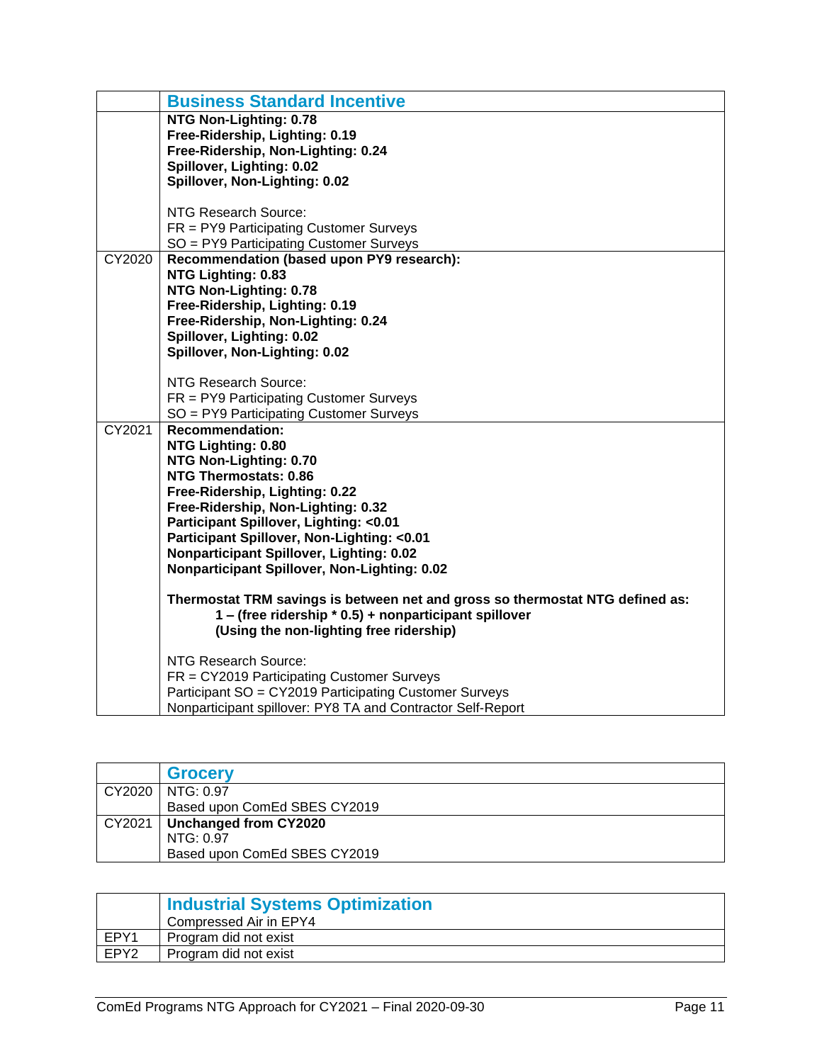|        | <b>Business Standard Incentive</b>                                                       |
|--------|------------------------------------------------------------------------------------------|
|        | NTG Non-Lighting: 0.78                                                                   |
|        | Free-Ridership, Lighting: 0.19                                                           |
|        | Free-Ridership, Non-Lighting: 0.24                                                       |
|        | Spillover, Lighting: 0.02<br>Spillover, Non-Lighting: 0.02                               |
|        |                                                                                          |
|        | NTG Research Source:                                                                     |
|        | FR = PY9 Participating Customer Surveys                                                  |
|        | SO = PY9 Participating Customer Surveys                                                  |
| CY2020 | Recommendation (based upon PY9 research):                                                |
|        | NTG Lighting: 0.83                                                                       |
|        | NTG Non-Lighting: 0.78                                                                   |
|        | Free-Ridership, Lighting: 0.19                                                           |
|        | Free-Ridership, Non-Lighting: 0.24                                                       |
|        | Spillover, Lighting: 0.02                                                                |
|        | Spillover, Non-Lighting: 0.02                                                            |
|        | <b>NTG Research Source:</b>                                                              |
|        | FR = PY9 Participating Customer Surveys                                                  |
|        | SO = PY9 Participating Customer Surveys                                                  |
| CY2021 | <b>Recommendation:</b>                                                                   |
|        | NTG Lighting: 0.80                                                                       |
|        | NTG Non-Lighting: 0.70                                                                   |
|        | <b>NTG Thermostats: 0.86</b>                                                             |
|        | Free-Ridership, Lighting: 0.22                                                           |
|        | Free-Ridership, Non-Lighting: 0.32                                                       |
|        | Participant Spillover, Lighting: < 0.01                                                  |
|        | Participant Spillover, Non-Lighting: < 0.01                                              |
|        | Nonparticipant Spillover, Lighting: 0.02<br>Nonparticipant Spillover, Non-Lighting: 0.02 |
|        |                                                                                          |
|        | Thermostat TRM savings is between net and gross so thermostat NTG defined as:            |
|        | 1 – (free ridership * 0.5) + nonparticipant spillover                                    |
|        | (Using the non-lighting free ridership)                                                  |
|        | <b>NTG Research Source:</b>                                                              |
|        | FR = CY2019 Participating Customer Surveys                                               |
|        | Participant SO = CY2019 Participating Customer Surveys                                   |
|        | Nonparticipant spillover: PY8 TA and Contractor Self-Report                              |
|        |                                                                                          |

<span id="page-12-0"></span>

|        | <b>Grocery</b>               |
|--------|------------------------------|
| CY2020 | NTG: 0.97                    |
|        | Based upon ComEd SBES CY2019 |
| CY2021 | Unchanged from CY2020        |
|        | NTG: 0.97                    |
|        | Based upon ComEd SBES CY2019 |

<span id="page-12-1"></span>

|      | Industrial Systems Optimization |
|------|---------------------------------|
|      | Compressed Air in EPY4          |
| EPY1 | Program did not exist           |
| EPY2 | Program did not exist           |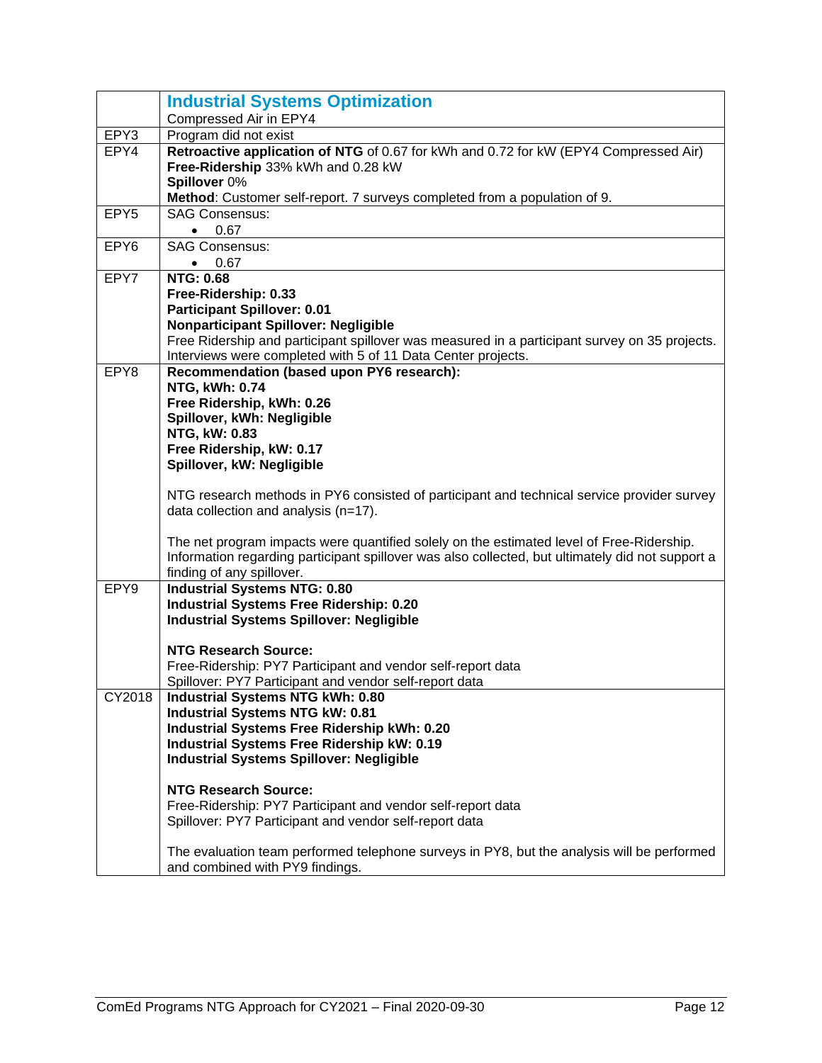|                  | <b>Industrial Systems Optimization</b>                                                               |
|------------------|------------------------------------------------------------------------------------------------------|
|                  | Compressed Air in EPY4                                                                               |
| EPY3             | Program did not exist                                                                                |
| EPY4             | Retroactive application of NTG of 0.67 for kWh and 0.72 for kW (EPY4 Compressed Air)                 |
|                  | Free-Ridership 33% kWh and 0.28 kW                                                                   |
|                  | Spillover 0%                                                                                         |
|                  | Method: Customer self-report. 7 surveys completed from a population of 9.                            |
| EPY <sub>5</sub> | <b>SAG Consensus:</b>                                                                                |
|                  | 0.67<br>$\bullet$<br><b>SAG Consensus:</b>                                                           |
| EPY <sub>6</sub> | 0.67                                                                                                 |
| EPY7             | $\bullet$<br><b>NTG: 0.68</b>                                                                        |
|                  | Free-Ridership: 0.33                                                                                 |
|                  | <b>Participant Spillover: 0.01</b>                                                                   |
|                  | <b>Nonparticipant Spillover: Negligible</b>                                                          |
|                  | Free Ridership and participant spillover was measured in a participant survey on 35 projects.        |
|                  | Interviews were completed with 5 of 11 Data Center projects.                                         |
| EPY8             | Recommendation (based upon PY6 research):                                                            |
|                  | NTG, kWh: 0.74                                                                                       |
|                  | Free Ridership, kWh: 0.26                                                                            |
|                  | Spillover, kWh: Negligible                                                                           |
|                  | NTG, kW: 0.83                                                                                        |
|                  | Free Ridership, kW: 0.17                                                                             |
|                  | Spillover, kW: Negligible                                                                            |
|                  | NTG research methods in PY6 consisted of participant and technical service provider survey           |
|                  | data collection and analysis (n=17).                                                                 |
|                  | The net program impacts were quantified solely on the estimated level of Free-Ridership.             |
|                  | Information regarding participant spillover was also collected, but ultimately did not support a     |
|                  | finding of any spillover.                                                                            |
| EPY9             | <b>Industrial Systems NTG: 0.80</b><br><b>Industrial Systems Free Ridership: 0.20</b>                |
|                  | <b>Industrial Systems Spillover: Negligible</b>                                                      |
|                  |                                                                                                      |
|                  | <b>NTG Research Source:</b>                                                                          |
|                  | Free-Ridership: PY7 Participant and vendor self-report data                                          |
|                  | Spillover: PY7 Participant and vendor self-report data                                               |
| CY2018           | <b>Industrial Systems NTG kWh: 0.80</b>                                                              |
|                  | <b>Industrial Systems NTG kW: 0.81</b>                                                               |
|                  | <b>Industrial Systems Free Ridership kWh: 0.20</b>                                                   |
|                  | <b>Industrial Systems Free Ridership kW: 0.19</b><br><b>Industrial Systems Spillover: Negligible</b> |
|                  |                                                                                                      |
|                  | <b>NTG Research Source:</b>                                                                          |
|                  | Free-Ridership: PY7 Participant and vendor self-report data                                          |
|                  | Spillover: PY7 Participant and vendor self-report data                                               |
|                  |                                                                                                      |
|                  | The evaluation team performed telephone surveys in PY8, but the analysis will be performed           |
|                  | and combined with PY9 findings.                                                                      |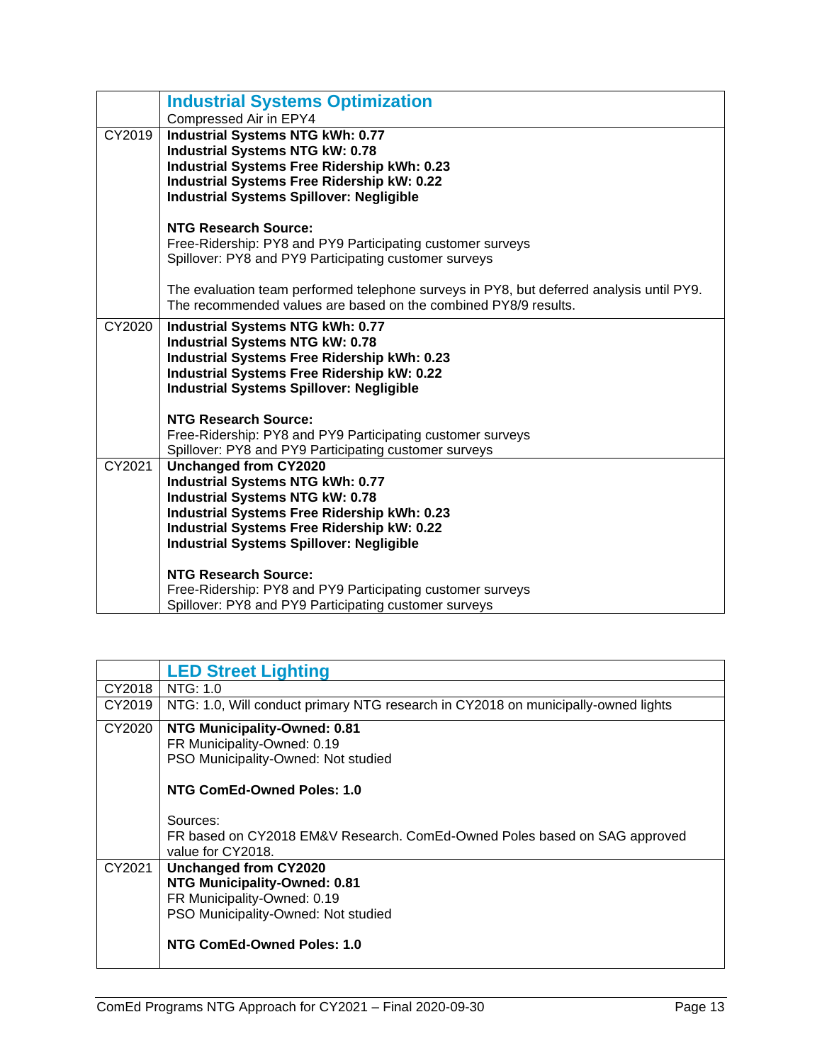|        | <b>Industrial Systems Optimization</b><br>Compressed Air in EPY4                                                                                                                                                                                                                |
|--------|---------------------------------------------------------------------------------------------------------------------------------------------------------------------------------------------------------------------------------------------------------------------------------|
| CY2019 | <b>Industrial Systems NTG kWh: 0.77</b><br><b>Industrial Systems NTG kW: 0.78</b><br>Industrial Systems Free Ridership kWh: 0.23<br><b>Industrial Systems Free Ridership kW: 0.22</b><br><b>Industrial Systems Spillover: Negligible</b>                                        |
|        | <b>NTG Research Source:</b><br>Free-Ridership: PY8 and PY9 Participating customer surveys<br>Spillover: PY8 and PY9 Participating customer surveys                                                                                                                              |
|        | The evaluation team performed telephone surveys in PY8, but deferred analysis until PY9.<br>The recommended values are based on the combined PY8/9 results.                                                                                                                     |
| CY2020 | Industrial Systems NTG kWh: 0.77<br><b>Industrial Systems NTG kW: 0.78</b><br>Industrial Systems Free Ridership kWh: 0.23<br><b>Industrial Systems Free Ridership kW: 0.22</b><br><b>Industrial Systems Spillover: Negligible</b>                                               |
|        | <b>NTG Research Source:</b><br>Free-Ridership: PY8 and PY9 Participating customer surveys<br>Spillover: PY8 and PY9 Participating customer surveys                                                                                                                              |
| CY2021 | <b>Unchanged from CY2020</b><br><b>Industrial Systems NTG kWh: 0.77</b><br><b>Industrial Systems NTG kW: 0.78</b><br><b>Industrial Systems Free Ridership kWh: 0.23</b><br><b>Industrial Systems Free Ridership kW: 0.22</b><br><b>Industrial Systems Spillover: Negligible</b> |
|        | <b>NTG Research Source:</b><br>Free-Ridership: PY8 and PY9 Participating customer surveys<br>Spillover: PY8 and PY9 Participating customer surveys                                                                                                                              |

<span id="page-14-0"></span>

|        | <b>LED Street Lighting</b>                                                                         |
|--------|----------------------------------------------------------------------------------------------------|
| CY2018 | NTG: 1.0                                                                                           |
| CY2019 | NTG: 1.0, Will conduct primary NTG research in CY2018 on municipally-owned lights                  |
| CY2020 | NTG Municipality-Owned: 0.81<br>FR Municipality-Owned: 0.19<br>PSO Municipality-Owned: Not studied |
|        | NTG ComEd-Owned Poles: 1.0                                                                         |
|        |                                                                                                    |
|        | Sources:                                                                                           |
|        | FR based on CY2018 EM&V Research. ComEd-Owned Poles based on SAG approved<br>value for CY2018.     |
| CY2021 | Unchanged from CY2020                                                                              |
|        | NTG Municipality-Owned: 0.81                                                                       |
|        | FR Municipality-Owned: 0.19                                                                        |
|        | PSO Municipality-Owned: Not studied                                                                |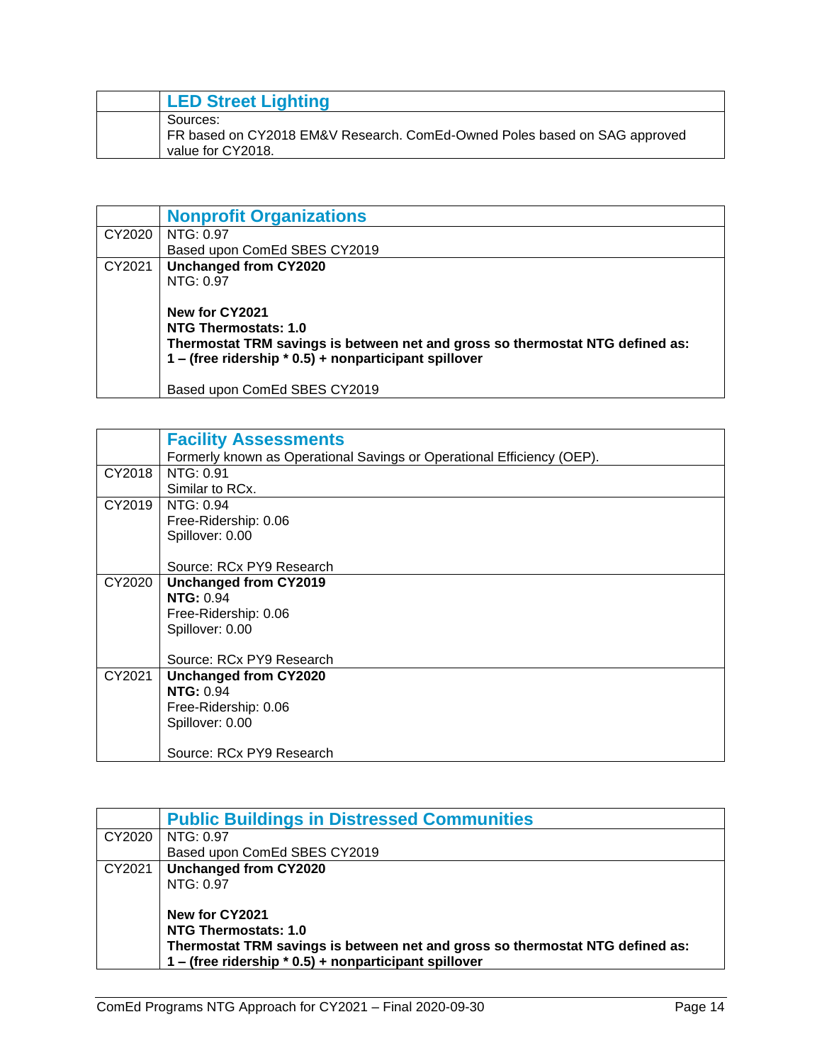| <b>LED Street Lighting</b>                                                                                 |
|------------------------------------------------------------------------------------------------------------|
| Sources:<br>FR based on CY2018 EM&V Research. ComEd-Owned Poles based on SAG approved<br>value for CY2018. |

<span id="page-15-0"></span>

|        | <b>Nonprofit Organizations</b>                                                |
|--------|-------------------------------------------------------------------------------|
| CY2020 | NTG: 0.97                                                                     |
|        | Based upon ComEd SBES CY2019                                                  |
| CY2021 | <b>Unchanged from CY2020</b>                                                  |
|        | NTG: 0.97                                                                     |
|        |                                                                               |
|        | New for CY2021                                                                |
|        | NTG Thermostats: 1.0                                                          |
|        | Thermostat TRM savings is between net and gross so thermostat NTG defined as: |
|        | 1 - (free ridership * 0.5) + nonparticipant spillover                         |
|        |                                                                               |
|        | Based upon ComEd SBES CY2019                                                  |

<span id="page-15-1"></span>

|        | <b>Facility Assessments</b>                                            |
|--------|------------------------------------------------------------------------|
|        | Formerly known as Operational Savings or Operational Efficiency (OEP). |
| CY2018 | NTG: 0.91                                                              |
|        | Similar to RCx.                                                        |
| CY2019 | NTG: 0.94                                                              |
|        | Free-Ridership: 0.06                                                   |
|        | Spillover: 0.00                                                        |
|        |                                                                        |
|        | Source: RCx PY9 Research                                               |
| CY2020 | <b>Unchanged from CY2019</b>                                           |
|        | <b>NTG: 0.94</b>                                                       |
|        | Free-Ridership: 0.06                                                   |
|        | Spillover: 0.00                                                        |
|        |                                                                        |
|        | Source: RCx PY9 Research                                               |
| CY2021 | <b>Unchanged from CY2020</b>                                           |
|        | <b>NTG: 0.94</b>                                                       |
|        | Free-Ridership: 0.06                                                   |
|        | Spillover: 0.00                                                        |
|        |                                                                        |
|        | Source: RCx PY9 Research                                               |

<span id="page-15-2"></span>

|        | <b>Public Buildings in Distressed Communities</b>                             |
|--------|-------------------------------------------------------------------------------|
| CY2020 | NTG: 0.97                                                                     |
|        | Based upon ComEd SBES CY2019                                                  |
| CY2021 | Unchanged from CY2020                                                         |
|        | NTG: 0.97                                                                     |
|        |                                                                               |
|        | New for CY2021                                                                |
|        | NTG Thermostats: 1.0                                                          |
|        | Thermostat TRM savings is between net and gross so thermostat NTG defined as: |
|        | 1 - (free ridership * 0.5) + nonparticipant spillover                         |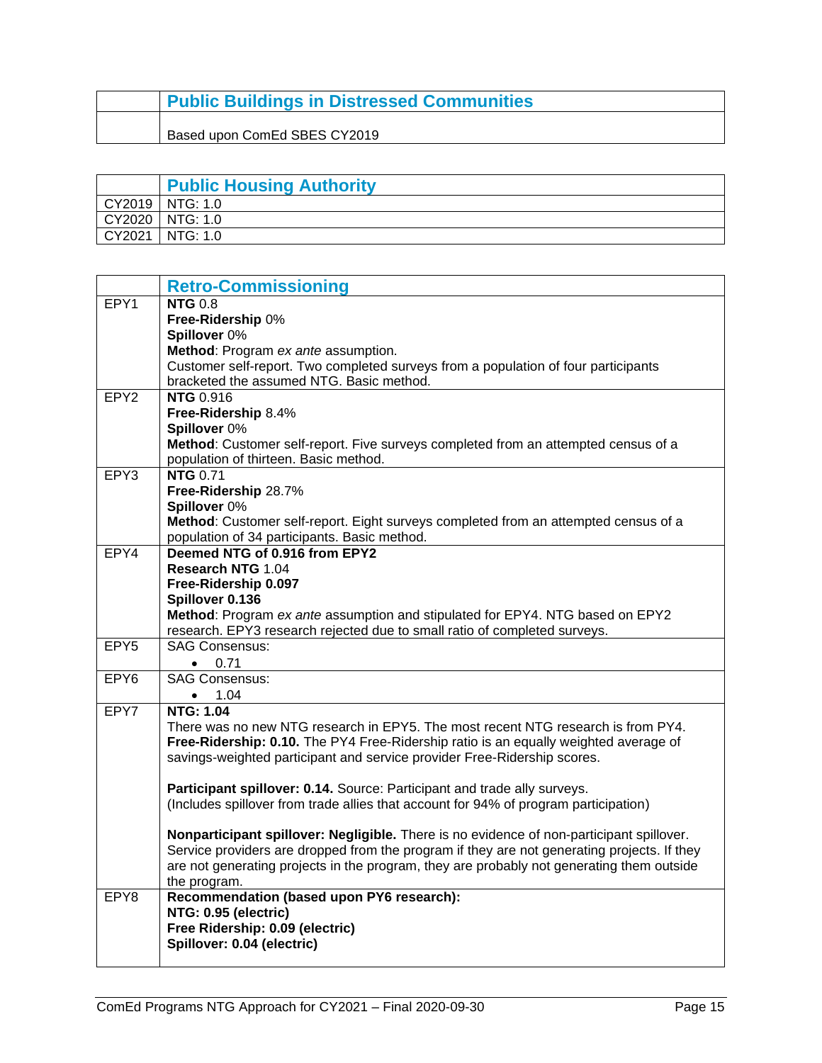### **Public Buildings in Distressed Communities**

<span id="page-16-0"></span>Based upon ComEd SBES CY2019

|        | <b>Public Housing Authority</b> |
|--------|---------------------------------|
|        | CY2019   NTG: 1.0               |
| CY2020 | NTG: 1.0                        |
| CY2021 | NTG: 1.0                        |

<span id="page-16-1"></span>

|                  | <b>Retro-Commissioning</b>                                                                       |
|------------------|--------------------------------------------------------------------------------------------------|
| EPY1             | $NTG$ 0.8                                                                                        |
|                  | Free-Ridership 0%                                                                                |
|                  | Spillover 0%                                                                                     |
|                  | Method: Program ex ante assumption.                                                              |
|                  | Customer self-report. Two completed surveys from a population of four participants               |
|                  | bracketed the assumed NTG. Basic method.                                                         |
| EPY <sub>2</sub> | <b>NTG 0.916</b>                                                                                 |
|                  | Free-Ridership 8.4%                                                                              |
|                  | Spillover 0%                                                                                     |
|                  | Method: Customer self-report. Five surveys completed from an attempted census of a               |
|                  | population of thirteen. Basic method.                                                            |
| EPY3             | <b>NTG 0.71</b>                                                                                  |
|                  | Free-Ridership 28.7%                                                                             |
|                  | Spillover 0%                                                                                     |
|                  | Method: Customer self-report. Eight surveys completed from an attempted census of a              |
|                  | population of 34 participants. Basic method.                                                     |
| EPY4             | Deemed NTG of 0.916 from EPY2                                                                    |
|                  | <b>Research NTG 1.04</b>                                                                         |
|                  | Free-Ridership 0.097                                                                             |
|                  | Spillover 0.136<br>Method: Program ex ante assumption and stipulated for EPY4. NTG based on EPY2 |
|                  | research. EPY3 research rejected due to small ratio of completed surveys.                        |
| EPY5             | <b>SAG Consensus:</b>                                                                            |
|                  | 0.71<br>$\bullet$                                                                                |
| EPY6             | <b>SAG Consensus:</b>                                                                            |
|                  | • $1.04$                                                                                         |
| EPY7             | <b>NTG: 1.04</b>                                                                                 |
|                  | There was no new NTG research in EPY5. The most recent NTG research is from PY4.                 |
|                  | Free-Ridership: 0.10. The PY4 Free-Ridership ratio is an equally weighted average of             |
|                  | savings-weighted participant and service provider Free-Ridership scores.                         |
|                  |                                                                                                  |
|                  | Participant spillover: 0.14. Source: Participant and trade ally surveys.                         |
|                  | (Includes spillover from trade allies that account for 94% of program participation)             |
|                  |                                                                                                  |
|                  | Nonparticipant spillover: Negligible. There is no evidence of non-participant spillover.         |
|                  | Service providers are dropped from the program if they are not generating projects. If they      |
|                  | are not generating projects in the program, they are probably not generating them outside        |
|                  | the program.                                                                                     |
| EPY8             | Recommendation (based upon PY6 research):                                                        |
|                  | NTG: 0.95 (electric)                                                                             |
|                  | Free Ridership: 0.09 (electric)                                                                  |
|                  | Spillover: 0.04 (electric)                                                                       |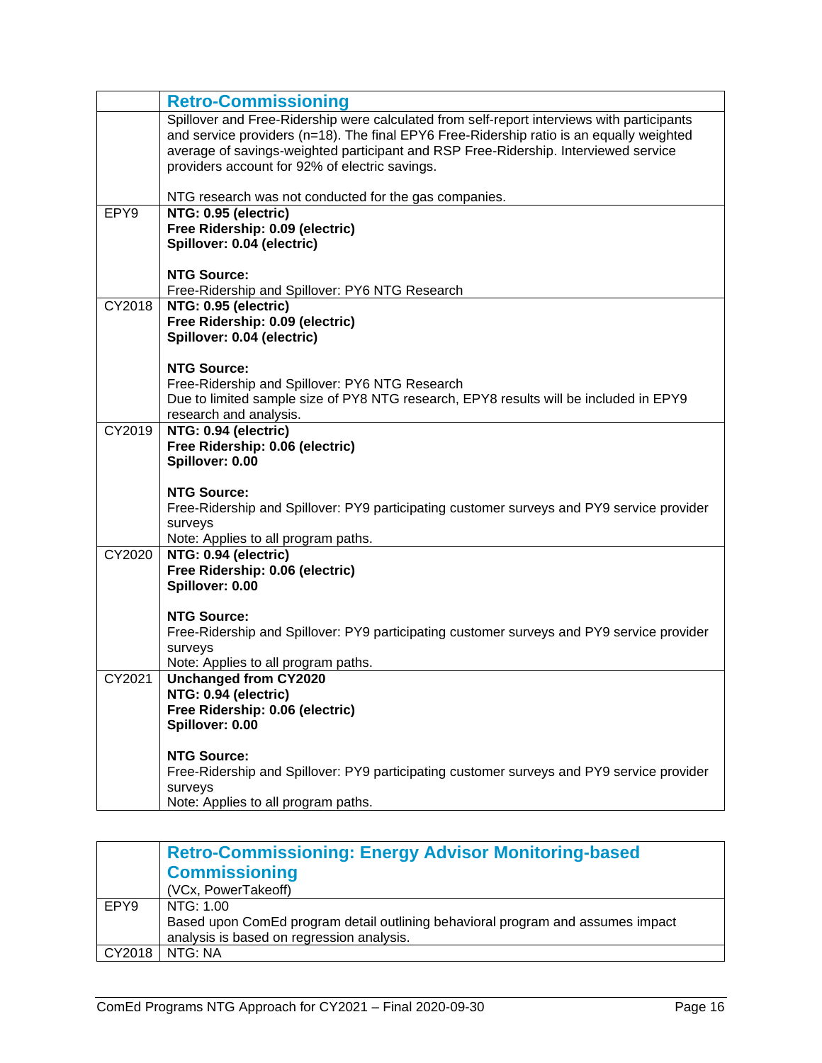|                  | <b>Retro-Commissioning</b>                                                                                                              |
|------------------|-----------------------------------------------------------------------------------------------------------------------------------------|
|                  | Spillover and Free-Ridership were calculated from self-report interviews with participants                                              |
|                  | and service providers (n=18). The final EPY6 Free-Ridership ratio is an equally weighted                                                |
|                  | average of savings-weighted participant and RSP Free-Ridership. Interviewed service                                                     |
|                  | providers account for 92% of electric savings.                                                                                          |
|                  | NTG research was not conducted for the gas companies.                                                                                   |
| EPY <sub>9</sub> | NTG: 0.95 (electric)                                                                                                                    |
|                  | Free Ridership: 0.09 (electric)                                                                                                         |
|                  | Spillover: 0.04 (electric)                                                                                                              |
|                  |                                                                                                                                         |
|                  | <b>NTG Source:</b>                                                                                                                      |
|                  | Free-Ridership and Spillover: PY6 NTG Research                                                                                          |
| CY2018           | NTG: 0.95 (electric)                                                                                                                    |
|                  | Free Ridership: 0.09 (electric)                                                                                                         |
|                  | Spillover: 0.04 (electric)                                                                                                              |
|                  |                                                                                                                                         |
|                  | <b>NTG Source:</b>                                                                                                                      |
|                  | Free-Ridership and Spillover: PY6 NTG Research<br>Due to limited sample size of PY8 NTG research, EPY8 results will be included in EPY9 |
|                  | research and analysis.                                                                                                                  |
| CY2019           | NTG: 0.94 (electric)                                                                                                                    |
|                  | Free Ridership: 0.06 (electric)                                                                                                         |
|                  | Spillover: 0.00                                                                                                                         |
|                  |                                                                                                                                         |
|                  | <b>NTG Source:</b>                                                                                                                      |
|                  | Free-Ridership and Spillover: PY9 participating customer surveys and PY9 service provider                                               |
|                  | surveys                                                                                                                                 |
|                  | Note: Applies to all program paths.                                                                                                     |
| CY2020           | NTG: 0.94 (electric)                                                                                                                    |
|                  | Free Ridership: 0.06 (electric)                                                                                                         |
|                  | Spillover: 0.00                                                                                                                         |
|                  | <b>NTG Source:</b>                                                                                                                      |
|                  | Free-Ridership and Spillover: PY9 participating customer surveys and PY9 service provider                                               |
|                  | surveys                                                                                                                                 |
|                  | Note: Applies to all program paths.                                                                                                     |
| CY2021           | <b>Unchanged from CY2020</b>                                                                                                            |
|                  | NTG: 0.94 (electric)                                                                                                                    |
|                  | Free Ridership: 0.06 (electric)                                                                                                         |
|                  | Spillover: 0.00                                                                                                                         |
|                  |                                                                                                                                         |
|                  | <b>NTG Source:</b>                                                                                                                      |
|                  | Free-Ridership and Spillover: PY9 participating customer surveys and PY9 service provider                                               |
|                  | surveys                                                                                                                                 |
|                  | Note: Applies to all program paths.                                                                                                     |

<span id="page-17-0"></span>

|        | <b>Retro-Commissioning: Energy Advisor Monitoring-based</b>                     |
|--------|---------------------------------------------------------------------------------|
|        | <b>Commissioning</b>                                                            |
|        | (VCx, PowerTakeoff)                                                             |
| EPY9   | NTG: 1.00                                                                       |
|        | Based upon ComEd program detail outlining behavioral program and assumes impact |
|        | analysis is based on regression analysis.                                       |
| CY2018 | NTG: NA                                                                         |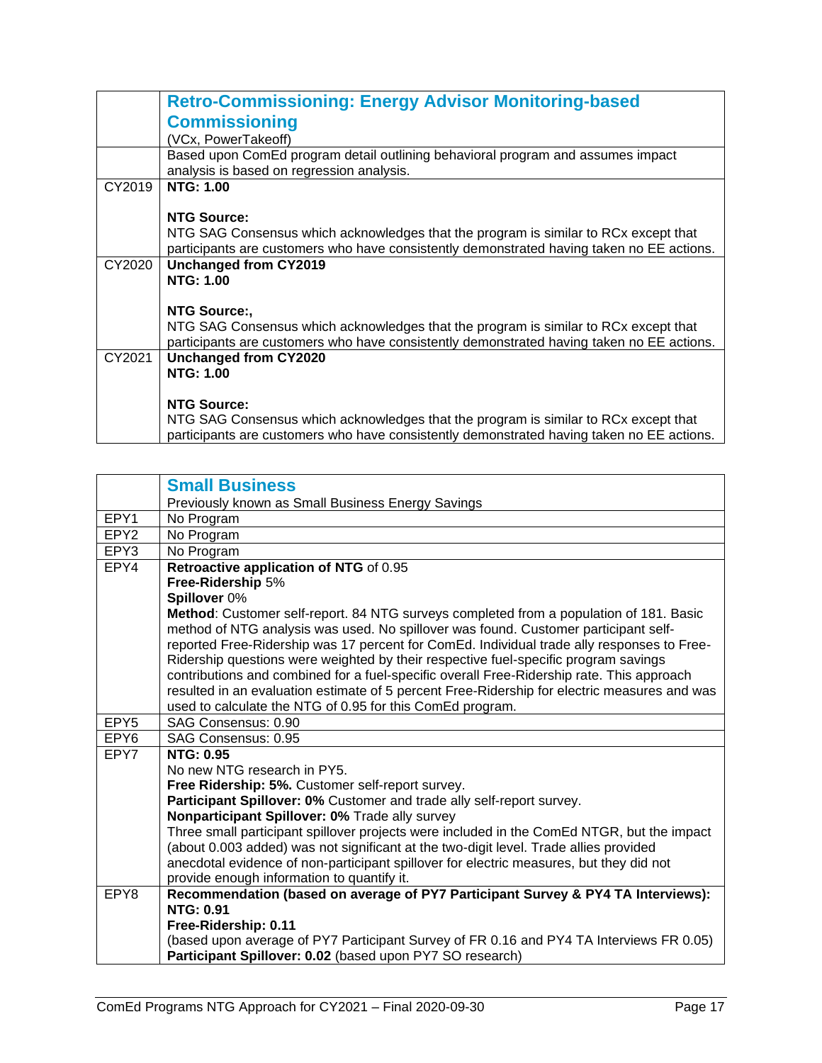|        | <b>Retro-Commissioning: Energy Advisor Monitoring-based</b>                               |
|--------|-------------------------------------------------------------------------------------------|
|        | <b>Commissioning</b>                                                                      |
|        | (VCx, PowerTakeoff)                                                                       |
|        | Based upon ComEd program detail outlining behavioral program and assumes impact           |
|        | analysis is based on regression analysis.                                                 |
| CY2019 | <b>NTG: 1.00</b>                                                                          |
|        |                                                                                           |
|        | <b>NTG Source:</b>                                                                        |
|        | NTG SAG Consensus which acknowledges that the program is similar to RCx except that       |
|        | participants are customers who have consistently demonstrated having taken no EE actions. |
| CY2020 | <b>Unchanged from CY2019</b>                                                              |
|        | <b>NTG: 1.00</b>                                                                          |
|        |                                                                                           |
|        | NTG Source:,                                                                              |
|        | NTG SAG Consensus which acknowledges that the program is similar to RCx except that       |
|        | participants are customers who have consistently demonstrated having taken no EE actions. |
| CY2021 | <b>Unchanged from CY2020</b>                                                              |
|        | <b>NTG: 1.00</b>                                                                          |
|        |                                                                                           |
|        | <b>NTG Source:</b>                                                                        |
|        | NTG SAG Consensus which acknowledges that the program is similar to RCx except that       |
|        | participants are customers who have consistently demonstrated having taken no EE actions. |

<span id="page-18-0"></span>

| <b>Small Business</b>                                                                                                   |
|-------------------------------------------------------------------------------------------------------------------------|
| Previously known as Small Business Energy Savings                                                                       |
| No Program                                                                                                              |
| No Program                                                                                                              |
| No Program                                                                                                              |
| Retroactive application of NTG of 0.95                                                                                  |
| Free-Ridership 5%                                                                                                       |
| Spillover 0%                                                                                                            |
| Method: Customer self-report. 84 NTG surveys completed from a population of 181. Basic                                  |
| method of NTG analysis was used. No spillover was found. Customer participant self-                                     |
| reported Free-Ridership was 17 percent for ComEd. Individual trade ally responses to Free-                              |
| Ridership questions were weighted by their respective fuel-specific program savings                                     |
| contributions and combined for a fuel-specific overall Free-Ridership rate. This approach                               |
| resulted in an evaluation estimate of 5 percent Free-Ridership for electric measures and was                            |
| used to calculate the NTG of 0.95 for this ComEd program.                                                               |
| SAG Consensus: 0.90                                                                                                     |
| SAG Consensus: 0.95                                                                                                     |
| <b>NTG: 0.95</b>                                                                                                        |
| No new NTG research in PY5.                                                                                             |
| Free Ridership: 5%. Customer self-report survey.                                                                        |
| Participant Spillover: 0% Customer and trade ally self-report survey.<br>Nonparticipant Spillover: 0% Trade ally survey |
| Three small participant spillover projects were included in the ComEd NTGR, but the impact                              |
| (about 0.003 added) was not significant at the two-digit level. Trade allies provided                                   |
| anecdotal evidence of non-participant spillover for electric measures, but they did not                                 |
| provide enough information to quantify it.                                                                              |
| Recommendation (based on average of PY7 Participant Survey & PY4 TA Interviews):                                        |
| <b>NTG: 0.91</b>                                                                                                        |
| Free-Ridership: 0.11                                                                                                    |
| (based upon average of PY7 Participant Survey of FR 0.16 and PY4 TA Interviews FR 0.05)                                 |
| Participant Spillover: 0.02 (based upon PY7 SO research)                                                                |
|                                                                                                                         |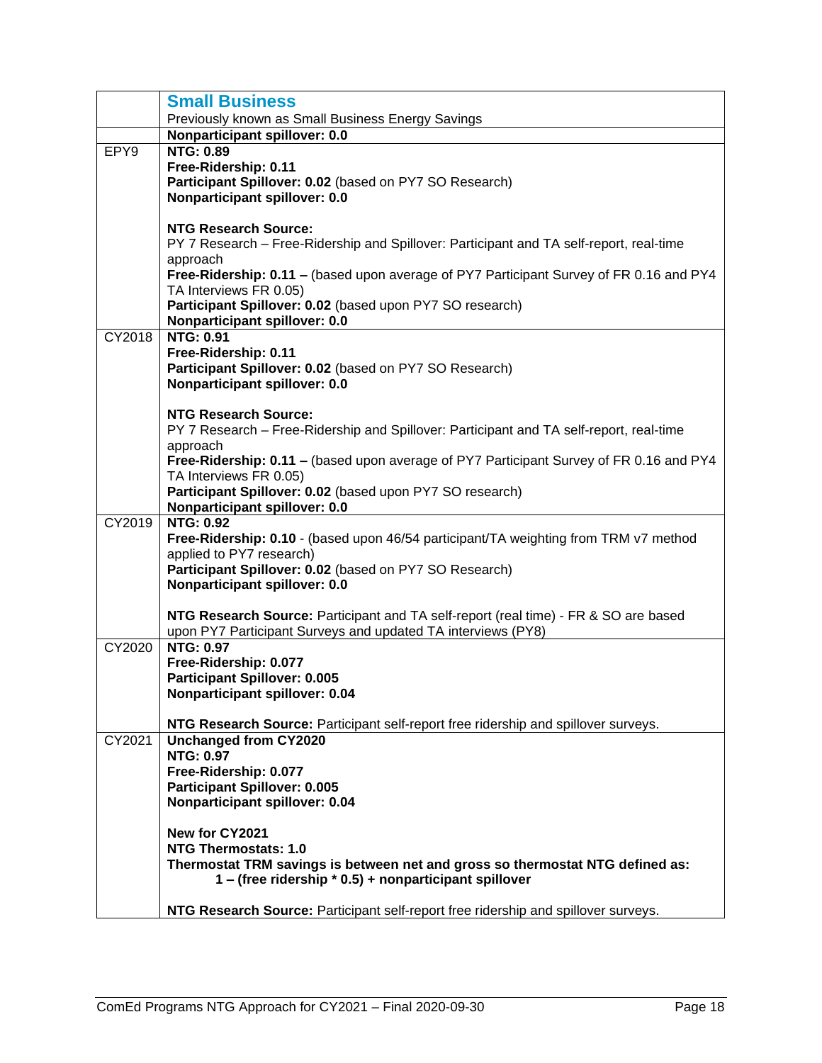|        | <b>Small Business</b>                                                                               |
|--------|-----------------------------------------------------------------------------------------------------|
|        | Previously known as Small Business Energy Savings                                                   |
|        | Nonparticipant spillover: 0.0                                                                       |
| EPY9   | <b>NTG: 0.89</b><br>Free-Ridership: 0.11                                                            |
|        | Participant Spillover: 0.02 (based on PY7 SO Research)                                              |
|        | Nonparticipant spillover: 0.0                                                                       |
|        |                                                                                                     |
|        | <b>NTG Research Source:</b>                                                                         |
|        | PY 7 Research – Free-Ridership and Spillover: Participant and TA self-report, real-time             |
|        | approach<br>Free-Ridership: 0.11 - (based upon average of PY7 Participant Survey of FR 0.16 and PY4 |
|        | TA Interviews FR 0.05)                                                                              |
|        | Participant Spillover: 0.02 (based upon PY7 SO research)                                            |
|        | Nonparticipant spillover: 0.0                                                                       |
| CY2018 | <b>NTG: 0.91</b><br>Free-Ridership: 0.11                                                            |
|        | Participant Spillover: 0.02 (based on PY7 SO Research)                                              |
|        | Nonparticipant spillover: 0.0                                                                       |
|        |                                                                                                     |
|        | <b>NTG Research Source:</b>                                                                         |
|        | PY 7 Research – Free-Ridership and Spillover: Participant and TA self-report, real-time<br>approach |
|        | Free-Ridership: 0.11 – (based upon average of PY7 Participant Survey of FR 0.16 and PY4             |
|        | TA Interviews FR 0.05)                                                                              |
|        | Participant Spillover: 0.02 (based upon PY7 SO research)                                            |
| CY2019 | Nonparticipant spillover: 0.0<br><b>NTG: 0.92</b>                                                   |
|        | Free-Ridership: 0.10 - (based upon 46/54 participant/TA weighting from TRM v7 method                |
|        | applied to PY7 research)                                                                            |
|        | Participant Spillover: 0.02 (based on PY7 SO Research)                                              |
|        | Nonparticipant spillover: 0.0                                                                       |
|        | NTG Research Source: Participant and TA self-report (real time) - FR & SO are based                 |
|        | upon PY7 Participant Surveys and updated TA interviews (PY8)                                        |
| CY2020 | <b>NTG: 0.97</b>                                                                                    |
|        | Free-Ridership: 0.077                                                                               |
|        | <b>Participant Spillover: 0.005</b><br>Nonparticipant spillover: 0.04                               |
|        |                                                                                                     |
|        | NTG Research Source: Participant self-report free ridership and spillover surveys.                  |
| CY2021 | <b>Unchanged from CY2020</b>                                                                        |
|        | <b>NTG: 0.97</b><br>Free-Ridership: 0.077                                                           |
|        | <b>Participant Spillover: 0.005</b>                                                                 |
|        | Nonparticipant spillover: 0.04                                                                      |
|        |                                                                                                     |
|        | New for CY2021<br><b>NTG Thermostats: 1.0</b>                                                       |
|        | Thermostat TRM savings is between net and gross so thermostat NTG defined as:                       |
|        | 1 – (free ridership * 0.5) + nonparticipant spillover                                               |
|        |                                                                                                     |
|        | NTG Research Source: Participant self-report free ridership and spillover surveys.                  |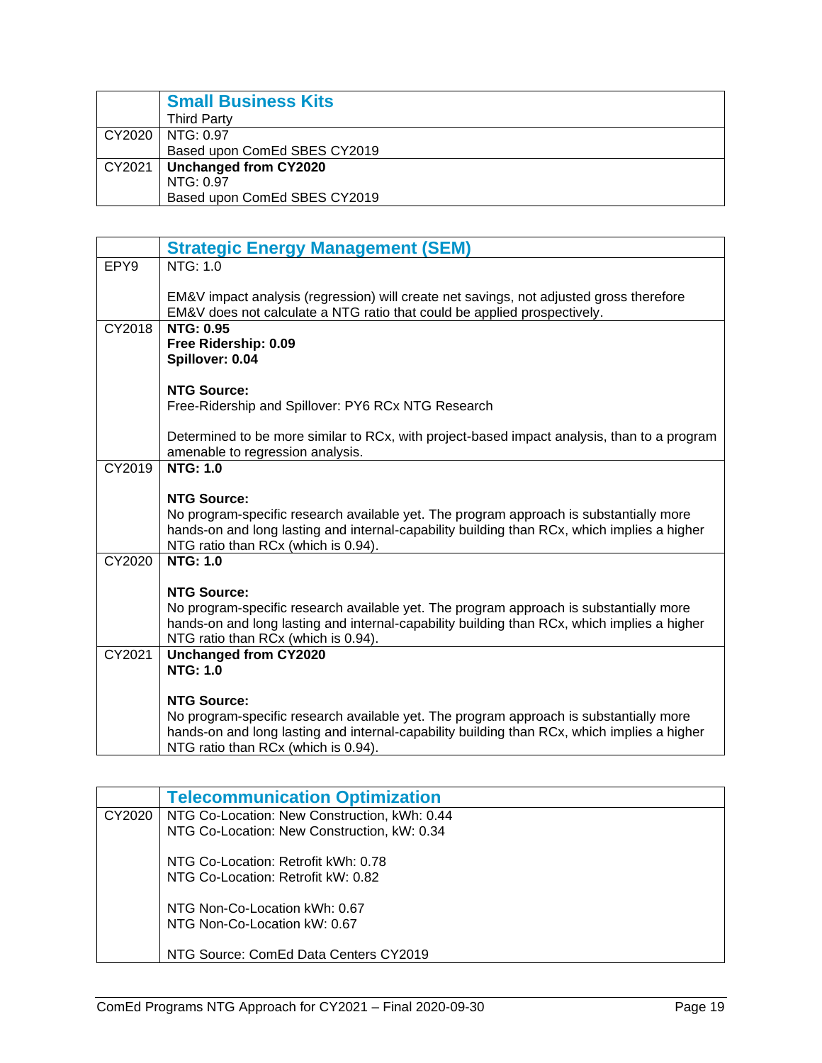<span id="page-20-0"></span>

|        | <b>Small Business Kits</b>   |
|--------|------------------------------|
|        | <b>Third Party</b>           |
|        | CY2020   NTG: 0.97           |
|        | Based upon ComEd SBES CY2019 |
| CY2021 | Unchanged from CY2020        |
|        | NTG: 0.97                    |
|        | Based upon ComEd SBES CY2019 |

<span id="page-20-1"></span>

|        | <b>Strategic Energy Management (SEM)</b>                                                                                                                                                                                     |
|--------|------------------------------------------------------------------------------------------------------------------------------------------------------------------------------------------------------------------------------|
| EPY9   | NTG: $1.0$                                                                                                                                                                                                                   |
|        | EM&V impact analysis (regression) will create net savings, not adjusted gross therefore<br>EM&V does not calculate a NTG ratio that could be applied prospectively.                                                          |
| CY2018 | <b>NTG: 0.95</b><br>Free Ridership: 0.09<br>Spillover: 0.04                                                                                                                                                                  |
|        | <b>NTG Source:</b>                                                                                                                                                                                                           |
|        | Free-Ridership and Spillover: PY6 RCx NTG Research                                                                                                                                                                           |
|        | Determined to be more similar to RCx, with project-based impact analysis, than to a program<br>amenable to regression analysis.                                                                                              |
| CY2019 | <b>NTG: 1.0</b>                                                                                                                                                                                                              |
|        | <b>NTG Source:</b>                                                                                                                                                                                                           |
|        | No program-specific research available yet. The program approach is substantially more                                                                                                                                       |
|        | hands-on and long lasting and internal-capability building than RCx, which implies a higher<br>NTG ratio than RCx (which is 0.94).                                                                                           |
| CY2020 | <b>NTG: 1.0</b>                                                                                                                                                                                                              |
|        |                                                                                                                                                                                                                              |
|        | <b>NTG Source:</b>                                                                                                                                                                                                           |
|        | No program-specific research available yet. The program approach is substantially more<br>hands-on and long lasting and internal-capability building than RCx, which implies a higher<br>NTG ratio than RCx (which is 0.94). |
| CY2021 | Unchanged from CY2020                                                                                                                                                                                                        |
|        | <b>NTG: 1.0</b>                                                                                                                                                                                                              |
|        | <b>NTG Source:</b>                                                                                                                                                                                                           |
|        | No program-specific research available yet. The program approach is substantially more<br>hands-on and long lasting and internal-capability building than RCx, which implies a higher<br>NTG ratio than RCx (which is 0.94). |

<span id="page-20-2"></span>

|        | <b>Telecommunication Optimization</b>        |
|--------|----------------------------------------------|
| CY2020 | NTG Co-Location: New Construction, kWh: 0.44 |
|        | NTG Co-Location: New Construction, kW: 0.34  |
|        | NTG Co-Location: Retrofit kWh: 0.78          |
|        | NTG Co-Location: Retrofit kW: 0.82           |
|        | NTG Non-Co-Location kWh: 0.67                |
|        | NTG Non-Co-Location kW: 0.67                 |
|        | NTG Source: ComEd Data Centers CY2019        |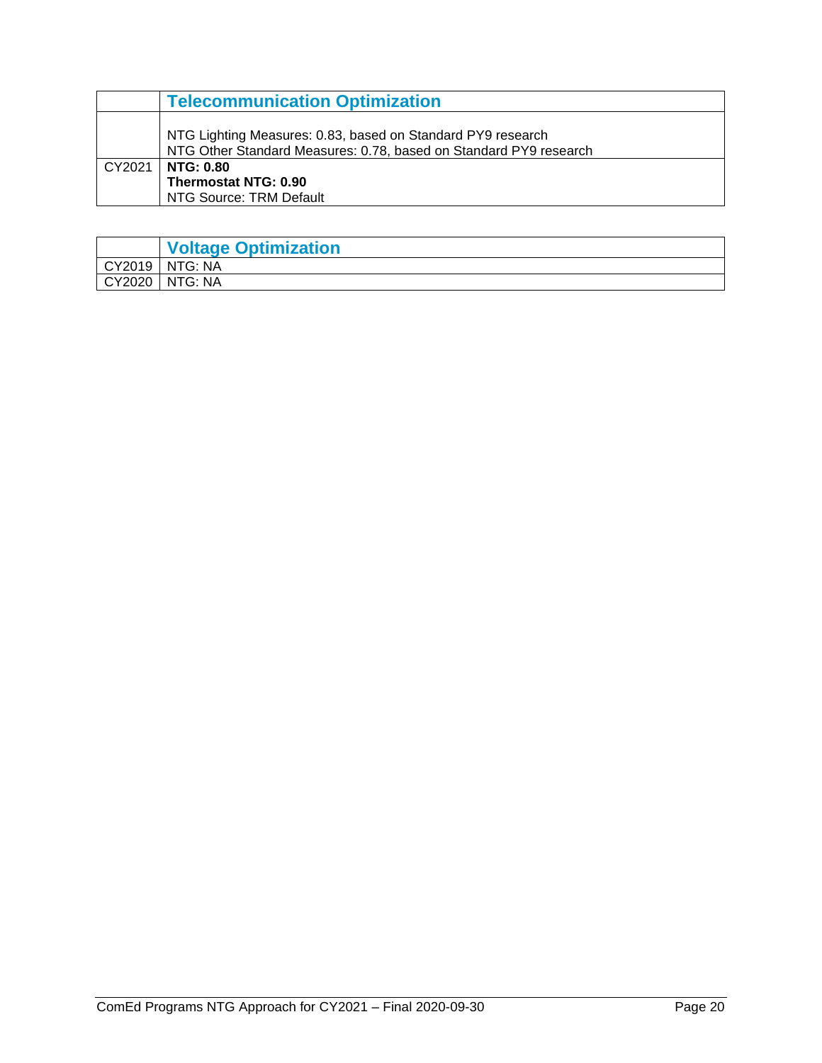|        | <b>Telecommunication Optimization</b>                                                                                            |
|--------|----------------------------------------------------------------------------------------------------------------------------------|
|        | NTG Lighting Measures: 0.83, based on Standard PY9 research<br>NTG Other Standard Measures: 0.78, based on Standard PY9 research |
| CY2021 | <b>NTG: 0.80</b>                                                                                                                 |
|        | <b>Thermostat NTG: 0.90</b>                                                                                                      |
|        | NTG Source: TRM Default                                                                                                          |

<span id="page-21-0"></span>

|        | <b>Voltage Optimization</b> |
|--------|-----------------------------|
| CY2019 | I NTG: NA                   |
| CY2020 | NTG: NA                     |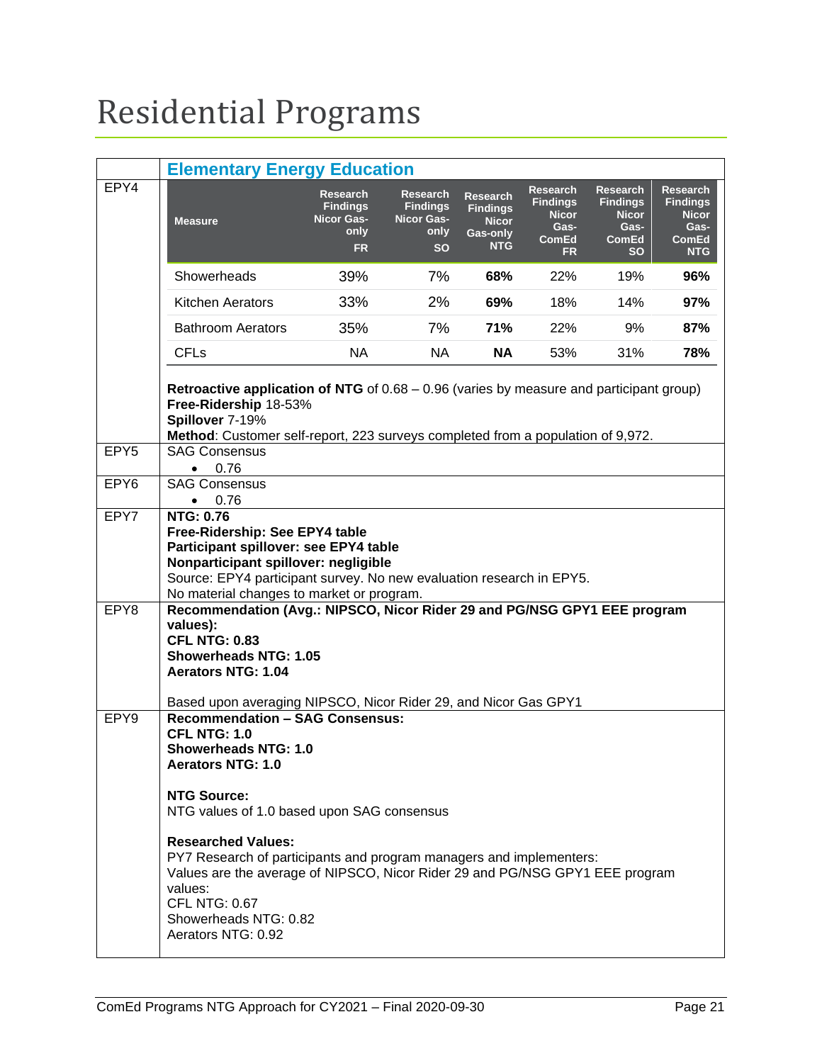## <span id="page-22-0"></span>Residential Programs

<span id="page-22-1"></span>

|                  | <b>Elementary Energy Education</b>                                                                                                                                                                                                                                                                                                                                                                                                                                                                                                    |                                                                              |                                                                              |                                                                              |                                                                                         |                                                                                         |                                                                                          |  |  |  |
|------------------|---------------------------------------------------------------------------------------------------------------------------------------------------------------------------------------------------------------------------------------------------------------------------------------------------------------------------------------------------------------------------------------------------------------------------------------------------------------------------------------------------------------------------------------|------------------------------------------------------------------------------|------------------------------------------------------------------------------|------------------------------------------------------------------------------|-----------------------------------------------------------------------------------------|-----------------------------------------------------------------------------------------|------------------------------------------------------------------------------------------|--|--|--|
| EPY4             | <b>Measure</b>                                                                                                                                                                                                                                                                                                                                                                                                                                                                                                                        | <b>Research</b><br><b>Findings</b><br><b>Nicor Gas-</b><br>only<br><b>FR</b> | <b>Research</b><br><b>Findings</b><br><b>Nicor Gas-</b><br>only<br><b>SO</b> | <b>Research</b><br><b>Findings</b><br><b>Nicor</b><br>Gas-only<br><b>NTG</b> | <b>Research</b><br><b>Findings</b><br><b>Nicor</b><br>Gas-<br><b>ComEd</b><br><b>FR</b> | <b>Research</b><br><b>Findings</b><br><b>Nicor</b><br>Gas-<br><b>ComEd</b><br><b>SO</b> | <b>Research</b><br><b>Findings</b><br><b>Nicor</b><br>Gas-<br><b>ComEd</b><br><b>NTG</b> |  |  |  |
|                  | Showerheads                                                                                                                                                                                                                                                                                                                                                                                                                                                                                                                           | 39%                                                                          | 7%                                                                           | 68%                                                                          | 22%                                                                                     | 19%                                                                                     | 96%                                                                                      |  |  |  |
|                  | <b>Kitchen Aerators</b>                                                                                                                                                                                                                                                                                                                                                                                                                                                                                                               | 33%                                                                          | 2%                                                                           | 69%                                                                          | 18%                                                                                     | 14%                                                                                     | 97%                                                                                      |  |  |  |
|                  | <b>Bathroom Aerators</b>                                                                                                                                                                                                                                                                                                                                                                                                                                                                                                              | 35%                                                                          | 7%                                                                           | 71%                                                                          | 22%                                                                                     | 9%                                                                                      | 87%                                                                                      |  |  |  |
|                  | <b>CFLs</b>                                                                                                                                                                                                                                                                                                                                                                                                                                                                                                                           | <b>NA</b>                                                                    | <b>NA</b>                                                                    | <b>NA</b>                                                                    | 53%                                                                                     | 31%                                                                                     | 78%                                                                                      |  |  |  |
|                  | <b>Retroactive application of NTG</b> of $0.68 - 0.96$ (varies by measure and participant group)<br>Free-Ridership 18-53%<br>Spillover 7-19%<br>Method: Customer self-report, 223 surveys completed from a population of 9,972.                                                                                                                                                                                                                                                                                                       |                                                                              |                                                                              |                                                                              |                                                                                         |                                                                                         |                                                                                          |  |  |  |
| EPY <sub>5</sub> | <b>SAG Consensus</b><br>0.76<br>$\bullet$                                                                                                                                                                                                                                                                                                                                                                                                                                                                                             |                                                                              |                                                                              |                                                                              |                                                                                         |                                                                                         |                                                                                          |  |  |  |
| EPY <sub>6</sub> | <b>SAG Consensus</b><br>0.76<br>$\bullet$                                                                                                                                                                                                                                                                                                                                                                                                                                                                                             |                                                                              |                                                                              |                                                                              |                                                                                         |                                                                                         |                                                                                          |  |  |  |
| EPY7             | <b>NTG: 0.76</b><br>Free-Ridership: See EPY4 table<br>Participant spillover: see EPY4 table<br>Nonparticipant spillover: negligible<br>Source: EPY4 participant survey. No new evaluation research in EPY5.<br>No material changes to market or program.                                                                                                                                                                                                                                                                              |                                                                              |                                                                              |                                                                              |                                                                                         |                                                                                         |                                                                                          |  |  |  |
| EPY8             | Recommendation (Avg.: NIPSCO, Nicor Rider 29 and PG/NSG GPY1 EEE program<br>values):<br><b>CFL NTG: 0.83</b><br><b>Showerheads NTG: 1.05</b><br><b>Aerators NTG: 1.04</b>                                                                                                                                                                                                                                                                                                                                                             |                                                                              |                                                                              |                                                                              |                                                                                         |                                                                                         |                                                                                          |  |  |  |
| EPY9             | Based upon averaging NIPSCO, Nicor Rider 29, and Nicor Gas GPY1<br><b>Recommendation - SAG Consensus:</b><br><b>CFL NTG: 1.0</b><br><b>Showerheads NTG: 1.0</b><br><b>Aerators NTG: 1.0</b><br><b>NTG Source:</b><br>NTG values of 1.0 based upon SAG consensus<br><b>Researched Values:</b><br>PY7 Research of participants and program managers and implementers:<br>Values are the average of NIPSCO, Nicor Rider 29 and PG/NSG GPY1 EEE program<br>values:<br><b>CFL NTG: 0.67</b><br>Showerheads NTG: 0.82<br>Aerators NTG: 0.92 |                                                                              |                                                                              |                                                                              |                                                                                         |                                                                                         |                                                                                          |  |  |  |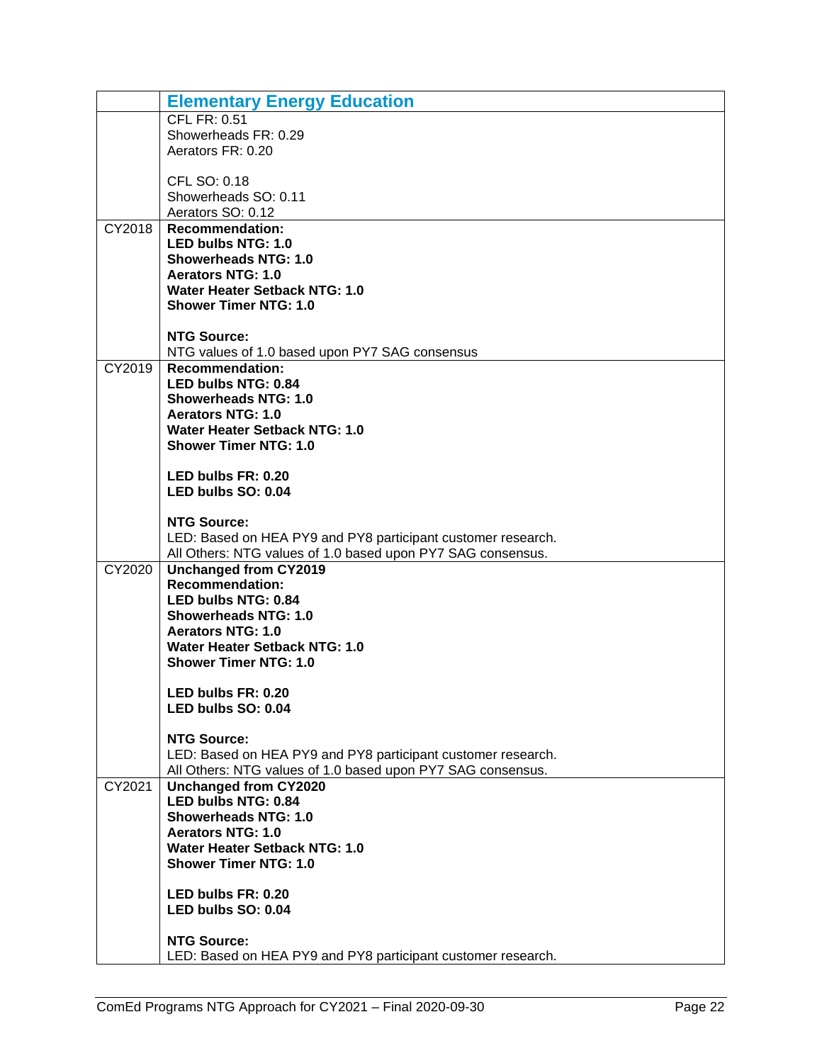|        | <b>Elementary Energy Education</b>                                                          |
|--------|---------------------------------------------------------------------------------------------|
|        | <b>CFL FR: 0.51</b>                                                                         |
|        | Showerheads FR: 0.29                                                                        |
|        | Aerators FR: 0.20                                                                           |
|        | CFL SO: 0.18                                                                                |
|        | Showerheads SO: 0.11                                                                        |
|        | Aerators SO: 0.12                                                                           |
| CY2018 | <b>Recommendation:</b>                                                                      |
|        | LED bulbs NTG: 1.0                                                                          |
|        | <b>Showerheads NTG: 1.0</b>                                                                 |
|        | <b>Aerators NTG: 1.0</b>                                                                    |
|        | <b>Water Heater Setback NTG: 1.0</b><br><b>Shower Timer NTG: 1.0</b>                        |
|        |                                                                                             |
|        | <b>NTG Source:</b>                                                                          |
|        | NTG values of 1.0 based upon PY7 SAG consensus                                              |
| CY2019 | <b>Recommendation:</b>                                                                      |
|        | LED bulbs NTG: 0.84                                                                         |
|        | <b>Showerheads NTG: 1.0</b>                                                                 |
|        | <b>Aerators NTG: 1.0</b>                                                                    |
|        | <b>Water Heater Setback NTG: 1.0</b><br><b>Shower Timer NTG: 1.0</b>                        |
|        |                                                                                             |
|        | LED bulbs FR: 0.20                                                                          |
|        | LED bulbs SO: 0.04                                                                          |
|        |                                                                                             |
|        | <b>NTG Source:</b>                                                                          |
|        | LED: Based on HEA PY9 and PY8 participant customer research.                                |
| CY2020 | All Others: NTG values of 1.0 based upon PY7 SAG consensus.<br><b>Unchanged from CY2019</b> |
|        | <b>Recommendation:</b>                                                                      |
|        | LED bulbs NTG: 0.84                                                                         |
|        | <b>Showerheads NTG: 1.0</b>                                                                 |
|        | <b>Aerators NTG: 1.0</b>                                                                    |
|        | <b>Water Heater Setback NTG: 1.0</b>                                                        |
|        | <b>Shower Timer NTG: 1.0</b>                                                                |
|        |                                                                                             |
|        | LED bulbs FR: 0.20<br>LED bulbs SO: 0.04                                                    |
|        |                                                                                             |
|        | <b>NTG Source:</b>                                                                          |
|        | LED: Based on HEA PY9 and PY8 participant customer research.                                |
|        | All Others: NTG values of 1.0 based upon PY7 SAG consensus.                                 |
| CY2021 | <b>Unchanged from CY2020</b>                                                                |
|        | <b>LED bulbs NTG: 0.84</b><br><b>Showerheads NTG: 1.0</b>                                   |
|        | <b>Aerators NTG: 1.0</b>                                                                    |
|        | <b>Water Heater Setback NTG: 1.0</b>                                                        |
|        | <b>Shower Timer NTG: 1.0</b>                                                                |
|        |                                                                                             |
|        | LED bulbs FR: 0.20                                                                          |
|        | LED bulbs SO: 0.04                                                                          |
|        | <b>NTG Source:</b>                                                                          |
|        | LED: Based on HEA PY9 and PY8 participant customer research.                                |
|        |                                                                                             |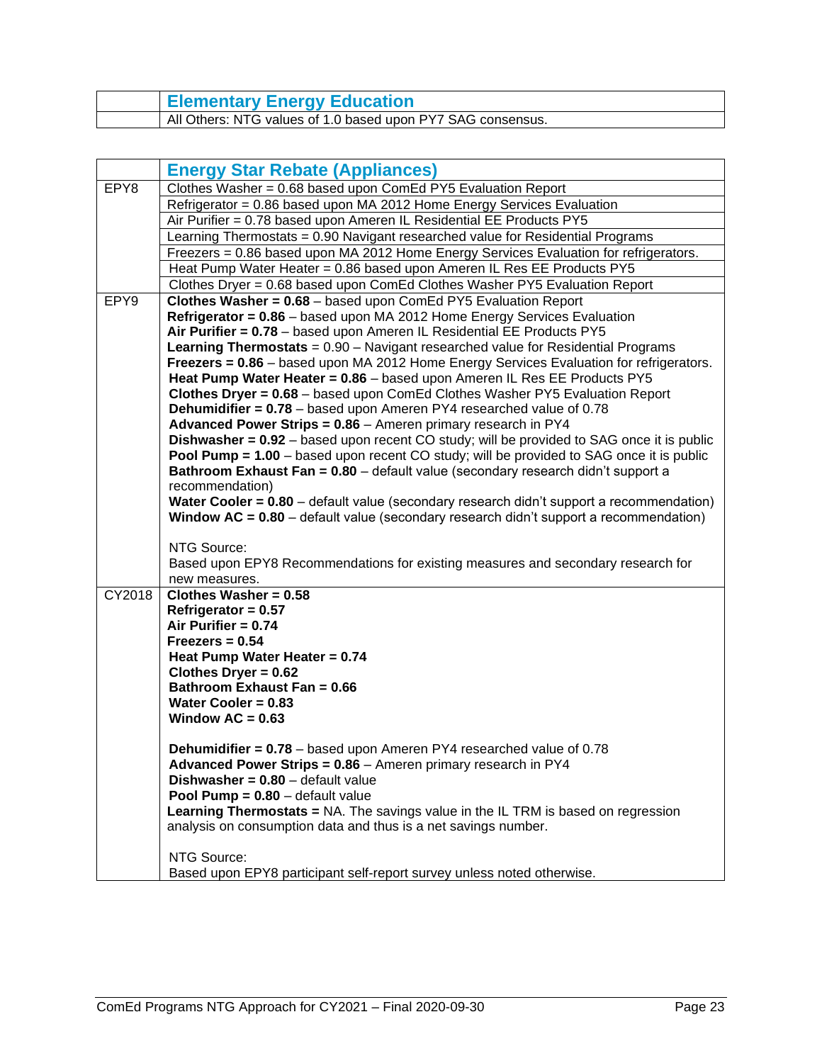| <b>Elementary Energy Education</b>                          |
|-------------------------------------------------------------|
| All Others: NTG values of 1.0 based upon PY7 SAG consensus. |

<span id="page-24-0"></span>

|        | <b>Energy Star Rebate (Appliances)</b>                                                                                                       |
|--------|----------------------------------------------------------------------------------------------------------------------------------------------|
| EPY8   | Clothes Washer = 0.68 based upon ComEd PY5 Evaluation Report                                                                                 |
|        | Refrigerator = 0.86 based upon MA 2012 Home Energy Services Evaluation                                                                       |
|        | Air Purifier = 0.78 based upon Ameren IL Residential EE Products PY5                                                                         |
|        | Learning Thermostats = 0.90 Navigant researched value for Residential Programs                                                               |
|        | Freezers = 0.86 based upon MA 2012 Home Energy Services Evaluation for refrigerators.                                                        |
|        | Heat Pump Water Heater = 0.86 based upon Ameren IL Res EE Products PY5                                                                       |
|        | Clothes Dryer = 0.68 based upon ComEd Clothes Washer PY5 Evaluation Report                                                                   |
| EPY9   | Clothes Washer = 0.68 - based upon ComEd PY5 Evaluation Report                                                                               |
|        | Refrigerator = 0.86 - based upon MA 2012 Home Energy Services Evaluation                                                                     |
|        | Air Purifier = 0.78 - based upon Ameren IL Residential EE Products PY5                                                                       |
|        | Learning Thermostats = 0.90 - Navigant researched value for Residential Programs                                                             |
|        | Freezers = 0.86 - based upon MA 2012 Home Energy Services Evaluation for refrigerators.                                                      |
|        | Heat Pump Water Heater = 0.86 - based upon Ameren IL Res EE Products PY5                                                                     |
|        | Clothes Dryer = 0.68 - based upon ComEd Clothes Washer PY5 Evaluation Report                                                                 |
|        | <b>Dehumidifier = 0.78</b> – based upon Ameren PY4 researched value of 0.78                                                                  |
|        | Advanced Power Strips = 0.86 - Ameren primary research in PY4                                                                                |
|        | <b>Dishwasher = 0.92</b> – based upon recent CO study; will be provided to SAG once it is public                                             |
|        | <b>Pool Pump = 1.00</b> – based upon recent CO study; will be provided to SAG once it is public                                              |
|        | Bathroom Exhaust Fan = 0.80 - default value (secondary research didn't support a<br>recommendation)                                          |
|        | Water Cooler = 0.80 - default value (secondary research didn't support a recommendation)                                                     |
|        | <b>Window AC = 0.80</b> – default value (secondary research didn't support a recommendation)                                                 |
|        |                                                                                                                                              |
|        | NTG Source:                                                                                                                                  |
|        | Based upon EPY8 Recommendations for existing measures and secondary research for                                                             |
|        | new measures.                                                                                                                                |
| CY2018 | Clothes Washer = $0.58$                                                                                                                      |
|        | Refrigerator = $0.57$                                                                                                                        |
|        | Air Purifier = 0.74                                                                                                                          |
|        | $Freezers = 0.54$                                                                                                                            |
|        | Heat Pump Water Heater = 0.74                                                                                                                |
|        | Clothes Dryer = 0.62                                                                                                                         |
|        | Bathroom Exhaust Fan = 0.66                                                                                                                  |
|        | Water Cooler = $0.83$                                                                                                                        |
|        | Window $AC = 0.63$                                                                                                                           |
|        |                                                                                                                                              |
|        | <b>Dehumidifier = 0.78</b> – based upon Ameren PY4 researched value of 0.78<br>Advanced Power Strips = 0.86 - Ameren primary research in PY4 |
|        | Dishwasher = $0.80$ – default value                                                                                                          |
|        | <b>Pool Pump = <math>0.80</math></b> - default value                                                                                         |
|        | Learning Thermostats = NA. The savings value in the IL TRM is based on regression                                                            |
|        | analysis on consumption data and thus is a net savings number.                                                                               |
|        |                                                                                                                                              |
|        | NTG Source:                                                                                                                                  |
|        | Based upon EPY8 participant self-report survey unless noted otherwise.                                                                       |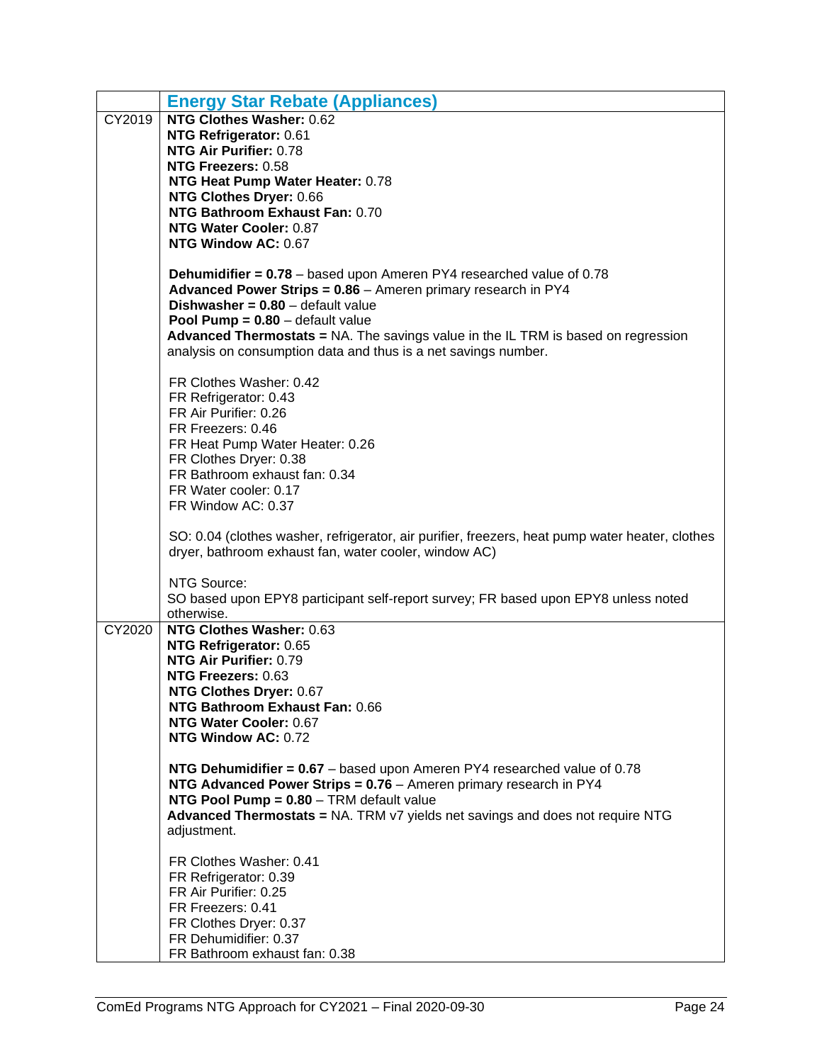|        | <b>Energy Star Rebate (Appliances)</b>                                                                                                            |
|--------|---------------------------------------------------------------------------------------------------------------------------------------------------|
| CY2019 | <b>NTG Clothes Washer: 0.62</b>                                                                                                                   |
|        | NTG Refrigerator: 0.61                                                                                                                            |
|        | NTG Air Purifier: 0.78                                                                                                                            |
|        | NTG Freezers: 0.58                                                                                                                                |
|        | NTG Heat Pump Water Heater: 0.78                                                                                                                  |
|        | NTG Clothes Dryer: 0.66<br>NTG Bathroom Exhaust Fan: 0.70                                                                                         |
|        | NTG Water Cooler: 0.87                                                                                                                            |
|        | NTG Window AC: 0.67                                                                                                                               |
|        |                                                                                                                                                   |
|        | <b>Dehumidifier = 0.78</b> – based upon Ameren PY4 researched value of $0.78$                                                                     |
|        | Advanced Power Strips = 0.86 - Ameren primary research in PY4                                                                                     |
|        | <b>Dishwasher = <math>0.80</math></b> – default value                                                                                             |
|        | <b>Pool Pump = <math>0.80</math></b> – default value<br>Advanced Thermostats = NA. The savings value in the IL TRM is based on regression         |
|        | analysis on consumption data and thus is a net savings number.                                                                                    |
|        |                                                                                                                                                   |
|        | FR Clothes Washer: 0.42                                                                                                                           |
|        | FR Refrigerator: 0.43                                                                                                                             |
|        | FR Air Purifier: 0.26                                                                                                                             |
|        | FR Freezers: 0.46                                                                                                                                 |
|        | FR Heat Pump Water Heater: 0.26<br>FR Clothes Dryer: 0.38                                                                                         |
|        | FR Bathroom exhaust fan: 0.34                                                                                                                     |
|        | FR Water cooler: 0.17                                                                                                                             |
|        | FR Window AC: 0.37                                                                                                                                |
|        |                                                                                                                                                   |
|        | SO: 0.04 (clothes washer, refrigerator, air purifier, freezers, heat pump water heater, clothes                                                   |
|        | dryer, bathroom exhaust fan, water cooler, window AC)                                                                                             |
|        | NTG Source:                                                                                                                                       |
|        | SO based upon EPY8 participant self-report survey; FR based upon EPY8 unless noted                                                                |
|        | otherwise.                                                                                                                                        |
| CY2020 | NTG Clothes Washer: 0.63                                                                                                                          |
|        | NTG Refrigerator: 0.65                                                                                                                            |
|        | NTG Air Purifier: 0.79<br>NTG Freezers: 0.63                                                                                                      |
|        | NTG Clothes Dryer: 0.67                                                                                                                           |
|        | NTG Bathroom Exhaust Fan: 0.66                                                                                                                    |
|        | NTG Water Cooler: 0.67                                                                                                                            |
|        | NTG Window AC: 0.72                                                                                                                               |
|        |                                                                                                                                                   |
|        | NTG Dehumidifier = $0.67$ – based upon Ameren PY4 researched value of 0.78<br>NTG Advanced Power Strips = $0.76$ – Ameren primary research in PY4 |
|        | NTG Pool Pump = 0.80 - TRM default value                                                                                                          |
|        | Advanced Thermostats = NA. TRM v7 yields net savings and does not require NTG                                                                     |
|        | adjustment.                                                                                                                                       |
|        |                                                                                                                                                   |
|        | FR Clothes Washer: 0.41                                                                                                                           |
|        | FR Refrigerator: 0.39<br>FR Air Purifier: 0.25                                                                                                    |
|        | FR Freezers: 0.41                                                                                                                                 |
|        | FR Clothes Dryer: 0.37                                                                                                                            |
|        | FR Dehumidifier: 0.37                                                                                                                             |
|        | FR Bathroom exhaust fan: 0.38                                                                                                                     |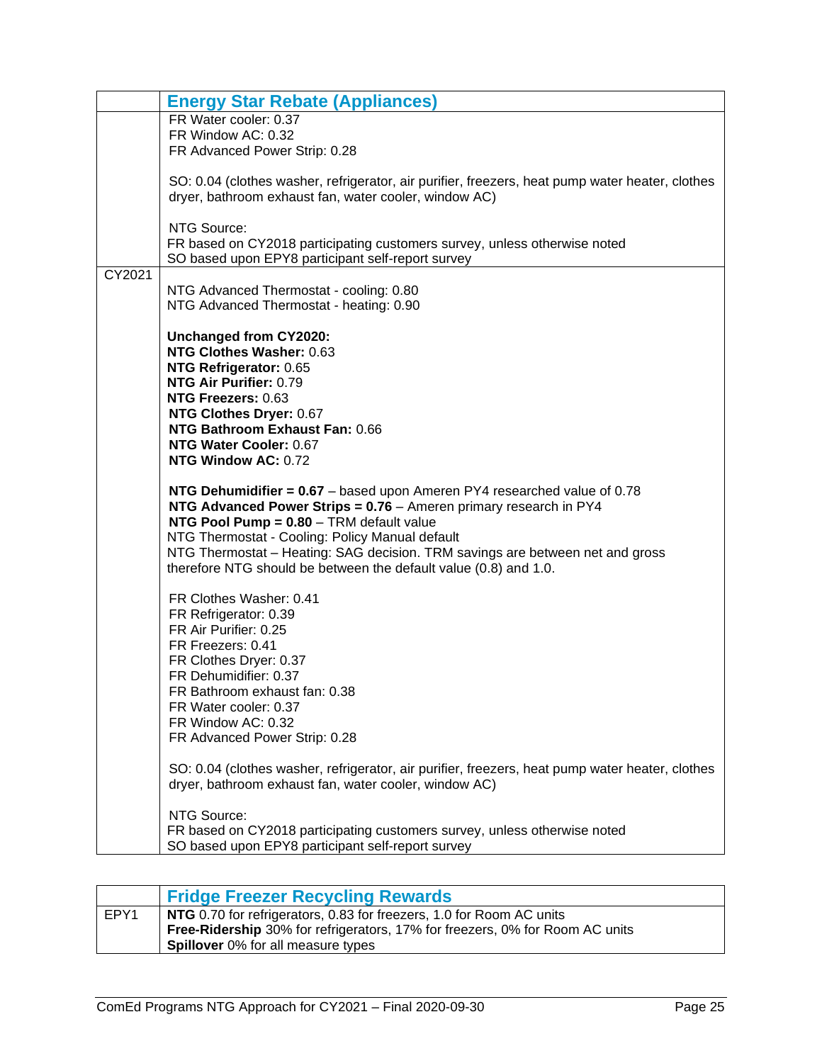|        | <b>Energy Star Rebate (Appliances)</b>                                                                                                                                                                                                                                                                                                                                                              |  |  |  |  |  |  |
|--------|-----------------------------------------------------------------------------------------------------------------------------------------------------------------------------------------------------------------------------------------------------------------------------------------------------------------------------------------------------------------------------------------------------|--|--|--|--|--|--|
|        | FR Water cooler: 0.37                                                                                                                                                                                                                                                                                                                                                                               |  |  |  |  |  |  |
|        | FR Window AC: 0.32                                                                                                                                                                                                                                                                                                                                                                                  |  |  |  |  |  |  |
|        | FR Advanced Power Strip: 0.28                                                                                                                                                                                                                                                                                                                                                                       |  |  |  |  |  |  |
|        | SO: 0.04 (clothes washer, refrigerator, air purifier, freezers, heat pump water heater, clothes<br>dryer, bathroom exhaust fan, water cooler, window AC)                                                                                                                                                                                                                                            |  |  |  |  |  |  |
|        |                                                                                                                                                                                                                                                                                                                                                                                                     |  |  |  |  |  |  |
|        | NTG Source:                                                                                                                                                                                                                                                                                                                                                                                         |  |  |  |  |  |  |
|        | FR based on CY2018 participating customers survey, unless otherwise noted<br>SO based upon EPY8 participant self-report survey                                                                                                                                                                                                                                                                      |  |  |  |  |  |  |
| CY2021 |                                                                                                                                                                                                                                                                                                                                                                                                     |  |  |  |  |  |  |
|        | NTG Advanced Thermostat - cooling: 0.80<br>NTG Advanced Thermostat - heating: 0.90                                                                                                                                                                                                                                                                                                                  |  |  |  |  |  |  |
|        |                                                                                                                                                                                                                                                                                                                                                                                                     |  |  |  |  |  |  |
|        | Unchanged from CY2020:                                                                                                                                                                                                                                                                                                                                                                              |  |  |  |  |  |  |
|        | NTG Clothes Washer: 0.63                                                                                                                                                                                                                                                                                                                                                                            |  |  |  |  |  |  |
|        | NTG Refrigerator: 0.65<br>NTG Air Purifier: 0.79                                                                                                                                                                                                                                                                                                                                                    |  |  |  |  |  |  |
|        | NTG Freezers: 0.63                                                                                                                                                                                                                                                                                                                                                                                  |  |  |  |  |  |  |
|        | NTG Clothes Dryer: 0.67                                                                                                                                                                                                                                                                                                                                                                             |  |  |  |  |  |  |
|        | NTG Bathroom Exhaust Fan: 0.66                                                                                                                                                                                                                                                                                                                                                                      |  |  |  |  |  |  |
|        | NTG Water Cooler: 0.67                                                                                                                                                                                                                                                                                                                                                                              |  |  |  |  |  |  |
|        | NTG Window AC: 0.72                                                                                                                                                                                                                                                                                                                                                                                 |  |  |  |  |  |  |
|        | NTG Dehumidifier = $0.67$ – based upon Ameren PY4 researched value of 0.78<br>NTG Advanced Power Strips = 0.76 - Ameren primary research in PY4<br>NTG Pool Pump = 0.80 - TRM default value<br>NTG Thermostat - Cooling: Policy Manual default<br>NTG Thermostat – Heating: SAG decision. TRM savings are between net and gross<br>therefore NTG should be between the default value (0.8) and 1.0. |  |  |  |  |  |  |
|        | FR Clothes Washer: 0.41<br>FR Refrigerator: 0.39<br>FR Air Purifier: 0.25<br>FR Freezers: 0.41<br>FR Clothes Dryer: 0.37<br>FR Dehumidifier: 0.37<br>FR Bathroom exhaust fan: 0.38<br>FR Water cooler: 0.37<br>FR Window AC: 0.32<br>FR Advanced Power Strip: 0.28                                                                                                                                  |  |  |  |  |  |  |
|        | SO: 0.04 (clothes washer, refrigerator, air purifier, freezers, heat pump water heater, clothes<br>dryer, bathroom exhaust fan, water cooler, window AC)                                                                                                                                                                                                                                            |  |  |  |  |  |  |
|        | NTG Source:<br>FR based on CY2018 participating customers survey, unless otherwise noted<br>SO based upon EPY8 participant self-report survey                                                                                                                                                                                                                                                       |  |  |  |  |  |  |

<span id="page-26-0"></span>

|      | <b>Fridge Freezer Recycling Rewards</b>                                             |
|------|-------------------------------------------------------------------------------------|
| EPY1 | NTG 0.70 for refrigerators, 0.83 for freezers, 1.0 for Room AC units                |
|      | <b>Free-Ridership</b> 30% for refrigerators, 17% for freezers, 0% for Room AC units |
|      | <b>Spillover</b> 0% for all measure types                                           |
|      |                                                                                     |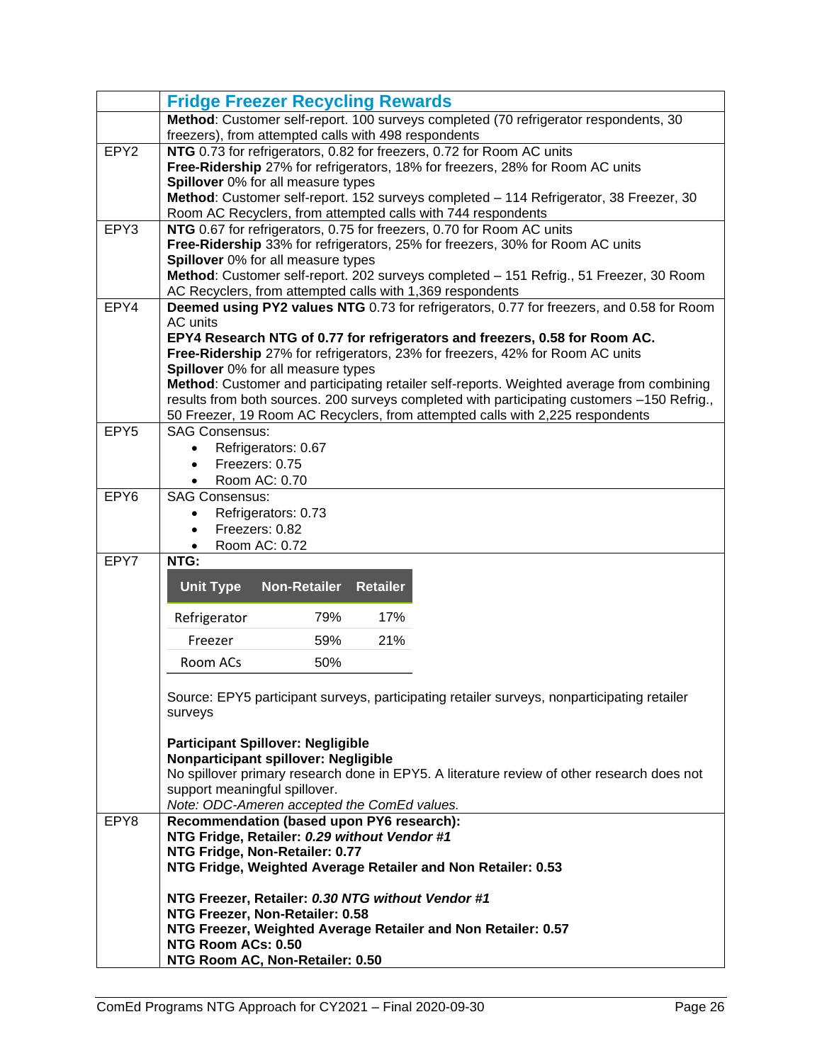|                  | <b>Fridge Freezer Recycling Rewards</b>                                                                                               |  |  |  |  |  |  |
|------------------|---------------------------------------------------------------------------------------------------------------------------------------|--|--|--|--|--|--|
|                  | Method: Customer self-report. 100 surveys completed (70 refrigerator respondents, 30                                                  |  |  |  |  |  |  |
|                  | freezers), from attempted calls with 498 respondents                                                                                  |  |  |  |  |  |  |
| EPY <sub>2</sub> | NTG 0.73 for refrigerators, 0.82 for freezers, 0.72 for Room AC units                                                                 |  |  |  |  |  |  |
|                  | Free-Ridership 27% for refrigerators, 18% for freezers, 28% for Room AC units                                                         |  |  |  |  |  |  |
|                  | Spillover 0% for all measure types                                                                                                    |  |  |  |  |  |  |
|                  | Method: Customer self-report. 152 surveys completed - 114 Refrigerator, 38 Freezer, 30                                                |  |  |  |  |  |  |
| EPY3             | Room AC Recyclers, from attempted calls with 744 respondents<br>NTG 0.67 for refrigerators, 0.75 for freezers, 0.70 for Room AC units |  |  |  |  |  |  |
|                  | Free-Ridership 33% for refrigerators, 25% for freezers, 30% for Room AC units                                                         |  |  |  |  |  |  |
|                  | Spillover 0% for all measure types                                                                                                    |  |  |  |  |  |  |
|                  | Method: Customer self-report. 202 surveys completed - 151 Refrig., 51 Freezer, 30 Room                                                |  |  |  |  |  |  |
|                  | AC Recyclers, from attempted calls with 1,369 respondents                                                                             |  |  |  |  |  |  |
| EPY4             | Deemed using PY2 values NTG 0.73 for refrigerators, 0.77 for freezers, and 0.58 for Room                                              |  |  |  |  |  |  |
|                  | AC units                                                                                                                              |  |  |  |  |  |  |
|                  | EPY4 Research NTG of 0.77 for refrigerators and freezers, 0.58 for Room AC.                                                           |  |  |  |  |  |  |
|                  | Free-Ridership 27% for refrigerators, 23% for freezers, 42% for Room AC units                                                         |  |  |  |  |  |  |
|                  | Spillover 0% for all measure types                                                                                                    |  |  |  |  |  |  |
|                  | Method: Customer and participating retailer self-reports. Weighted average from combining                                             |  |  |  |  |  |  |
|                  | results from both sources. 200 surveys completed with participating customers -150 Refrig.,                                           |  |  |  |  |  |  |
| EPY <sub>5</sub> | 50 Freezer, 19 Room AC Recyclers, from attempted calls with 2,225 respondents<br><b>SAG Consensus:</b>                                |  |  |  |  |  |  |
|                  | Refrigerators: 0.67                                                                                                                   |  |  |  |  |  |  |
|                  | Freezers: 0.75<br>$\bullet$                                                                                                           |  |  |  |  |  |  |
|                  | Room AC: 0.70                                                                                                                         |  |  |  |  |  |  |
| EPY <sub>6</sub> | <b>SAG Consensus:</b>                                                                                                                 |  |  |  |  |  |  |
|                  | Refrigerators: 0.73<br>٠                                                                                                              |  |  |  |  |  |  |
|                  | Freezers: 0.82<br>$\bullet$                                                                                                           |  |  |  |  |  |  |
|                  | Room AC: 0.72<br>$\bullet$                                                                                                            |  |  |  |  |  |  |
| EPY7             | NTG:                                                                                                                                  |  |  |  |  |  |  |
|                  | <b>Unit Type</b><br><b>Non-Retailer</b><br><b>Retailer</b>                                                                            |  |  |  |  |  |  |
|                  |                                                                                                                                       |  |  |  |  |  |  |
|                  | Refrigerator<br>79%<br>17%                                                                                                            |  |  |  |  |  |  |
|                  | 59%<br>21%<br>Freezer                                                                                                                 |  |  |  |  |  |  |
|                  | Room ACs<br>50%                                                                                                                       |  |  |  |  |  |  |
|                  |                                                                                                                                       |  |  |  |  |  |  |
|                  | Source: EPY5 participant surveys, participating retailer surveys, nonparticipating retailer                                           |  |  |  |  |  |  |
|                  | surveys                                                                                                                               |  |  |  |  |  |  |
|                  |                                                                                                                                       |  |  |  |  |  |  |
|                  | <b>Participant Spillover: Negligible</b>                                                                                              |  |  |  |  |  |  |
|                  | Nonparticipant spillover: Negligible<br>No spillover primary research done in EPY5. A literature review of other research does not    |  |  |  |  |  |  |
|                  | support meaningful spillover.                                                                                                         |  |  |  |  |  |  |
|                  | Note: ODC-Ameren accepted the ComEd values.                                                                                           |  |  |  |  |  |  |
| EPY8             | Recommendation (based upon PY6 research):                                                                                             |  |  |  |  |  |  |
|                  | NTG Fridge, Retailer: 0.29 without Vendor #1                                                                                          |  |  |  |  |  |  |
|                  | NTG Fridge, Non-Retailer: 0.77                                                                                                        |  |  |  |  |  |  |
|                  | NTG Fridge, Weighted Average Retailer and Non Retailer: 0.53                                                                          |  |  |  |  |  |  |
|                  |                                                                                                                                       |  |  |  |  |  |  |
|                  | NTG Freezer, Retailer: 0.30 NTG without Vendor #1                                                                                     |  |  |  |  |  |  |
|                  | NTG Freezer, Non-Retailer: 0.58<br>NTG Freezer, Weighted Average Retailer and Non Retailer: 0.57                                      |  |  |  |  |  |  |
|                  | NTG Room ACs: 0.50                                                                                                                    |  |  |  |  |  |  |
|                  | NTG Room AC, Non-Retailer: 0.50                                                                                                       |  |  |  |  |  |  |
|                  |                                                                                                                                       |  |  |  |  |  |  |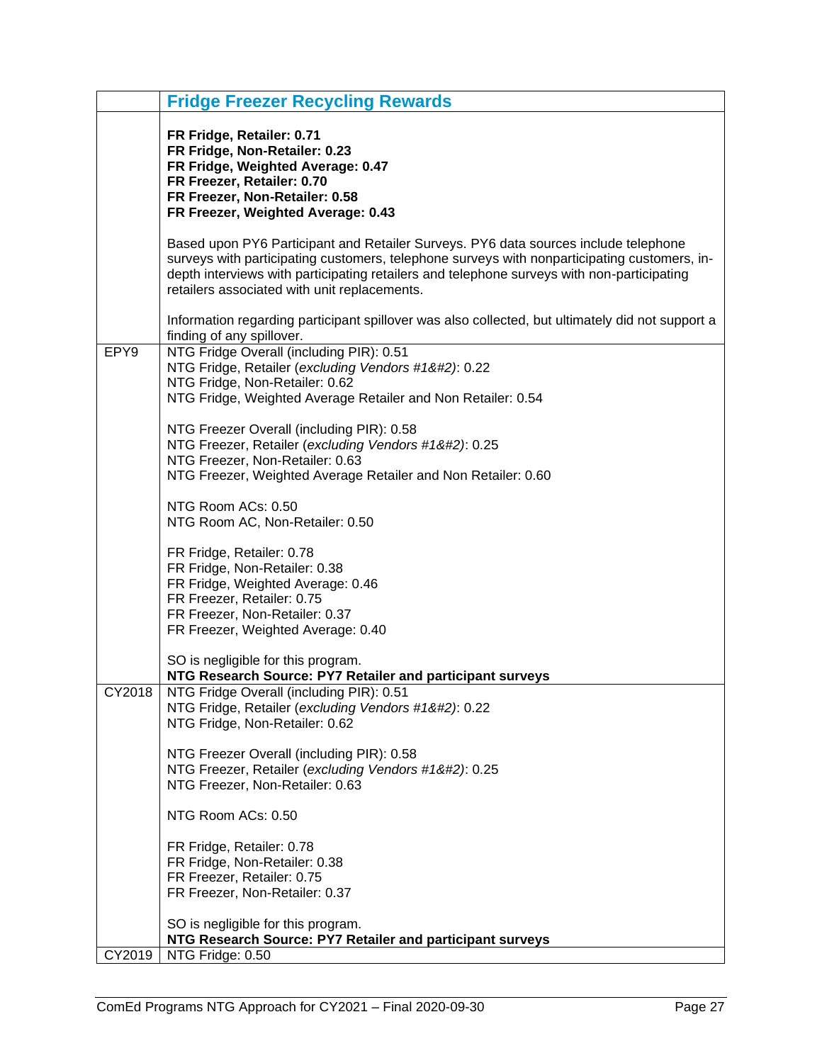|        | <b>Fridge Freezer Recycling Rewards</b>                                                                                                                                                                                                                                                                                           |
|--------|-----------------------------------------------------------------------------------------------------------------------------------------------------------------------------------------------------------------------------------------------------------------------------------------------------------------------------------|
|        | FR Fridge, Retailer: 0.71<br>FR Fridge, Non-Retailer: 0.23<br>FR Fridge, Weighted Average: 0.47<br>FR Freezer, Retailer: 0.70<br>FR Freezer, Non-Retailer: 0.58<br>FR Freezer, Weighted Average: 0.43                                                                                                                             |
|        | Based upon PY6 Participant and Retailer Surveys. PY6 data sources include telephone<br>surveys with participating customers, telephone surveys with nonparticipating customers, in-<br>depth interviews with participating retailers and telephone surveys with non-participating<br>retailers associated with unit replacements. |
|        | Information regarding participant spillover was also collected, but ultimately did not support a<br>finding of any spillover.                                                                                                                                                                                                     |
| EPY9   | NTG Fridge Overall (including PIR): 0.51<br>NTG Fridge, Retailer (excluding Vendors #1): 0.22<br>NTG Fridge, Non-Retailer: 0.62<br>NTG Fridge, Weighted Average Retailer and Non Retailer: 0.54                                                                                                                                  |
|        | NTG Freezer Overall (including PIR): 0.58<br>NTG Freezer, Retailer (excluding Vendors #1): 0.25<br>NTG Freezer, Non-Retailer: 0.63<br>NTG Freezer, Weighted Average Retailer and Non Retailer: 0.60                                                                                                                              |
|        | NTG Room ACs: 0.50<br>NTG Room AC, Non-Retailer: 0.50                                                                                                                                                                                                                                                                             |
|        | FR Fridge, Retailer: 0.78<br>FR Fridge, Non-Retailer: 0.38<br>FR Fridge, Weighted Average: 0.46<br>FR Freezer, Retailer: 0.75<br>FR Freezer, Non-Retailer: 0.37<br>FR Freezer, Weighted Average: 0.40                                                                                                                             |
|        | SO is negligible for this program.<br>NTG Research Source: PY7 Retailer and participant surveys                                                                                                                                                                                                                                   |
| CY2018 | NTG Fridge Overall (including PIR): 0.51<br>NTG Fridge, Retailer (excluding Vendors #1): 0.22<br>NTG Fridge, Non-Retailer: 0.62                                                                                                                                                                                                  |
|        | NTG Freezer Overall (including PIR): 0.58<br>NTG Freezer, Retailer (excluding Vendors #1): 0.25<br>NTG Freezer, Non-Retailer: 0.63                                                                                                                                                                                               |
|        | NTG Room ACs: 0.50                                                                                                                                                                                                                                                                                                                |
|        | FR Fridge, Retailer: 0.78<br>FR Fridge, Non-Retailer: 0.38<br>FR Freezer, Retailer: 0.75<br>FR Freezer, Non-Retailer: 0.37                                                                                                                                                                                                        |
| CY2019 | SO is negligible for this program.<br>NTG Research Source: PY7 Retailer and participant surveys<br>NTG Fridge: 0.50                                                                                                                                                                                                               |
|        |                                                                                                                                                                                                                                                                                                                                   |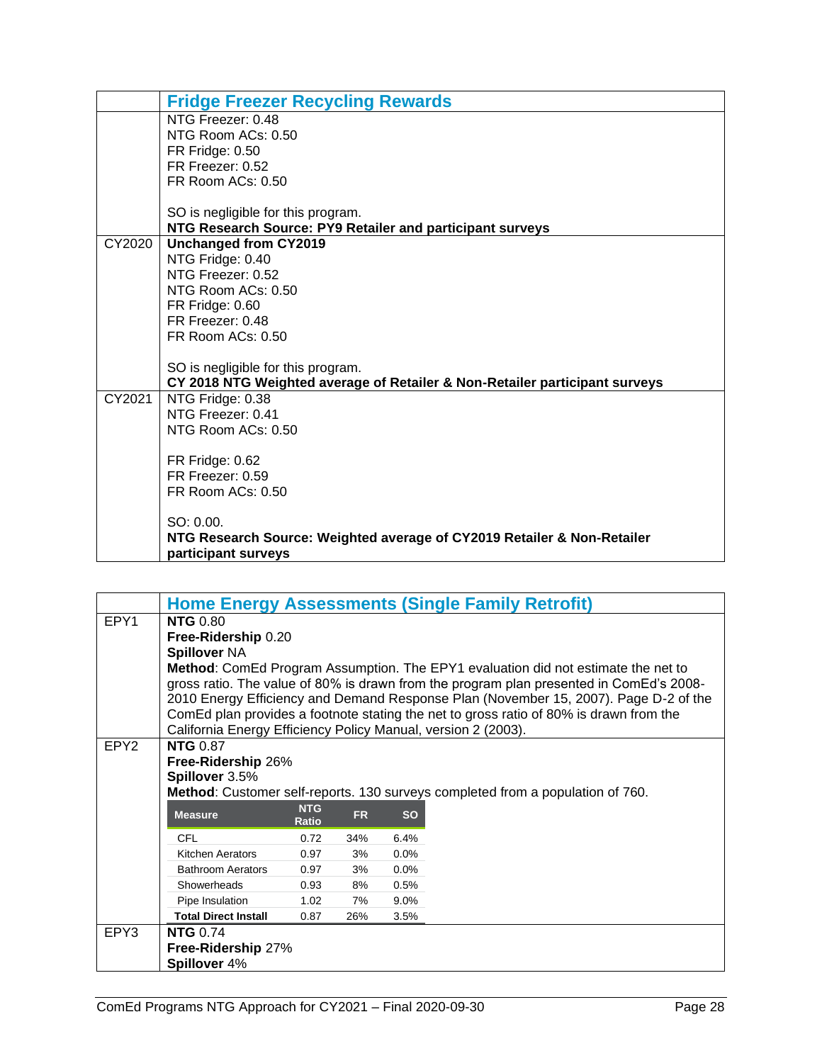|        | <b>Fridge Freezer Recycling Rewards</b>                                     |
|--------|-----------------------------------------------------------------------------|
|        | NTG Freezer: 048                                                            |
|        | NTG Room ACs: 0.50                                                          |
|        | FR Fridge: 0.50                                                             |
|        | FR Freezer: 0.52                                                            |
|        | FR Room ACs: 0.50                                                           |
|        |                                                                             |
|        | SO is negligible for this program.                                          |
|        | NTG Research Source: PY9 Retailer and participant surveys                   |
| CY2020 | <b>Unchanged from CY2019</b>                                                |
|        | NTG Fridge: 0.40                                                            |
|        | NTG Freezer: 0.52                                                           |
|        | NTG Room ACs: 0.50                                                          |
|        | FR Fridge: 0.60                                                             |
|        | FR Freezer: 0.48                                                            |
|        | FR Room ACs: 0.50                                                           |
|        |                                                                             |
|        | SO is negligible for this program.                                          |
|        | CY 2018 NTG Weighted average of Retailer & Non-Retailer participant surveys |
| CY2021 | NTG Fridge: 0.38                                                            |
|        | NTG Freezer: 0.41                                                           |
|        | NTG Room ACs: 0.50                                                          |
|        |                                                                             |
|        | FR Fridge: 0.62<br>FR Freezer: 0.59                                         |
|        |                                                                             |
|        | FR Room ACs: 0.50                                                           |
|        | $SO: 0.00$ .                                                                |
|        | NTG Research Source: Weighted average of CY2019 Retailer & Non-Retailer     |
|        | participant surveys                                                         |
|        |                                                                             |

<span id="page-29-0"></span>

|                  | <b>Home Energy Assessments (Single Family Retrofit)</b>                                  |                     |           |           |                                                                                         |  |  |  |  |
|------------------|------------------------------------------------------------------------------------------|---------------------|-----------|-----------|-----------------------------------------------------------------------------------------|--|--|--|--|
| EPY1             | <b>NTG 0.80</b>                                                                          |                     |           |           |                                                                                         |  |  |  |  |
|                  | Free-Ridership 0.20                                                                      |                     |           |           |                                                                                         |  |  |  |  |
|                  | <b>Spillover NA</b>                                                                      |                     |           |           |                                                                                         |  |  |  |  |
|                  | <b>Method:</b> ComEd Program Assumption. The EPY1 evaluation did not estimate the net to |                     |           |           |                                                                                         |  |  |  |  |
|                  |                                                                                          |                     |           |           | gross ratio. The value of 80% is drawn from the program plan presented in ComEd's 2008- |  |  |  |  |
|                  |                                                                                          |                     |           |           | 2010 Energy Efficiency and Demand Response Plan (November 15, 2007). Page D-2 of the    |  |  |  |  |
|                  |                                                                                          |                     |           |           | ComEd plan provides a footnote stating the net to gross ratio of 80% is drawn from the  |  |  |  |  |
|                  | California Energy Efficiency Policy Manual, version 2 (2003).                            |                     |           |           |                                                                                         |  |  |  |  |
| EPY <sub>2</sub> | <b>NTG 0.87</b>                                                                          |                     |           |           |                                                                                         |  |  |  |  |
|                  | Free-Ridership 26%                                                                       |                     |           |           |                                                                                         |  |  |  |  |
|                  | Spillover 3.5%                                                                           |                     |           |           |                                                                                         |  |  |  |  |
|                  |                                                                                          |                     |           |           | Method: Customer self-reports. 130 surveys completed from a population of 760.          |  |  |  |  |
|                  | <b>Measure</b>                                                                           | <b>NTG</b><br>Ratio | <b>FR</b> | <b>SO</b> |                                                                                         |  |  |  |  |
|                  | <b>CFL</b>                                                                               | 0.72                | 34%       | 6.4%      |                                                                                         |  |  |  |  |
|                  | <b>Kitchen Aerators</b>                                                                  | 0.97                | 3%        | 0.0%      |                                                                                         |  |  |  |  |
|                  | <b>Bathroom Aerators</b>                                                                 | 0.97                | 3%        | $0.0\%$   |                                                                                         |  |  |  |  |
|                  | Showerheads                                                                              | 0.93                | 8%        | 0.5%      |                                                                                         |  |  |  |  |
|                  | Pipe Insulation                                                                          | 1.02                | 7%        | $9.0\%$   |                                                                                         |  |  |  |  |
|                  | <b>Total Direct Install</b>                                                              | 0.87                | 26%       | 3.5%      |                                                                                         |  |  |  |  |
| EPY3             | <b>NTG 0.74</b>                                                                          |                     |           |           |                                                                                         |  |  |  |  |
|                  | Free-Ridership 27%                                                                       |                     |           |           |                                                                                         |  |  |  |  |
|                  | Spillover 4%                                                                             |                     |           |           |                                                                                         |  |  |  |  |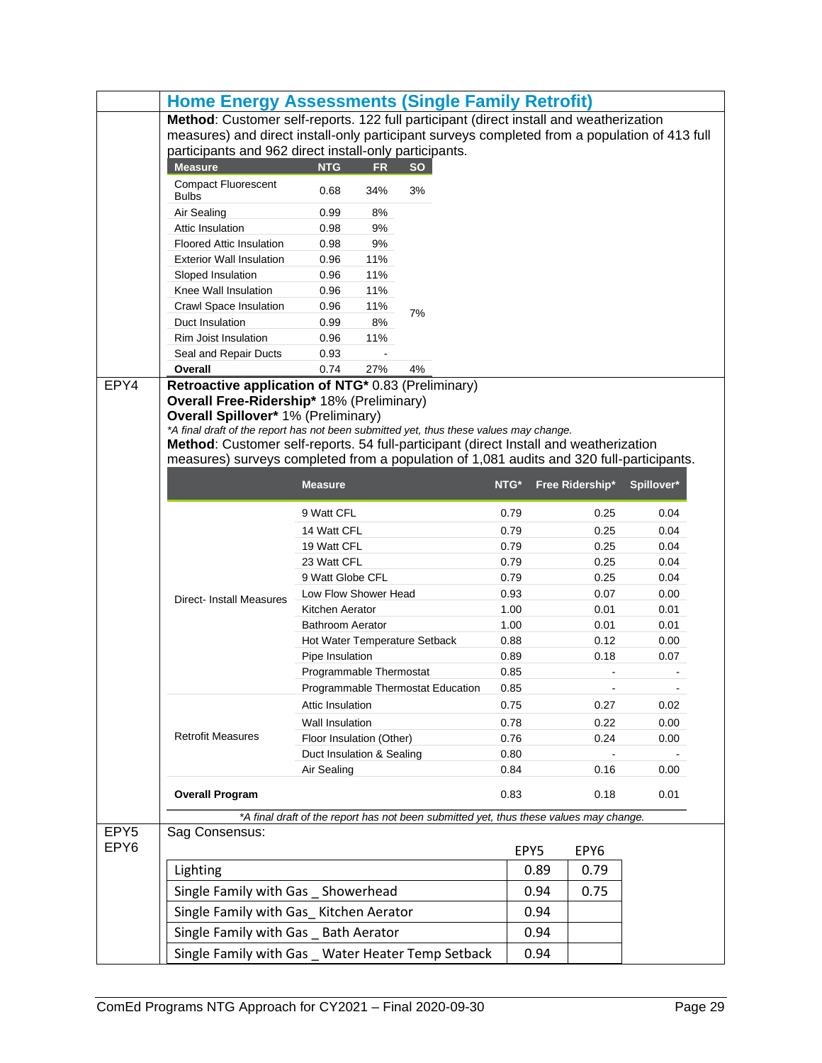|                          | <b>Home Energy Assessments (Single Family Retrofit)</b>                                       |                                                        |           |                                                                                        |      |      |                 |            |
|--------------------------|-----------------------------------------------------------------------------------------------|--------------------------------------------------------|-----------|----------------------------------------------------------------------------------------|------|------|-----------------|------------|
|                          | Method: Customer self-reports. 122 full participant (direct install and weatherization        |                                                        |           |                                                                                        |      |      |                 |            |
|                          | measures) and direct install-only participant surveys completed from a population of 413 full |                                                        |           |                                                                                        |      |      |                 |            |
|                          |                                                                                               | participants and 962 direct install-only participants. |           |                                                                                        |      |      |                 |            |
|                          | <b>Measure</b>                                                                                | <b>NTG</b>                                             | <b>FR</b> | <b>SO</b>                                                                              |      |      |                 |            |
|                          | <b>Compact Fluorescent</b><br><b>Bulbs</b>                                                    | 0.68                                                   | 34%       | 3%                                                                                     |      |      |                 |            |
|                          | Air Sealing                                                                                   | 0.99                                                   | 8%        |                                                                                        |      |      |                 |            |
|                          | Attic Insulation                                                                              | 0.98                                                   | 9%        |                                                                                        |      |      |                 |            |
|                          | <b>Floored Attic Insulation</b>                                                               | 0.98                                                   | 9%        |                                                                                        |      |      |                 |            |
|                          | <b>Exterior Wall Insulation</b>                                                               | 0.96                                                   | 11%       |                                                                                        |      |      |                 |            |
|                          | Sloped Insulation                                                                             | 0.96                                                   | 11%       |                                                                                        |      |      |                 |            |
|                          | Knee Wall Insulation                                                                          | 0.96                                                   | 11%       |                                                                                        |      |      |                 |            |
|                          | Crawl Space Insulation                                                                        | 0.96                                                   | 11%       | 7%                                                                                     |      |      |                 |            |
|                          | Duct Insulation                                                                               | 0.99                                                   | 8%        |                                                                                        |      |      |                 |            |
|                          | Rim Joist Insulation                                                                          | 0.96                                                   | 11%       |                                                                                        |      |      |                 |            |
|                          | Seal and Repair Ducts                                                                         | 0.93                                                   |           |                                                                                        |      |      |                 |            |
|                          | Overall                                                                                       | 0.74                                                   | 27%       | 4%                                                                                     |      |      |                 |            |
| EPY4                     | Retroactive application of NTG* 0.83 (Preliminary)                                            |                                                        |           |                                                                                        |      |      |                 |            |
|                          | Overall Free-Ridership* 18% (Preliminary)                                                     |                                                        |           |                                                                                        |      |      |                 |            |
|                          | <b>Overall Spillover* 1% (Preliminary)</b>                                                    |                                                        |           |                                                                                        |      |      |                 |            |
|                          | *A final draft of the report has not been submitted yet, thus these values may change.        |                                                        |           |                                                                                        |      |      |                 |            |
|                          | Method: Customer self-reports. 54 full-participant (direct Install and weatherization         |                                                        |           |                                                                                        |      |      |                 |            |
|                          | measures) surveys completed from a population of 1,081 audits and 320 full-participants.      |                                                        |           |                                                                                        |      |      |                 |            |
|                          |                                                                                               | <b>Measure</b>                                         |           |                                                                                        | NTG* |      | Free Ridership* | Spillover* |
|                          |                                                                                               |                                                        |           |                                                                                        |      |      |                 |            |
|                          |                                                                                               | 9 Watt CFL                                             |           |                                                                                        | 0.79 |      | 0.25            | 0.04       |
|                          |                                                                                               | 14 Watt CFL                                            |           |                                                                                        | 0.79 |      | 0.25            | 0.04       |
|                          |                                                                                               | 19 Watt CFL                                            |           |                                                                                        | 0.79 |      | 0.25            | 0.04       |
|                          |                                                                                               | 23 Watt CFL                                            |           |                                                                                        | 0.79 |      | 0.25            | 0.04       |
|                          |                                                                                               | 9 Watt Globe CFL                                       |           |                                                                                        | 0.79 |      | 0.25            | 0.04       |
|                          | <b>Direct-Install Measures</b>                                                                | Low Flow Shower Head                                   |           |                                                                                        | 0.93 |      | 0.07            | 0.00       |
|                          |                                                                                               | Kitchen Aerator                                        |           |                                                                                        | 1.00 |      | 0.01            | 0.01       |
|                          |                                                                                               | <b>Bathroom Aerator</b>                                |           |                                                                                        | 1.00 |      | 0.01            | 0.01       |
|                          |                                                                                               |                                                        |           | Hot Water Temperature Setback                                                          | 0.88 |      | 0.12            | 0.00       |
|                          |                                                                                               | Pipe Insulation                                        |           |                                                                                        | 0.89 |      | 0.18            | 0.07       |
|                          |                                                                                               | Programmable Thermostat                                |           |                                                                                        | 0.85 |      |                 |            |
|                          |                                                                                               |                                                        |           | Programmable Thermostat Education                                                      | 0.85 |      |                 |            |
|                          |                                                                                               | Attic Insulation                                       |           |                                                                                        | 0.75 |      | 0.27            | 0.02       |
|                          |                                                                                               | Wall Insulation                                        |           |                                                                                        | 0.78 |      | 0.22            | 0.00       |
|                          | <b>Retrofit Measures</b>                                                                      | Floor Insulation (Other)                               |           |                                                                                        | 0.76 |      | 0.24            | 0.00       |
|                          |                                                                                               | Duct Insulation & Sealing                              |           |                                                                                        | 0.80 |      |                 |            |
|                          |                                                                                               | Air Sealing                                            |           |                                                                                        | 0.84 |      | 0.16            | 0.00       |
|                          | <b>Overall Program</b>                                                                        |                                                        |           |                                                                                        | 0.83 |      | 0.18            | 0.01       |
|                          |                                                                                               |                                                        |           |                                                                                        |      |      |                 |            |
|                          |                                                                                               |                                                        |           | *A final draft of the report has not been submitted yet, thus these values may change. |      |      |                 |            |
| EPY <sub>5</sub><br>EPY6 | Sag Consensus:                                                                                |                                                        |           |                                                                                        |      | EPY5 | EPY6            |            |
|                          | Lighting                                                                                      |                                                        |           |                                                                                        |      | 0.89 | 0.79            |            |
|                          |                                                                                               |                                                        |           |                                                                                        |      | 0.94 | 0.75            |            |
|                          | Single Family with Gas Showerhead                                                             |                                                        |           |                                                                                        |      |      |                 |            |
|                          | Single Family with Gas_ Kitchen Aerator                                                       |                                                        |           |                                                                                        |      | 0.94 |                 |            |
|                          | Single Family with Gas _ Bath Aerator                                                         |                                                        |           |                                                                                        |      | 0.94 |                 |            |
|                          | Single Family with Gas _ Water Heater Temp Setback                                            |                                                        |           |                                                                                        |      | 0.94 |                 |            |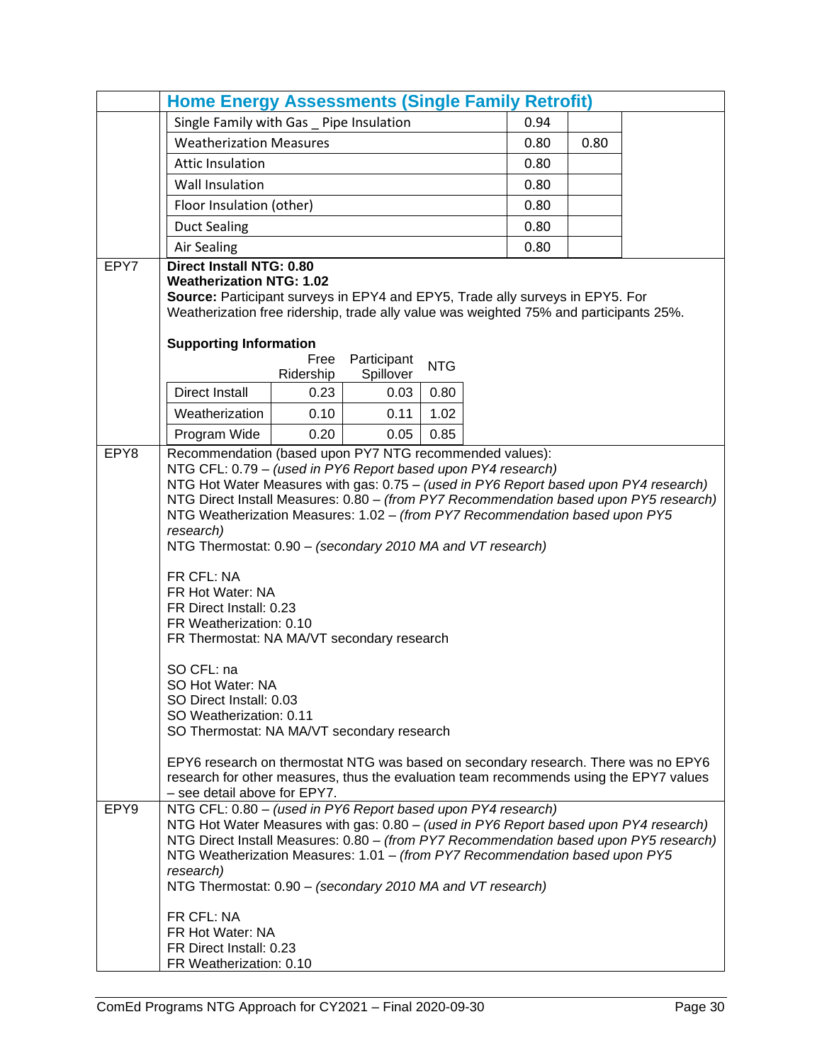|              | <b>Home Energy Assessments (Single Family Retrofit)</b>                                                                                                                                                                                                                                                                                                                                                                                                                                                                                                                                                                                                                                                                                                                                                                                                                                                                                                                                                                        |                   |                          |            |      |      |  |
|--------------|--------------------------------------------------------------------------------------------------------------------------------------------------------------------------------------------------------------------------------------------------------------------------------------------------------------------------------------------------------------------------------------------------------------------------------------------------------------------------------------------------------------------------------------------------------------------------------------------------------------------------------------------------------------------------------------------------------------------------------------------------------------------------------------------------------------------------------------------------------------------------------------------------------------------------------------------------------------------------------------------------------------------------------|-------------------|--------------------------|------------|------|------|--|
|              | Single Family with Gas _ Pipe Insulation                                                                                                                                                                                                                                                                                                                                                                                                                                                                                                                                                                                                                                                                                                                                                                                                                                                                                                                                                                                       |                   |                          |            | 0.94 |      |  |
|              | <b>Weatherization Measures</b>                                                                                                                                                                                                                                                                                                                                                                                                                                                                                                                                                                                                                                                                                                                                                                                                                                                                                                                                                                                                 |                   |                          |            | 0.80 | 0.80 |  |
|              | <b>Attic Insulation</b>                                                                                                                                                                                                                                                                                                                                                                                                                                                                                                                                                                                                                                                                                                                                                                                                                                                                                                                                                                                                        |                   |                          |            | 0.80 |      |  |
|              | <b>Wall Insulation</b>                                                                                                                                                                                                                                                                                                                                                                                                                                                                                                                                                                                                                                                                                                                                                                                                                                                                                                                                                                                                         |                   |                          |            | 0.80 |      |  |
|              | Floor Insulation (other)                                                                                                                                                                                                                                                                                                                                                                                                                                                                                                                                                                                                                                                                                                                                                                                                                                                                                                                                                                                                       |                   |                          |            | 0.80 |      |  |
|              | <b>Duct Sealing</b>                                                                                                                                                                                                                                                                                                                                                                                                                                                                                                                                                                                                                                                                                                                                                                                                                                                                                                                                                                                                            |                   |                          |            | 0.80 |      |  |
|              | <b>Air Sealing</b>                                                                                                                                                                                                                                                                                                                                                                                                                                                                                                                                                                                                                                                                                                                                                                                                                                                                                                                                                                                                             |                   |                          |            | 0.80 |      |  |
| EPY7         | <b>Direct Install NTG: 0.80</b><br><b>Weatherization NTG: 1.02</b><br>Source: Participant surveys in EPY4 and EPY5, Trade ally surveys in EPY5. For<br>Weatherization free ridership, trade ally value was weighted 75% and participants 25%.<br><b>Supporting Information</b>                                                                                                                                                                                                                                                                                                                                                                                                                                                                                                                                                                                                                                                                                                                                                 |                   |                          |            |      |      |  |
|              |                                                                                                                                                                                                                                                                                                                                                                                                                                                                                                                                                                                                                                                                                                                                                                                                                                                                                                                                                                                                                                | Free<br>Ridership | Participant<br>Spillover | <b>NTG</b> |      |      |  |
|              | <b>Direct Install</b>                                                                                                                                                                                                                                                                                                                                                                                                                                                                                                                                                                                                                                                                                                                                                                                                                                                                                                                                                                                                          | 0.23              | 0.03                     | 0.80       |      |      |  |
|              | Weatherization                                                                                                                                                                                                                                                                                                                                                                                                                                                                                                                                                                                                                                                                                                                                                                                                                                                                                                                                                                                                                 | 0.10              | 0.11                     | 1.02       |      |      |  |
|              | Program Wide                                                                                                                                                                                                                                                                                                                                                                                                                                                                                                                                                                                                                                                                                                                                                                                                                                                                                                                                                                                                                   | 0.20              | 0.05                     | 0.85       |      |      |  |
| EPY8<br>EPY9 | Recommendation (based upon PY7 NTG recommended values):<br>NTG CFL: 0.79 - (used in PY6 Report based upon PY4 research)<br>NTG Hot Water Measures with gas: 0.75 - (used in PY6 Report based upon PY4 research)<br>NTG Direct Install Measures: 0.80 - (from PY7 Recommendation based upon PY5 research)<br>NTG Weatherization Measures: 1.02 - (from PY7 Recommendation based upon PY5<br>research)<br>NTG Thermostat: 0.90 - (secondary 2010 MA and VT research)<br>FR CFL: NA<br>FR Hot Water: NA<br>FR Direct Install: 0.23<br>FR Weatherization: 0.10<br>FR Thermostat: NA MA/VT secondary research<br>SO CFL: na<br>SO Hot Water: NA<br>SO Direct Install: 0.03<br>SO Weatherization: 0.11<br>SO Thermostat: NA MA/VT secondary research<br>EPY6 research on thermostat NTG was based on secondary research. There was no EPY6<br>research for other measures, thus the evaluation team recommends using the EPY7 values<br>- see detail above for EPY7.<br>NTG CFL: 0.80 - (used in PY6 Report based upon PY4 research) |                   |                          |            |      |      |  |
|              | NTG Hot Water Measures with gas: 0.80 - (used in PY6 Report based upon PY4 research)<br>NTG Direct Install Measures: 0.80 - (from PY7 Recommendation based upon PY5 research)<br>NTG Weatherization Measures: 1.01 - (from PY7 Recommendation based upon PY5<br>research)<br>NTG Thermostat: 0.90 - (secondary 2010 MA and VT research)<br>FR CFL: NA<br>FR Hot Water: NA<br>FR Direct Install: 0.23                                                                                                                                                                                                                                                                                                                                                                                                                                                                                                                                                                                                                           |                   |                          |            |      |      |  |
|              | FR Weatherization: 0.10                                                                                                                                                                                                                                                                                                                                                                                                                                                                                                                                                                                                                                                                                                                                                                                                                                                                                                                                                                                                        |                   |                          |            |      |      |  |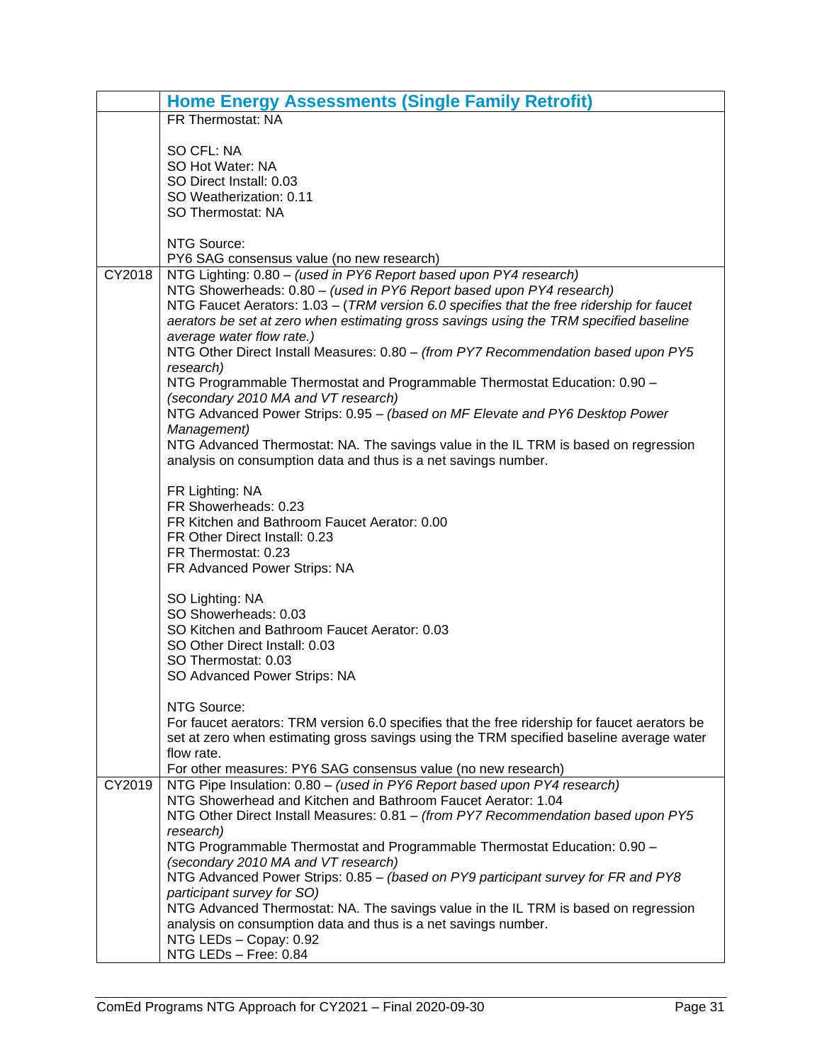|        | <b>Home Energy Assessments (Single Family Retrofit)</b>                                       |
|--------|-----------------------------------------------------------------------------------------------|
|        | FR Thermostat: NA                                                                             |
|        |                                                                                               |
|        | SO CFL: NA                                                                                    |
|        | SO Hot Water: NA                                                                              |
|        | SO Direct Install: 0.03                                                                       |
|        | SO Weatherization: 0.11                                                                       |
|        | SO Thermostat: NA                                                                             |
|        | NTG Source:                                                                                   |
|        | PY6 SAG consensus value (no new research)                                                     |
| CY2018 | NTG Lighting: 0.80 - (used in PY6 Report based upon PY4 research)                             |
|        | NTG Showerheads: 0.80 - (used in PY6 Report based upon PY4 research)                          |
|        | NTG Faucet Aerators: 1.03 - (TRM version 6.0 specifies that the free ridership for faucet     |
|        | aerators be set at zero when estimating gross savings using the TRM specified baseline        |
|        | average water flow rate.)                                                                     |
|        | NTG Other Direct Install Measures: 0.80 - (from PY7 Recommendation based upon PY5             |
|        | research)                                                                                     |
|        | NTG Programmable Thermostat and Programmable Thermostat Education: 0.90 -                     |
|        | (secondary 2010 MA and VT research)                                                           |
|        | NTG Advanced Power Strips: 0.95 - (based on MF Elevate and PY6 Desktop Power                  |
|        | Management)                                                                                   |
|        | NTG Advanced Thermostat: NA. The savings value in the IL TRM is based on regression           |
|        | analysis on consumption data and thus is a net savings number.                                |
|        |                                                                                               |
|        | FR Lighting: NA                                                                               |
|        | FR Showerheads: 0.23                                                                          |
|        | FR Kitchen and Bathroom Faucet Aerator: 0.00                                                  |
|        | FR Other Direct Install: 0.23                                                                 |
|        | FR Thermostat: 0.23                                                                           |
|        | FR Advanced Power Strips: NA                                                                  |
|        | SO Lighting: NA                                                                               |
|        | SO Showerheads: 0.03                                                                          |
|        | SO Kitchen and Bathroom Faucet Aerator: 0.03                                                  |
|        | SO Other Direct Install: 0.03                                                                 |
|        | SO Thermostat: 0.03                                                                           |
|        | SO Advanced Power Strips: NA                                                                  |
|        |                                                                                               |
|        | NTG Source:                                                                                   |
|        | For faucet aerators: TRM version 6.0 specifies that the free ridership for faucet aerators be |
|        | set at zero when estimating gross savings using the TRM specified baseline average water      |
|        | flow rate.                                                                                    |
|        | For other measures: PY6 SAG consensus value (no new research)                                 |
| CY2019 | NTG Pipe Insulation: 0.80 - (used in PY6 Report based upon PY4 research)                      |
|        | NTG Showerhead and Kitchen and Bathroom Faucet Aerator: 1.04                                  |
|        | NTG Other Direct Install Measures: 0.81 - (from PY7 Recommendation based upon PY5             |
|        | research)                                                                                     |
|        | NTG Programmable Thermostat and Programmable Thermostat Education: 0.90 -                     |
|        | (secondary 2010 MA and VT research)                                                           |
|        | NTG Advanced Power Strips: 0.85 - (based on PY9 participant survey for FR and PY8             |
|        | participant survey for SO)                                                                    |
|        | NTG Advanced Thermostat: NA. The savings value in the IL TRM is based on regression           |
|        | analysis on consumption data and thus is a net savings number.                                |
|        | NTG LEDs - Copay: 0.92                                                                        |
|        | NTG LEDs - Free: 0.84                                                                         |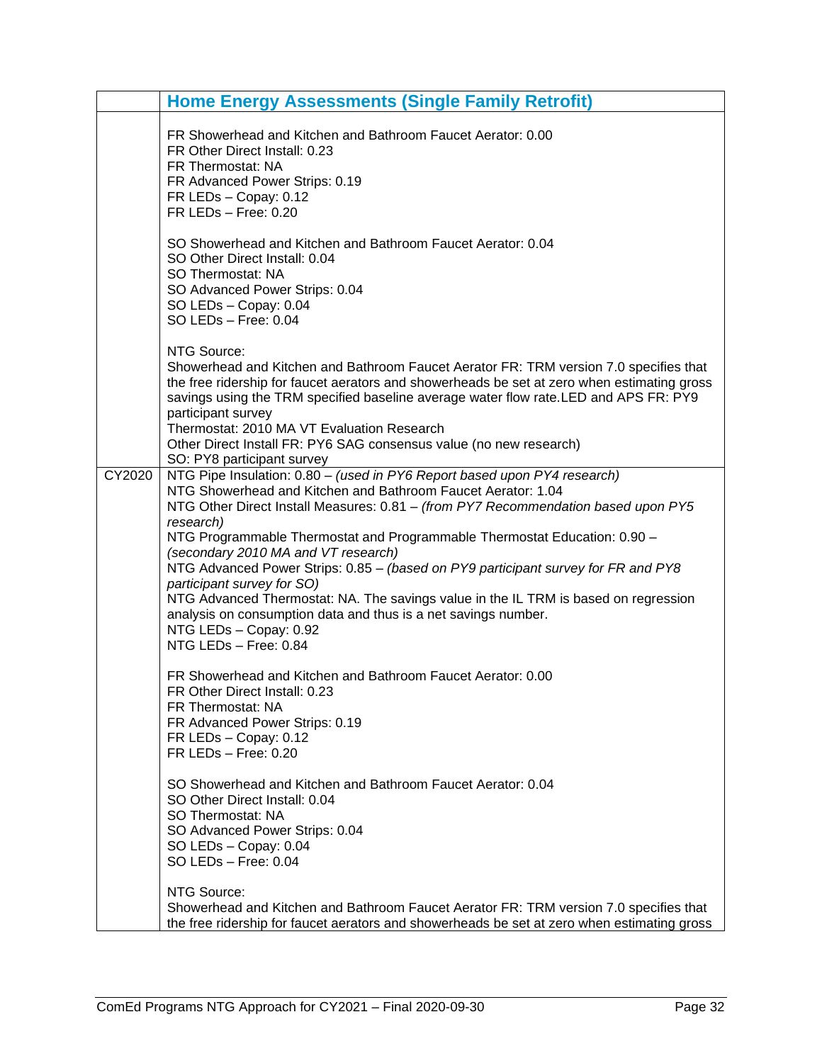|        | <b>Home Energy Assessments (Single Family Retrofit)</b>                                                                                                                                                                                                                                                                                                                                                                                                                                                                                                                                                                                                                                                                                                                                                                                                                                                                                                                                                                                                                                   |
|--------|-------------------------------------------------------------------------------------------------------------------------------------------------------------------------------------------------------------------------------------------------------------------------------------------------------------------------------------------------------------------------------------------------------------------------------------------------------------------------------------------------------------------------------------------------------------------------------------------------------------------------------------------------------------------------------------------------------------------------------------------------------------------------------------------------------------------------------------------------------------------------------------------------------------------------------------------------------------------------------------------------------------------------------------------------------------------------------------------|
|        | FR Showerhead and Kitchen and Bathroom Faucet Aerator: 0.00<br>FR Other Direct Install: 0.23<br>FR Thermostat: NA<br>FR Advanced Power Strips: 0.19<br>FR LEDs - Copay: 0.12<br>$FR$ LEDs $-$ Free: 0.20                                                                                                                                                                                                                                                                                                                                                                                                                                                                                                                                                                                                                                                                                                                                                                                                                                                                                  |
|        | SO Showerhead and Kitchen and Bathroom Faucet Aerator: 0.04<br>SO Other Direct Install: 0.04<br>SO Thermostat: NA<br>SO Advanced Power Strips: 0.04<br>SO LEDs - Copay: 0.04<br>SO LEDs - Free: 0.04                                                                                                                                                                                                                                                                                                                                                                                                                                                                                                                                                                                                                                                                                                                                                                                                                                                                                      |
|        | NTG Source:<br>Showerhead and Kitchen and Bathroom Faucet Aerator FR: TRM version 7.0 specifies that<br>the free ridership for faucet aerators and showerheads be set at zero when estimating gross<br>savings using the TRM specified baseline average water flow rate. LED and APS FR: PY9<br>participant survey<br>Thermostat: 2010 MA VT Evaluation Research<br>Other Direct Install FR: PY6 SAG consensus value (no new research)<br>SO: PY8 participant survey                                                                                                                                                                                                                                                                                                                                                                                                                                                                                                                                                                                                                      |
| CY2020 | NTG Pipe Insulation: 0.80 - (used in PY6 Report based upon PY4 research)<br>NTG Showerhead and Kitchen and Bathroom Faucet Aerator: 1.04<br>NTG Other Direct Install Measures: 0.81 - (from PY7 Recommendation based upon PY5<br>research)<br>NTG Programmable Thermostat and Programmable Thermostat Education: 0.90 -<br>(secondary 2010 MA and VT research)<br>NTG Advanced Power Strips: 0.85 - (based on PY9 participant survey for FR and PY8<br>participant survey for SO)<br>NTG Advanced Thermostat: NA. The savings value in the IL TRM is based on regression<br>analysis on consumption data and thus is a net savings number.<br>NTG LEDs - Copay: 0.92<br>NTG LEDs - Free: 0.84<br>FR Showerhead and Kitchen and Bathroom Faucet Aerator: 0.00<br>FR Other Direct Install: 0.23<br>FR Thermostat: NA<br>FR Advanced Power Strips: 0.19<br>FR LEDs - Copay: 0.12<br>$FR$ LEDs $-$ Free: 0.20<br>SO Showerhead and Kitchen and Bathroom Faucet Aerator: 0.04<br>SO Other Direct Install: 0.04<br>SO Thermostat: NA<br>SO Advanced Power Strips: 0.04<br>SO LEDs - Copay: 0.04 |
|        | SO LEDs - Free: 0.04<br>NTG Source:<br>Showerhead and Kitchen and Bathroom Faucet Aerator FR: TRM version 7.0 specifies that<br>the free ridership for faucet aerators and showerheads be set at zero when estimating gross                                                                                                                                                                                                                                                                                                                                                                                                                                                                                                                                                                                                                                                                                                                                                                                                                                                               |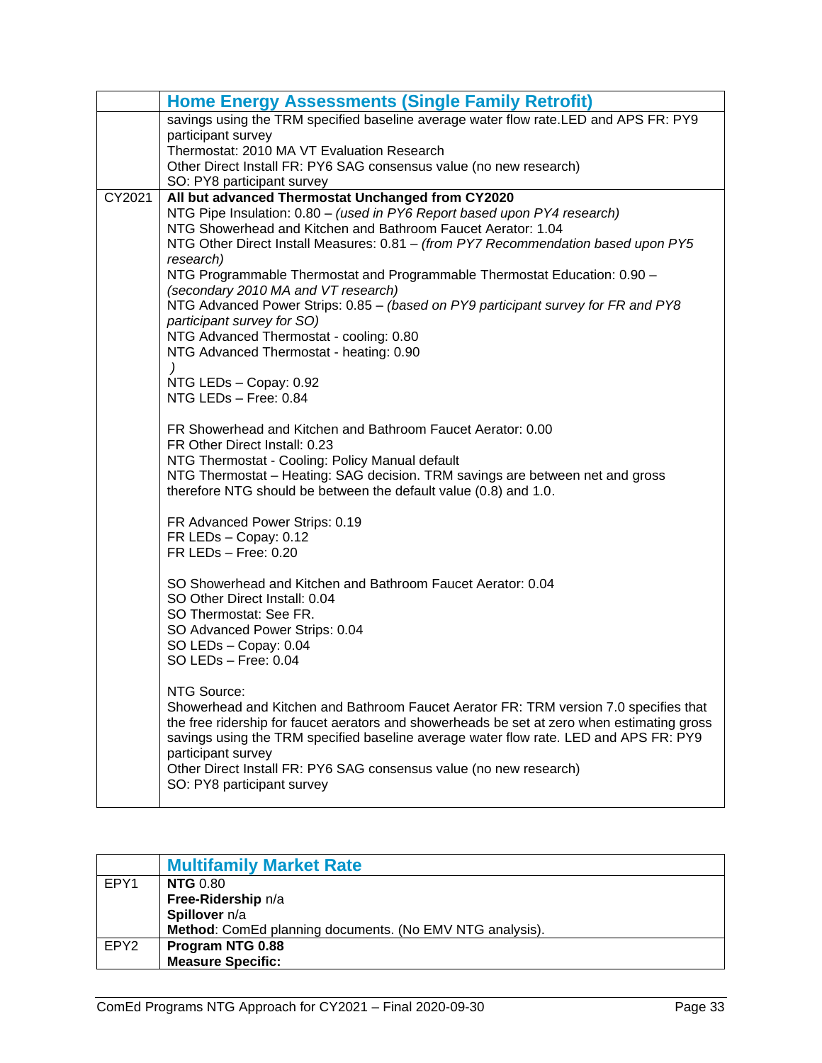|        | <b>Home Energy Assessments (Single Family Retrofit)</b>                                                                                                                              |
|--------|--------------------------------------------------------------------------------------------------------------------------------------------------------------------------------------|
|        | savings using the TRM specified baseline average water flow rate.LED and APS FR: PY9<br>participant survey                                                                           |
|        | Thermostat: 2010 MA VT Evaluation Research                                                                                                                                           |
|        | Other Direct Install FR: PY6 SAG consensus value (no new research)<br>SO: PY8 participant survey                                                                                     |
| CY2021 | All but advanced Thermostat Unchanged from CY2020                                                                                                                                    |
|        | NTG Pipe Insulation: 0.80 - (used in PY6 Report based upon PY4 research)                                                                                                             |
|        | NTG Showerhead and Kitchen and Bathroom Faucet Aerator: 1.04<br>NTG Other Direct Install Measures: 0.81 - (from PY7 Recommendation based upon PY5                                    |
|        | research)                                                                                                                                                                            |
|        | NTG Programmable Thermostat and Programmable Thermostat Education: 0.90 -<br>(secondary 2010 MA and VT research)                                                                     |
|        | NTG Advanced Power Strips: 0.85 - (based on PY9 participant survey for FR and PY8                                                                                                    |
|        | participant survey for SO)<br>NTG Advanced Thermostat - cooling: 0.80                                                                                                                |
|        | NTG Advanced Thermostat - heating: 0.90                                                                                                                                              |
|        | $\lambda$<br>NTG LEDs - Copay: 0.92                                                                                                                                                  |
|        | NTG LEDs - Free: 0.84                                                                                                                                                                |
|        | FR Showerhead and Kitchen and Bathroom Faucet Aerator: 0.00                                                                                                                          |
|        | FR Other Direct Install: 0.23                                                                                                                                                        |
|        | NTG Thermostat - Cooling: Policy Manual default<br>NTG Thermostat – Heating: SAG decision. TRM savings are between net and gross                                                     |
|        | therefore NTG should be between the default value (0.8) and 1.0.                                                                                                                     |
|        | FR Advanced Power Strips: 0.19                                                                                                                                                       |
|        | FR LEDs - Copay: 0.12                                                                                                                                                                |
|        | $FR$ LEDs $-$ Free: 0.20                                                                                                                                                             |
|        | SO Showerhead and Kitchen and Bathroom Faucet Aerator: 0.04                                                                                                                          |
|        | SO Other Direct Install: 0.04<br>SO Thermostat: See FR.                                                                                                                              |
|        | SO Advanced Power Strips: 0.04                                                                                                                                                       |
|        | SO LEDs - Copay: 0.04                                                                                                                                                                |
|        | SO LEDs $-$ Free: 0.04                                                                                                                                                               |
|        | NTG Source:                                                                                                                                                                          |
|        | Showerhead and Kitchen and Bathroom Faucet Aerator FR: TRM version 7.0 specifies that<br>the free ridership for faucet aerators and showerheads be set at zero when estimating gross |
|        | savings using the TRM specified baseline average water flow rate. LED and APS FR: PY9                                                                                                |
|        | participant survey<br>Other Direct Install FR: PY6 SAG consensus value (no new research)                                                                                             |
|        | SO: PY8 participant survey                                                                                                                                                           |
|        |                                                                                                                                                                                      |

<span id="page-34-0"></span>

|                  | <b>Multifamily Market Rate</b>                           |
|------------------|----------------------------------------------------------|
| EPY1             | <b>NTG</b> 0.80                                          |
|                  | Free-Ridership n/a                                       |
|                  | Spillover n/a                                            |
|                  | Method: ComEd planning documents. (No EMV NTG analysis). |
| EPY <sub>2</sub> | Program NTG 0.88                                         |
|                  | <b>Measure Specific:</b>                                 |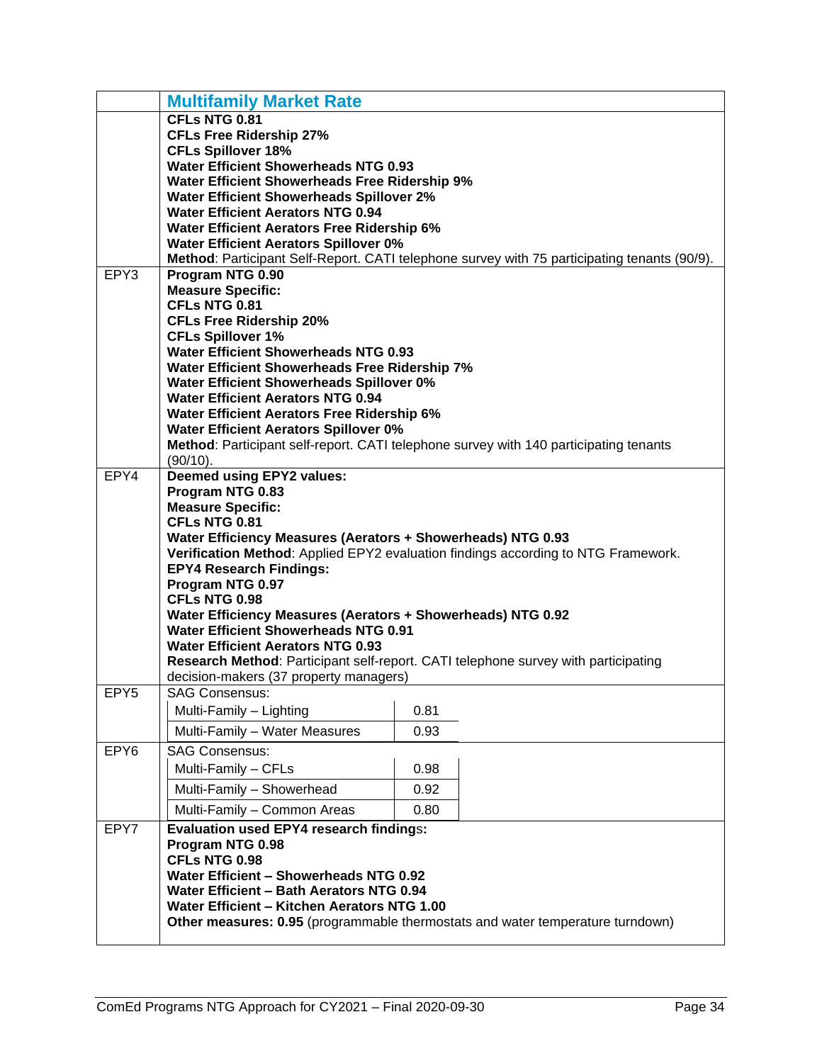|                  | <b>Multifamily Market Rate</b>                                                                                                                   |      |                                                                                              |
|------------------|--------------------------------------------------------------------------------------------------------------------------------------------------|------|----------------------------------------------------------------------------------------------|
|                  | CFLs NTG 0.81                                                                                                                                    |      |                                                                                              |
|                  | <b>CFLs Free Ridership 27%</b>                                                                                                                   |      |                                                                                              |
|                  | <b>CFLs Spillover 18%</b>                                                                                                                        |      |                                                                                              |
|                  | <b>Water Efficient Showerheads NTG 0.93</b>                                                                                                      |      |                                                                                              |
|                  | Water Efficient Showerheads Free Ridership 9%                                                                                                    |      |                                                                                              |
|                  | <b>Water Efficient Showerheads Spillover 2%</b>                                                                                                  |      |                                                                                              |
|                  | <b>Water Efficient Aerators NTG 0.94</b>                                                                                                         |      |                                                                                              |
|                  | <b>Water Efficient Aerators Free Ridership 6%</b>                                                                                                |      |                                                                                              |
|                  | <b>Water Efficient Aerators Spillover 0%</b>                                                                                                     |      |                                                                                              |
| EPY3             | Program NTG 0.90                                                                                                                                 |      | Method: Participant Self-Report. CATI telephone survey with 75 participating tenants (90/9). |
|                  | <b>Measure Specific:</b>                                                                                                                         |      |                                                                                              |
|                  | CFLs NTG 0.81                                                                                                                                    |      |                                                                                              |
|                  | <b>CFLs Free Ridership 20%</b>                                                                                                                   |      |                                                                                              |
|                  | <b>CFLs Spillover 1%</b>                                                                                                                         |      |                                                                                              |
|                  | <b>Water Efficient Showerheads NTG 0.93</b>                                                                                                      |      |                                                                                              |
|                  | Water Efficient Showerheads Free Ridership 7%                                                                                                    |      |                                                                                              |
|                  | Water Efficient Showerheads Spillover 0%                                                                                                         |      |                                                                                              |
|                  | <b>Water Efficient Aerators NTG 0.94</b>                                                                                                         |      |                                                                                              |
|                  | <b>Water Efficient Aerators Free Ridership 6%</b>                                                                                                |      |                                                                                              |
|                  | <b>Water Efficient Aerators Spillover 0%</b>                                                                                                     |      |                                                                                              |
|                  | Method: Participant self-report. CATI telephone survey with 140 participating tenants                                                            |      |                                                                                              |
|                  | (90/10).                                                                                                                                         |      |                                                                                              |
| EPY4             | <b>Deemed using EPY2 values:</b>                                                                                                                 |      |                                                                                              |
|                  | Program NTG 0.83                                                                                                                                 |      |                                                                                              |
|                  | <b>Measure Specific:</b>                                                                                                                         |      |                                                                                              |
|                  | CFLs NTG 0.81                                                                                                                                    |      |                                                                                              |
|                  | Water Efficiency Measures (Aerators + Showerheads) NTG 0.93<br>Verification Method: Applied EPY2 evaluation findings according to NTG Framework. |      |                                                                                              |
|                  | <b>EPY4 Research Findings:</b>                                                                                                                   |      |                                                                                              |
|                  | Program NTG 0.97                                                                                                                                 |      |                                                                                              |
|                  | CFLs NTG 0.98                                                                                                                                    |      |                                                                                              |
|                  | Water Efficiency Measures (Aerators + Showerheads) NTG 0.92                                                                                      |      |                                                                                              |
|                  | <b>Water Efficient Showerheads NTG 0.91</b>                                                                                                      |      |                                                                                              |
|                  | <b>Water Efficient Aerators NTG 0.93</b>                                                                                                         |      |                                                                                              |
|                  | Research Method: Participant self-report. CATI telephone survey with participating                                                               |      |                                                                                              |
|                  | decision-makers (37 property managers)                                                                                                           |      |                                                                                              |
| EPY <sub>5</sub> | SAG Consensus:                                                                                                                                   |      |                                                                                              |
|                  | Multi-Family - Lighting                                                                                                                          | 0.81 |                                                                                              |
|                  | Multi-Family - Water Measures                                                                                                                    | 0.93 |                                                                                              |
| EPY6             | <b>SAG Consensus:</b>                                                                                                                            |      |                                                                                              |
|                  | Multi-Family - CFLs                                                                                                                              | 0.98 |                                                                                              |
|                  | Multi-Family - Showerhead                                                                                                                        | 0.92 |                                                                                              |
|                  | Multi-Family - Common Areas                                                                                                                      | 0.80 |                                                                                              |
| EPY7             | <b>Evaluation used EPY4 research findings:</b>                                                                                                   |      |                                                                                              |
|                  | Program NTG 0.98                                                                                                                                 |      |                                                                                              |
|                  | CFLs NTG 0.98                                                                                                                                    |      |                                                                                              |
|                  | Water Efficient - Showerheads NTG 0.92                                                                                                           |      |                                                                                              |
|                  | Water Efficient - Bath Aerators NTG 0.94                                                                                                         |      |                                                                                              |
|                  | Water Efficient - Kitchen Aerators NTG 1.00                                                                                                      |      |                                                                                              |
|                  | Other measures: 0.95 (programmable thermostats and water temperature turndown)                                                                   |      |                                                                                              |
|                  |                                                                                                                                                  |      |                                                                                              |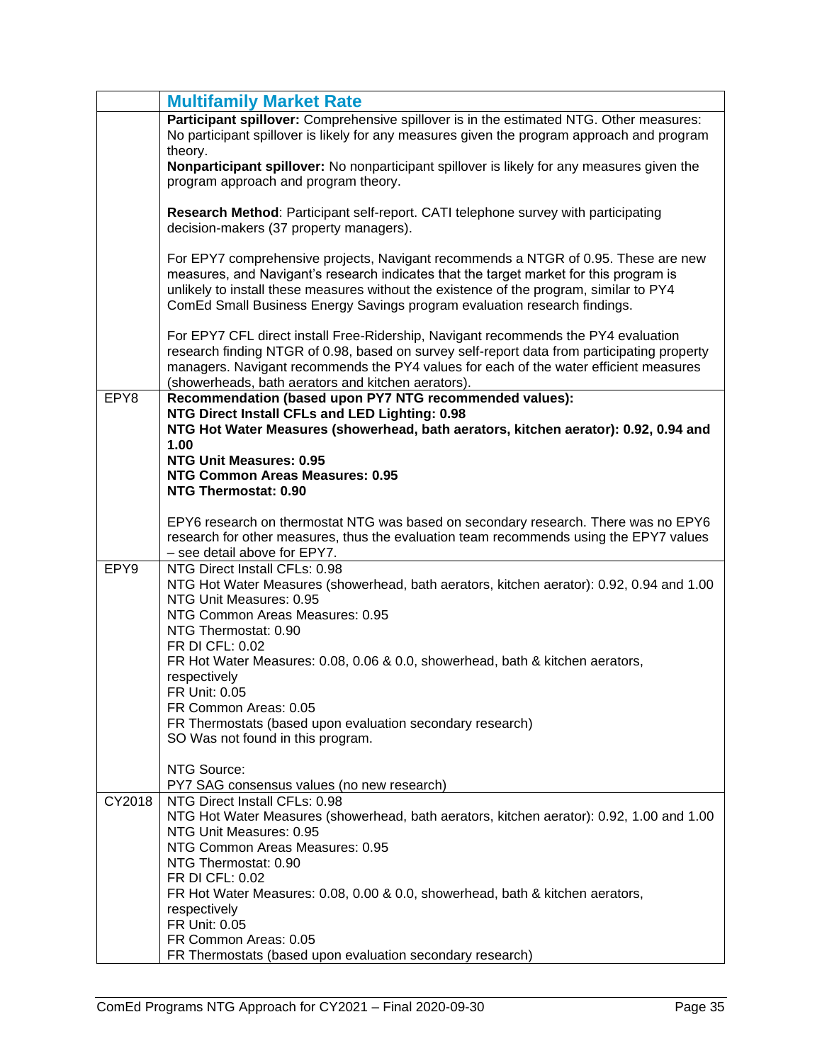|        | <b>Multifamily Market Rate</b>                                                                                                                                                       |
|--------|--------------------------------------------------------------------------------------------------------------------------------------------------------------------------------------|
|        | Participant spillover: Comprehensive spillover is in the estimated NTG. Other measures:                                                                                              |
|        | No participant spillover is likely for any measures given the program approach and program                                                                                           |
|        | theory.                                                                                                                                                                              |
|        | Nonparticipant spillover: No nonparticipant spillover is likely for any measures given the                                                                                           |
|        | program approach and program theory.                                                                                                                                                 |
|        |                                                                                                                                                                                      |
|        | Research Method: Participant self-report. CATI telephone survey with participating                                                                                                   |
|        | decision-makers (37 property managers).                                                                                                                                              |
|        |                                                                                                                                                                                      |
|        | For EPY7 comprehensive projects, Navigant recommends a NTGR of 0.95. These are new                                                                                                   |
|        | measures, and Navigant's research indicates that the target market for this program is                                                                                               |
|        | unlikely to install these measures without the existence of the program, similar to PY4                                                                                              |
|        | ComEd Small Business Energy Savings program evaluation research findings.                                                                                                            |
|        |                                                                                                                                                                                      |
|        | For EPY7 CFL direct install Free-Ridership, Navigant recommends the PY4 evaluation                                                                                                   |
|        | research finding NTGR of 0.98, based on survey self-report data from participating property<br>managers. Navigant recommends the PY4 values for each of the water efficient measures |
|        | (showerheads, bath aerators and kitchen aerators).                                                                                                                                   |
| EPY8   | Recommendation (based upon PY7 NTG recommended values):                                                                                                                              |
|        | NTG Direct Install CFLs and LED Lighting: 0.98                                                                                                                                       |
|        | NTG Hot Water Measures (showerhead, bath aerators, kitchen aerator): 0.92, 0.94 and                                                                                                  |
|        | 1.00                                                                                                                                                                                 |
|        | <b>NTG Unit Measures: 0.95</b>                                                                                                                                                       |
|        | NTG Common Areas Measures: 0.95                                                                                                                                                      |
|        | NTG Thermostat: 0.90                                                                                                                                                                 |
|        |                                                                                                                                                                                      |
|        | EPY6 research on thermostat NTG was based on secondary research. There was no EPY6                                                                                                   |
|        | research for other measures, thus the evaluation team recommends using the EPY7 values                                                                                               |
| EPY9   | - see detail above for EPY7.<br>NTG Direct Install CFLs: 0.98                                                                                                                        |
|        | NTG Hot Water Measures (showerhead, bath aerators, kitchen aerator): 0.92, 0.94 and 1.00                                                                                             |
|        | NTG Unit Measures: 0.95                                                                                                                                                              |
|        | NTG Common Areas Measures: 0.95                                                                                                                                                      |
|        | NTG Thermostat: 0.90                                                                                                                                                                 |
|        | FR DI CFL: 0.02                                                                                                                                                                      |
|        | FR Hot Water Measures: 0.08, 0.06 & 0.0, showerhead, bath & kitchen aerators,                                                                                                        |
|        | respectively                                                                                                                                                                         |
|        | FR Unit: 0.05                                                                                                                                                                        |
|        | FR Common Areas: 0.05                                                                                                                                                                |
|        | FR Thermostats (based upon evaluation secondary research)                                                                                                                            |
|        | SO Was not found in this program.                                                                                                                                                    |
|        |                                                                                                                                                                                      |
|        | NTG Source:                                                                                                                                                                          |
|        | PY7 SAG consensus values (no new research)                                                                                                                                           |
| CY2018 | NTG Direct Install CFLs: 0.98                                                                                                                                                        |
|        | NTG Hot Water Measures (showerhead, bath aerators, kitchen aerator): 0.92, 1.00 and 1.00<br>NTG Unit Measures: 0.95                                                                  |
|        | NTG Common Areas Measures: 0.95                                                                                                                                                      |
|        | NTG Thermostat: 0.90                                                                                                                                                                 |
|        | FR DI CFL: 0.02                                                                                                                                                                      |
|        | FR Hot Water Measures: 0.08, 0.00 & 0.0, showerhead, bath & kitchen aerators,                                                                                                        |
|        | respectively                                                                                                                                                                         |
|        | FR Unit: 0.05                                                                                                                                                                        |
|        | FR Common Areas: 0.05                                                                                                                                                                |
|        | FR Thermostats (based upon evaluation secondary research)                                                                                                                            |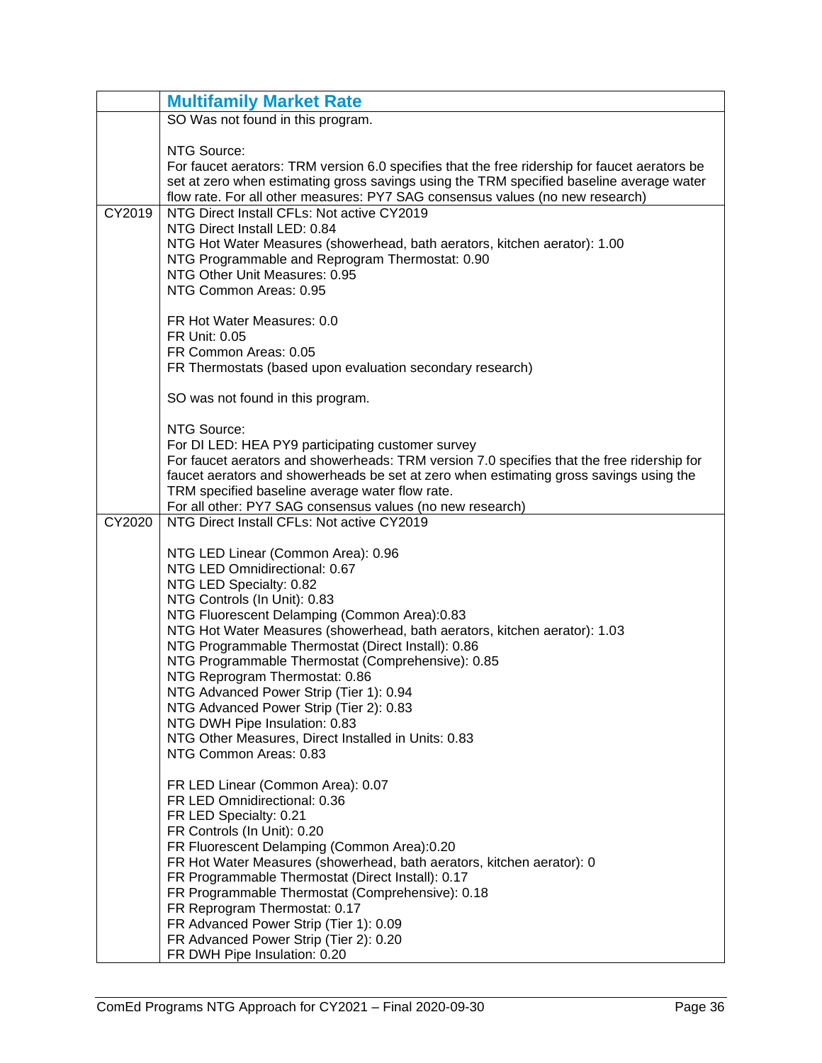|        | <b>Multifamily Market Rate</b>                                                                                                                                                                                                                                                                                                                                                                                                                                                                                                                                                                                   |
|--------|------------------------------------------------------------------------------------------------------------------------------------------------------------------------------------------------------------------------------------------------------------------------------------------------------------------------------------------------------------------------------------------------------------------------------------------------------------------------------------------------------------------------------------------------------------------------------------------------------------------|
|        | SO Was not found in this program.                                                                                                                                                                                                                                                                                                                                                                                                                                                                                                                                                                                |
|        | NTG Source:<br>For faucet aerators: TRM version 6.0 specifies that the free ridership for faucet aerators be<br>set at zero when estimating gross savings using the TRM specified baseline average water<br>flow rate. For all other measures: PY7 SAG consensus values (no new research)                                                                                                                                                                                                                                                                                                                        |
| CY2019 | NTG Direct Install CFLs: Not active CY2019<br>NTG Direct Install LED: 0.84<br>NTG Hot Water Measures (showerhead, bath aerators, kitchen aerator): 1.00<br>NTG Programmable and Reprogram Thermostat: 0.90<br>NTG Other Unit Measures: 0.95<br>NTG Common Areas: 0.95<br>FR Hot Water Measures: 0.0<br>FR Unit: 0.05<br>FR Common Areas: 0.05                                                                                                                                                                                                                                                                    |
|        | FR Thermostats (based upon evaluation secondary research)                                                                                                                                                                                                                                                                                                                                                                                                                                                                                                                                                        |
|        | SO was not found in this program.                                                                                                                                                                                                                                                                                                                                                                                                                                                                                                                                                                                |
|        | NTG Source:<br>For DI LED: HEA PY9 participating customer survey<br>For faucet aerators and showerheads: TRM version 7.0 specifies that the free ridership for<br>faucet aerators and showerheads be set at zero when estimating gross savings using the<br>TRM specified baseline average water flow rate.<br>For all other: PY7 SAG consensus values (no new research)                                                                                                                                                                                                                                         |
| CY2020 | NTG Direct Install CFLs: Not active CY2019                                                                                                                                                                                                                                                                                                                                                                                                                                                                                                                                                                       |
|        | NTG LED Linear (Common Area): 0.96<br>NTG LED Omnidirectional: 0.67<br>NTG LED Specialty: 0.82<br>NTG Controls (In Unit): 0.83<br>NTG Fluorescent Delamping (Common Area):0.83<br>NTG Hot Water Measures (showerhead, bath aerators, kitchen aerator): 1.03<br>NTG Programmable Thermostat (Direct Install): 0.86<br>NTG Programmable Thermostat (Comprehensive): 0.85<br>NTG Reprogram Thermostat: 0.86<br>NTG Advanced Power Strip (Tier 1): 0.94<br>NTG Advanced Power Strip (Tier 2): 0.83<br>NTG DWH Pipe Insulation: 0.83<br>NTG Other Measures, Direct Installed in Units: 0.83<br>NTG Common Areas: 0.83 |
|        | FR LED Linear (Common Area): 0.07<br>FR LED Omnidirectional: 0.36<br>FR LED Specialty: 0.21<br>FR Controls (In Unit): 0.20<br>FR Fluorescent Delamping (Common Area):0.20<br>FR Hot Water Measures (showerhead, bath aerators, kitchen aerator): 0<br>FR Programmable Thermostat (Direct Install): 0.17<br>FR Programmable Thermostat (Comprehensive): 0.18<br>FR Reprogram Thermostat: 0.17<br>FR Advanced Power Strip (Tier 1): 0.09<br>FR Advanced Power Strip (Tier 2): 0.20<br>FR DWH Pipe Insulation: 0.20                                                                                                 |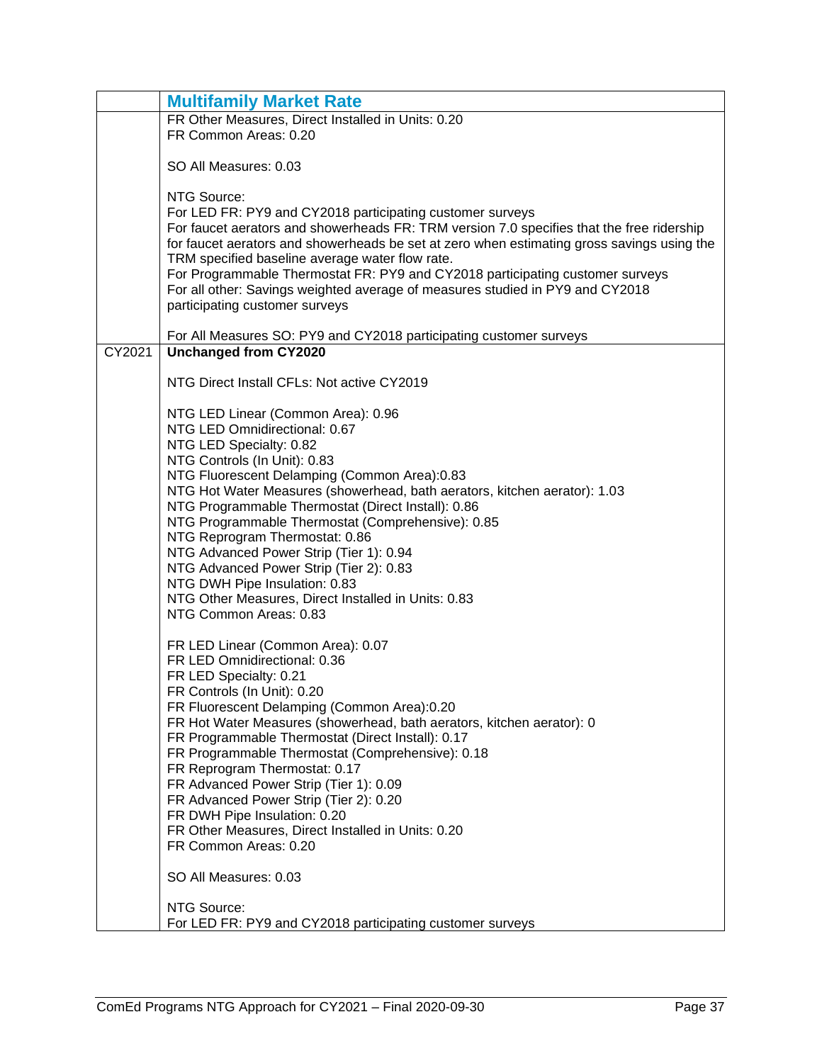|        | <b>Multifamily Market Rate</b>                                                                     |
|--------|----------------------------------------------------------------------------------------------------|
|        | FR Other Measures, Direct Installed in Units: 0.20                                                 |
|        | FR Common Areas: 0.20                                                                              |
|        |                                                                                                    |
|        | SO All Measures: 0.03                                                                              |
|        | NTG Source:                                                                                        |
|        | For LED FR: PY9 and CY2018 participating customer surveys                                          |
|        | For faucet aerators and showerheads FR: TRM version 7.0 specifies that the free ridership          |
|        | for faucet aerators and showerheads be set at zero when estimating gross savings using the         |
|        | TRM specified baseline average water flow rate.                                                    |
|        | For Programmable Thermostat FR: PY9 and CY2018 participating customer surveys                      |
|        | For all other: Savings weighted average of measures studied in PY9 and CY2018                      |
|        | participating customer surveys                                                                     |
|        |                                                                                                    |
| CY2021 | For All Measures SO: PY9 and CY2018 participating customer surveys<br><b>Unchanged from CY2020</b> |
|        |                                                                                                    |
|        | NTG Direct Install CFLs: Not active CY2019                                                         |
|        |                                                                                                    |
|        | NTG LED Linear (Common Area): 0.96                                                                 |
|        | NTG LED Omnidirectional: 0.67                                                                      |
|        | NTG LED Specialty: 0.82<br>NTG Controls (In Unit): 0.83                                            |
|        | NTG Fluorescent Delamping (Common Area):0.83                                                       |
|        | NTG Hot Water Measures (showerhead, bath aerators, kitchen aerator): 1.03                          |
|        | NTG Programmable Thermostat (Direct Install): 0.86                                                 |
|        | NTG Programmable Thermostat (Comprehensive): 0.85                                                  |
|        | NTG Reprogram Thermostat: 0.86                                                                     |
|        | NTG Advanced Power Strip (Tier 1): 0.94                                                            |
|        | NTG Advanced Power Strip (Tier 2): 0.83                                                            |
|        | NTG DWH Pipe Insulation: 0.83                                                                      |
|        | NTG Other Measures, Direct Installed in Units: 0.83                                                |
|        | NTG Common Areas: 0.83                                                                             |
|        | FR LED Linear (Common Area): 0.07                                                                  |
|        | FR LED Omnidirectional: 0.36                                                                       |
|        | FR LED Specialty: 0.21                                                                             |
|        | FR Controls (In Unit): 0.20                                                                        |
|        | FR Fluorescent Delamping (Common Area):0.20                                                        |
|        | FR Hot Water Measures (showerhead, bath aerators, kitchen aerator): 0                              |
|        | FR Programmable Thermostat (Direct Install): 0.17                                                  |
|        | FR Programmable Thermostat (Comprehensive): 0.18                                                   |
|        | FR Reprogram Thermostat: 0.17<br>FR Advanced Power Strip (Tier 1): 0.09                            |
|        | FR Advanced Power Strip (Tier 2): 0.20                                                             |
|        | FR DWH Pipe Insulation: 0.20                                                                       |
|        | FR Other Measures, Direct Installed in Units: 0.20                                                 |
|        | FR Common Areas: 0.20                                                                              |
|        | SO All Measures: 0.03                                                                              |
|        | NTG Source:                                                                                        |
|        | For LED FR: PY9 and CY2018 participating customer surveys                                          |
|        |                                                                                                    |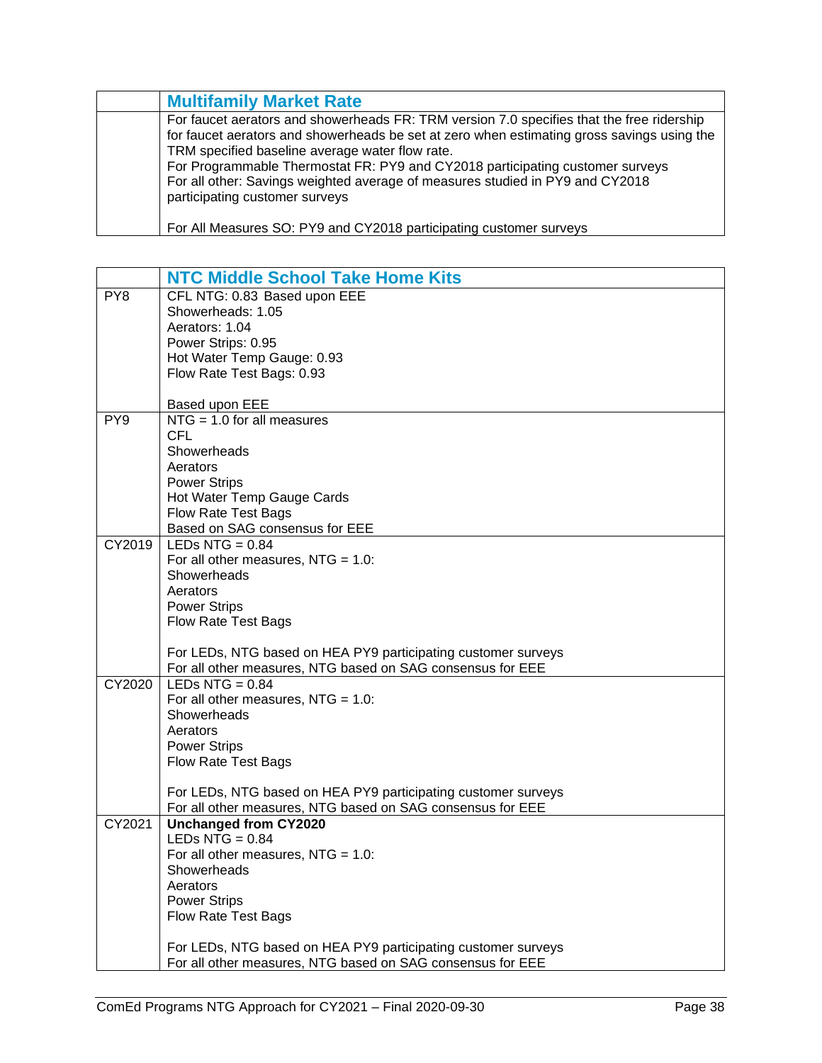| <b>Multifamily Market Rate</b>                                                                                                                                                                                                                                                                                                                                                                                                                 |
|------------------------------------------------------------------------------------------------------------------------------------------------------------------------------------------------------------------------------------------------------------------------------------------------------------------------------------------------------------------------------------------------------------------------------------------------|
| For faucet aerators and showerheads FR: TRM version 7.0 specifies that the free ridership<br>for faucet aerators and showerheads be set at zero when estimating gross savings using the<br>TRM specified baseline average water flow rate.<br>For Programmable Thermostat FR: PY9 and CY2018 participating customer surveys<br>For all other: Savings weighted average of measures studied in PY9 and CY2018<br>participating customer surveys |
| For All Measures SO: PY9 and CY2018 participating customer surveys                                                                                                                                                                                                                                                                                                                                                                             |

<span id="page-39-0"></span>

|                 | <b>NTC Middle School Take Home Kits</b>                       |
|-----------------|---------------------------------------------------------------|
| PY8             | CFL NTG: 0.83 Based upon EEE                                  |
|                 | Showerheads: 1.05                                             |
|                 | Aerators: 1.04                                                |
|                 | Power Strips: 0.95                                            |
|                 | Hot Water Temp Gauge: 0.93                                    |
|                 | Flow Rate Test Bags: 0.93                                     |
|                 |                                                               |
|                 | Based upon EEE                                                |
| PY <sub>9</sub> | $NTG = 1.0$ for all measures                                  |
|                 | <b>CFL</b>                                                    |
|                 | Showerheads                                                   |
|                 | Aerators                                                      |
|                 | <b>Power Strips</b>                                           |
|                 | Hot Water Temp Gauge Cards                                    |
|                 | <b>Flow Rate Test Bags</b>                                    |
|                 | Based on SAG consensus for EEE                                |
| CY2019          | LEDs NTG = $0.84$                                             |
|                 | For all other measures, $NTG = 1.0$ :                         |
|                 | Showerheads                                                   |
|                 | Aerators                                                      |
|                 | <b>Power Strips</b>                                           |
|                 | Flow Rate Test Bags                                           |
|                 |                                                               |
|                 | For LEDs, NTG based on HEA PY9 participating customer surveys |
|                 | For all other measures, NTG based on SAG consensus for EEE    |
| CY2020          | LEDs NTG = $0.84$                                             |
|                 | For all other measures, $NTG = 1.0$ :                         |
|                 | Showerheads                                                   |
|                 | Aerators                                                      |
|                 | <b>Power Strips</b>                                           |
|                 | <b>Flow Rate Test Bags</b>                                    |
|                 |                                                               |
|                 | For LEDs, NTG based on HEA PY9 participating customer surveys |
|                 | For all other measures, NTG based on SAG consensus for EEE    |
| CY2021          | <b>Unchanged from CY2020</b>                                  |
|                 | LEDs NTG $= 0.84$                                             |
|                 | For all other measures, $NTG = 1.0$ :                         |
|                 | Showerheads                                                   |
|                 | Aerators                                                      |
|                 | <b>Power Strips</b>                                           |
|                 | Flow Rate Test Bags                                           |
|                 |                                                               |
|                 | For LEDs, NTG based on HEA PY9 participating customer surveys |
|                 | For all other measures, NTG based on SAG consensus for EEE    |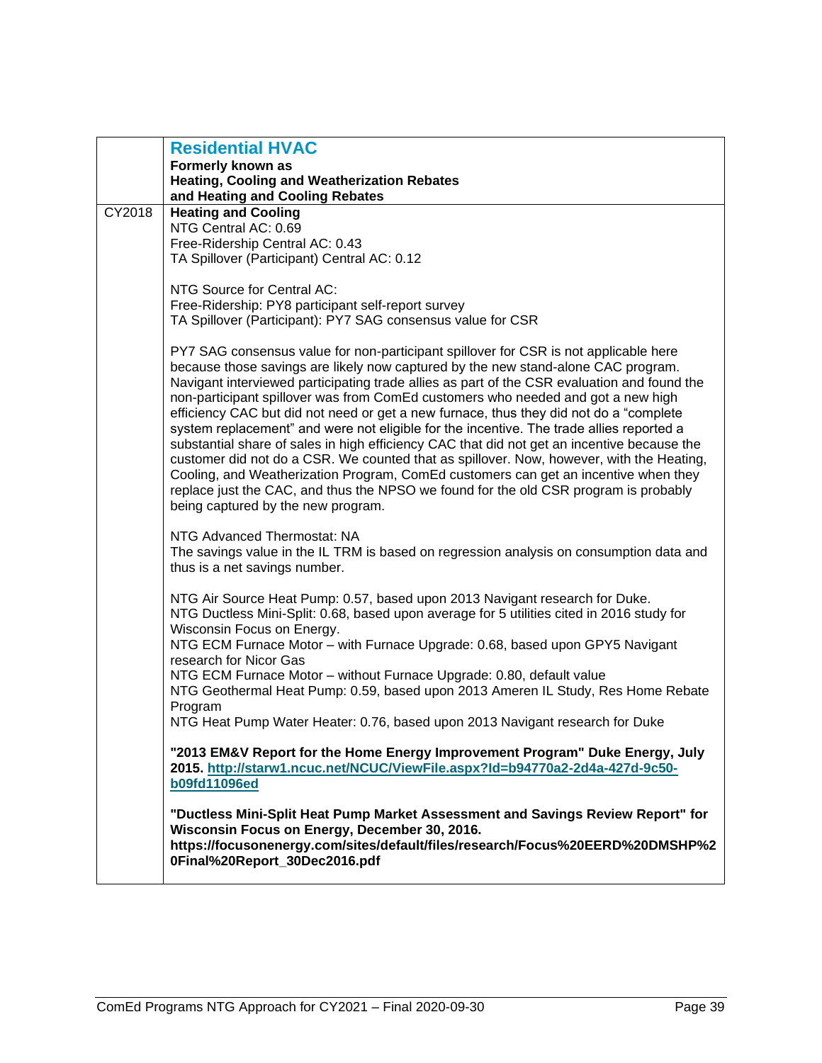<span id="page-40-0"></span>

|        | <b>Residential HVAC</b>                                                                                                                                                         |
|--------|---------------------------------------------------------------------------------------------------------------------------------------------------------------------------------|
|        | Formerly known as                                                                                                                                                               |
|        | <b>Heating, Cooling and Weatherization Rebates</b><br>and Heating and Cooling Rebates                                                                                           |
| CY2018 | <b>Heating and Cooling</b>                                                                                                                                                      |
|        | NTG Central AC: 0.69                                                                                                                                                            |
|        | Free-Ridership Central AC: 0.43                                                                                                                                                 |
|        | TA Spillover (Participant) Central AC: 0.12                                                                                                                                     |
|        | NTG Source for Central AC:                                                                                                                                                      |
|        | Free-Ridership: PY8 participant self-report survey                                                                                                                              |
|        | TA Spillover (Participant): PY7 SAG consensus value for CSR                                                                                                                     |
|        |                                                                                                                                                                                 |
|        | PY7 SAG consensus value for non-participant spillover for CSR is not applicable here                                                                                            |
|        | because those savings are likely now captured by the new stand-alone CAC program.                                                                                               |
|        | Navigant interviewed participating trade allies as part of the CSR evaluation and found the<br>non-participant spillover was from ComEd customers who needed and got a new high |
|        | efficiency CAC but did not need or get a new furnace, thus they did not do a "complete                                                                                          |
|        | system replacement" and were not eligible for the incentive. The trade allies reported a                                                                                        |
|        | substantial share of sales in high efficiency CAC that did not get an incentive because the                                                                                     |
|        | customer did not do a CSR. We counted that as spillover. Now, however, with the Heating,                                                                                        |
|        | Cooling, and Weatherization Program, ComEd customers can get an incentive when they                                                                                             |
|        | replace just the CAC, and thus the NPSO we found for the old CSR program is probably                                                                                            |
|        | being captured by the new program.                                                                                                                                              |
|        | NTG Advanced Thermostat: NA                                                                                                                                                     |
|        | The savings value in the IL TRM is based on regression analysis on consumption data and                                                                                         |
|        | thus is a net savings number.                                                                                                                                                   |
|        | NTG Air Source Heat Pump: 0.57, based upon 2013 Navigant research for Duke.                                                                                                     |
|        | NTG Ductless Mini-Split: 0.68, based upon average for 5 utilities cited in 2016 study for                                                                                       |
|        | Wisconsin Focus on Energy.                                                                                                                                                      |
|        | NTG ECM Furnace Motor - with Furnace Upgrade: 0.68, based upon GPY5 Navigant                                                                                                    |
|        | research for Nicor Gas                                                                                                                                                          |
|        | NTG ECM Furnace Motor - without Furnace Upgrade: 0.80, default value                                                                                                            |
|        | NTG Geothermal Heat Pump: 0.59, based upon 2013 Ameren IL Study, Res Home Rebate                                                                                                |
|        | Program<br>NTG Heat Pump Water Heater: 0.76, based upon 2013 Navigant research for Duke                                                                                         |
|        |                                                                                                                                                                                 |
|        | "2013 EM&V Report for the Home Energy Improvement Program" Duke Energy, July                                                                                                    |
|        | 2015. http://starw1.ncuc.net/NCUC/ViewFile.aspx?Id=b94770a2-2d4a-427d-9c50-                                                                                                     |
|        | <b>b09fd11096ed</b>                                                                                                                                                             |
|        | "Ductless Mini-Split Heat Pump Market Assessment and Savings Review Report" for                                                                                                 |
|        | Wisconsin Focus on Energy, December 30, 2016.                                                                                                                                   |
|        | https://focusonenergy.com/sites/default/files/research/Focus%20EERD%20DMSHP%2                                                                                                   |
|        | 0Final%20Report_30Dec2016.pdf                                                                                                                                                   |
|        |                                                                                                                                                                                 |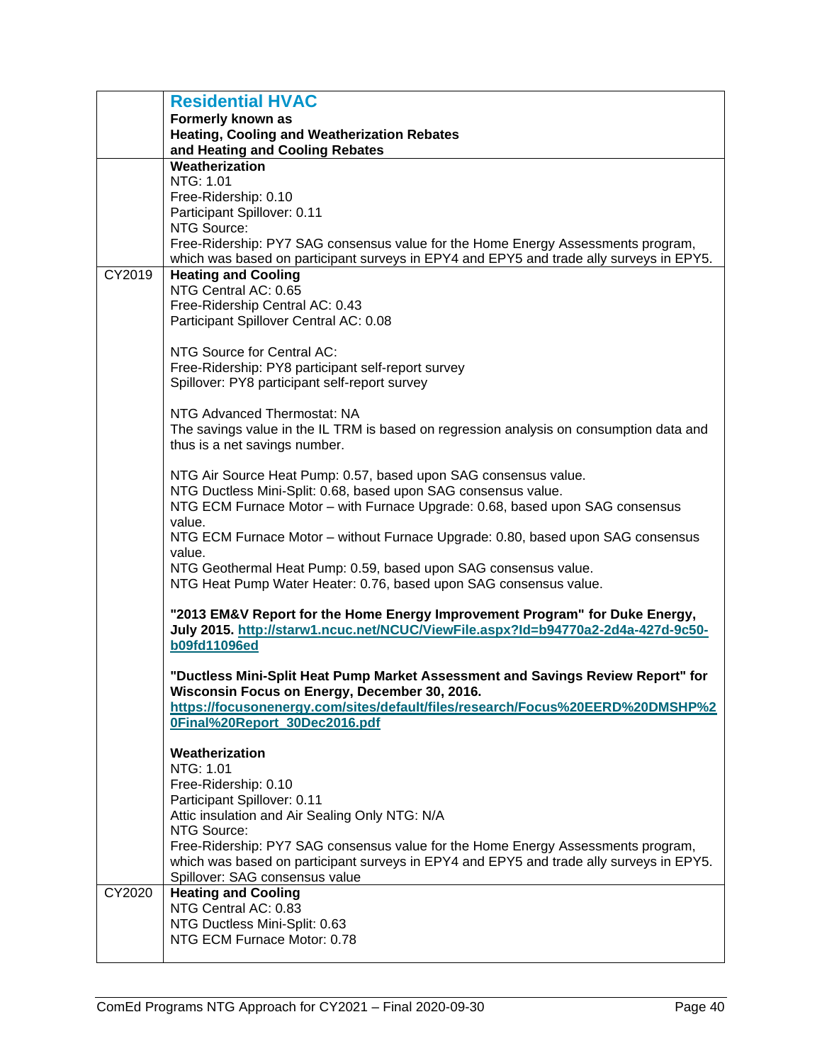|        | <b>Residential HVAC</b>                                                                                                                                         |
|--------|-----------------------------------------------------------------------------------------------------------------------------------------------------------------|
|        | Formerly known as                                                                                                                                               |
|        | <b>Heating, Cooling and Weatherization Rebates</b>                                                                                                              |
|        | and Heating and Cooling Rebates                                                                                                                                 |
|        | Weatherization                                                                                                                                                  |
|        | NTG: 1.01                                                                                                                                                       |
|        | Free-Ridership: 0.10                                                                                                                                            |
|        | Participant Spillover: 0.11                                                                                                                                     |
|        | NTG Source:                                                                                                                                                     |
|        | Free-Ridership: PY7 SAG consensus value for the Home Energy Assessments program,                                                                                |
|        | which was based on participant surveys in EPY4 and EPY5 and trade ally surveys in EPY5.                                                                         |
| CY2019 | <b>Heating and Cooling</b>                                                                                                                                      |
|        | NTG Central AC: 0.65                                                                                                                                            |
|        | Free-Ridership Central AC: 0.43                                                                                                                                 |
|        | Participant Spillover Central AC: 0.08                                                                                                                          |
|        |                                                                                                                                                                 |
|        | NTG Source for Central AC:                                                                                                                                      |
|        | Free-Ridership: PY8 participant self-report survey                                                                                                              |
|        | Spillover: PY8 participant self-report survey                                                                                                                   |
|        |                                                                                                                                                                 |
|        | NTG Advanced Thermostat: NA                                                                                                                                     |
|        | The savings value in the IL TRM is based on regression analysis on consumption data and                                                                         |
|        | thus is a net savings number.                                                                                                                                   |
|        |                                                                                                                                                                 |
|        | NTG Air Source Heat Pump: 0.57, based upon SAG consensus value.                                                                                                 |
|        |                                                                                                                                                                 |
|        | NTG Ductless Mini-Split: 0.68, based upon SAG consensus value.                                                                                                  |
|        | NTG ECM Furnace Motor - with Furnace Upgrade: 0.68, based upon SAG consensus                                                                                    |
|        | value.                                                                                                                                                          |
|        | NTG ECM Furnace Motor - without Furnace Upgrade: 0.80, based upon SAG consensus                                                                                 |
|        | value.                                                                                                                                                          |
|        | NTG Geothermal Heat Pump: 0.59, based upon SAG consensus value.                                                                                                 |
|        | NTG Heat Pump Water Heater: 0.76, based upon SAG consensus value.                                                                                               |
|        | "2013 EM&V Report for the Home Energy Improvement Program" for Duke Energy,<br>July 2015. http://starw1.ncuc.net/NCUC/ViewFile.aspx?Id=b94770a2-2d4a-427d-9c50- |
|        | <b>b09fd11096ed</b>                                                                                                                                             |
|        |                                                                                                                                                                 |
|        | "Ductless Mini-Split Heat Pump Market Assessment and Savings Review Report" for                                                                                 |
|        | Wisconsin Focus on Energy, December 30, 2016.                                                                                                                   |
|        | https://focusonenergy.com/sites/default/files/research/Focus%20EERD%20DMSHP%2                                                                                   |
|        | 0Final%20Report_30Dec2016.pdf                                                                                                                                   |
|        |                                                                                                                                                                 |
|        | Weatherization                                                                                                                                                  |
|        | NTG: 1.01                                                                                                                                                       |
|        | Free-Ridership: 0.10                                                                                                                                            |
|        | Participant Spillover: 0.11                                                                                                                                     |
|        | Attic insulation and Air Sealing Only NTG: N/A                                                                                                                  |
|        | NTG Source:                                                                                                                                                     |
|        | Free-Ridership: PY7 SAG consensus value for the Home Energy Assessments program,                                                                                |
|        | which was based on participant surveys in EPY4 and EPY5 and trade ally surveys in EPY5.                                                                         |
|        | Spillover: SAG consensus value                                                                                                                                  |
| CY2020 | <b>Heating and Cooling</b>                                                                                                                                      |
|        | NTG Central AC: 0.83                                                                                                                                            |
|        | NTG Ductless Mini-Split: 0.63                                                                                                                                   |
|        | NTG ECM Furnace Motor: 0.78                                                                                                                                     |
|        |                                                                                                                                                                 |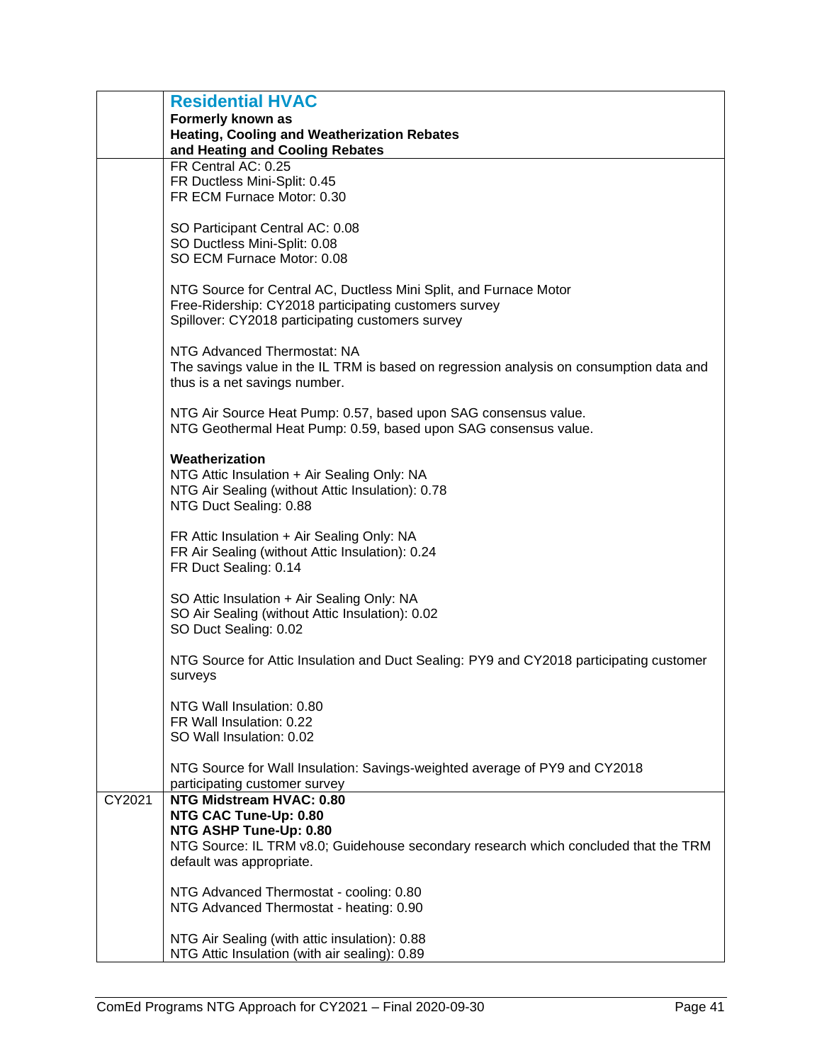|        | <b>Residential HVAC</b>                                                                 |
|--------|-----------------------------------------------------------------------------------------|
|        | Formerly known as                                                                       |
|        | <b>Heating, Cooling and Weatherization Rebates</b>                                      |
|        | and Heating and Cooling Rebates<br>FR Central AC: 0.25                                  |
|        | FR Ductless Mini-Split: 0.45                                                            |
|        | FR ECM Furnace Motor: 0.30                                                              |
|        |                                                                                         |
|        | SO Participant Central AC: 0.08                                                         |
|        | SO Ductless Mini-Split: 0.08                                                            |
|        | SO ECM Furnace Motor: 0.08                                                              |
|        | NTG Source for Central AC, Ductless Mini Split, and Furnace Motor                       |
|        | Free-Ridership: CY2018 participating customers survey                                   |
|        | Spillover: CY2018 participating customers survey                                        |
|        |                                                                                         |
|        | NTG Advanced Thermostat: NA                                                             |
|        | The savings value in the IL TRM is based on regression analysis on consumption data and |
|        | thus is a net savings number.                                                           |
|        | NTG Air Source Heat Pump: 0.57, based upon SAG consensus value.                         |
|        | NTG Geothermal Heat Pump: 0.59, based upon SAG consensus value.                         |
|        |                                                                                         |
|        | Weatherization                                                                          |
|        | NTG Attic Insulation + Air Sealing Only: NA                                             |
|        | NTG Air Sealing (without Attic Insulation): 0.78                                        |
|        | NTG Duct Sealing: 0.88                                                                  |
|        | FR Attic Insulation + Air Sealing Only: NA                                              |
|        | FR Air Sealing (without Attic Insulation): 0.24                                         |
|        | FR Duct Sealing: 0.14                                                                   |
|        |                                                                                         |
|        | SO Attic Insulation + Air Sealing Only: NA                                              |
|        | SO Air Sealing (without Attic Insulation): 0.02                                         |
|        | SO Duct Sealing: 0.02                                                                   |
|        | NTG Source for Attic Insulation and Duct Sealing: PY9 and CY2018 participating customer |
|        | surveys                                                                                 |
|        |                                                                                         |
|        | NTG Wall Insulation: 0.80                                                               |
|        | FR Wall Insulation: 0.22                                                                |
|        | SO Wall Insulation: 0.02                                                                |
|        | NTG Source for Wall Insulation: Savings-weighted average of PY9 and CY2018              |
|        | participating customer survey                                                           |
| CY2021 | NTG Midstream HVAC: 0.80                                                                |
|        | NTG CAC Tune-Up: 0.80                                                                   |
|        | NTG ASHP Tune-Up: 0.80                                                                  |
|        | NTG Source: IL TRM v8.0; Guidehouse secondary research which concluded that the TRM     |
|        | default was appropriate.                                                                |
|        | NTG Advanced Thermostat - cooling: 0.80                                                 |
|        | NTG Advanced Thermostat - heating: 0.90                                                 |
|        |                                                                                         |
|        | NTG Air Sealing (with attic insulation): 0.88                                           |
|        | NTG Attic Insulation (with air sealing): 0.89                                           |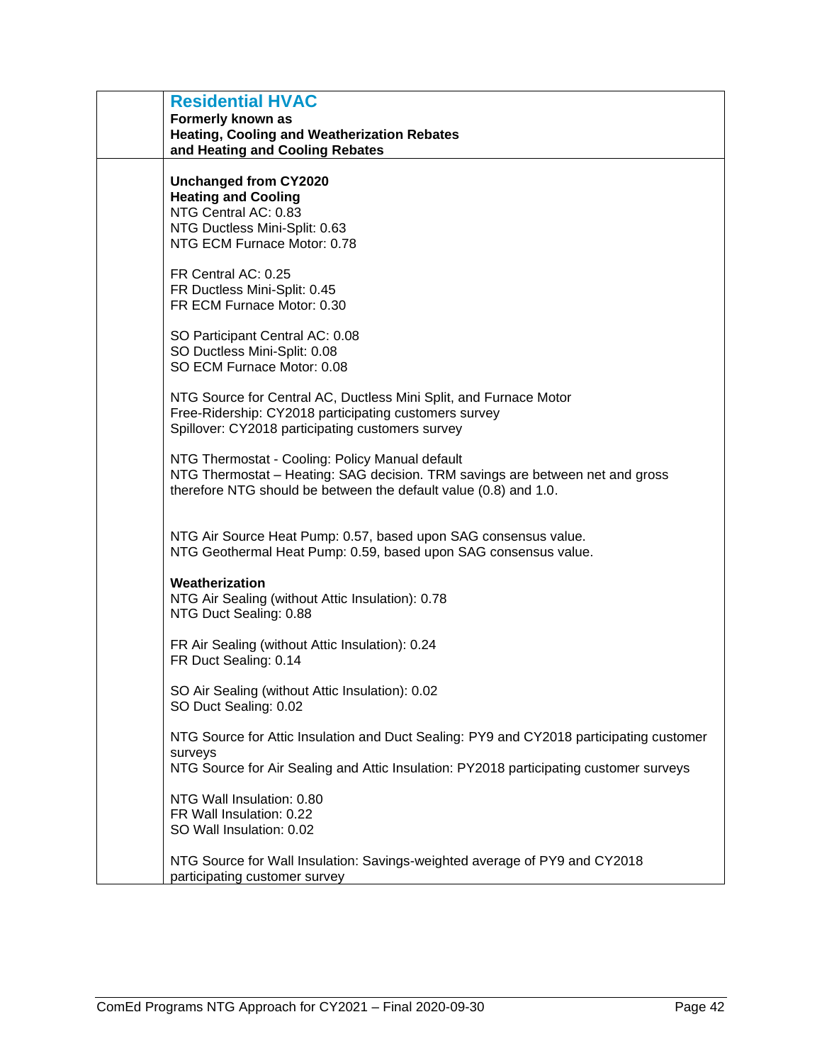| <b>Residential HVAC</b><br>Formerly known as<br>Heating, Cooling and Weatherization Rebates<br>and Heating and Cooling Rebates                                                                       |
|------------------------------------------------------------------------------------------------------------------------------------------------------------------------------------------------------|
| <b>Unchanged from CY2020</b><br><b>Heating and Cooling</b><br>NTG Central AC: 0.83<br>NTG Ductless Mini-Split: 0.63<br>NTG ECM Furnace Motor: 0.78                                                   |
| FR Central AC: 0.25<br>FR Ductless Mini-Split: 0.45<br>FR ECM Furnace Motor: 0.30                                                                                                                    |
| SO Participant Central AC: 0.08<br>SO Ductless Mini-Split: 0.08<br>SO ECM Furnace Motor: 0.08                                                                                                        |
| NTG Source for Central AC, Ductless Mini Split, and Furnace Motor<br>Free-Ridership: CY2018 participating customers survey<br>Spillover: CY2018 participating customers survey                       |
| NTG Thermostat - Cooling: Policy Manual default<br>NTG Thermostat – Heating: SAG decision. TRM savings are between net and gross<br>therefore NTG should be between the default value (0.8) and 1.0. |
| NTG Air Source Heat Pump: 0.57, based upon SAG consensus value.<br>NTG Geothermal Heat Pump: 0.59, based upon SAG consensus value.                                                                   |
| Weatherization<br>NTG Air Sealing (without Attic Insulation): 0.78<br>NTG Duct Sealing: 0.88                                                                                                         |
| FR Air Sealing (without Attic Insulation): 0.24<br>FR Duct Sealing: 0.14                                                                                                                             |
| SO Air Sealing (without Attic Insulation): 0.02<br>SO Duct Sealing: 0.02                                                                                                                             |
| NTG Source for Attic Insulation and Duct Sealing: PY9 and CY2018 participating customer<br>surveys<br>NTG Source for Air Sealing and Attic Insulation: PY2018 participating customer surveys         |
| NTG Wall Insulation: 0.80<br>FR Wall Insulation: 0.22<br>SO Wall Insulation: 0.02                                                                                                                    |
| NTG Source for Wall Insulation: Savings-weighted average of PY9 and CY2018<br>participating customer survey                                                                                          |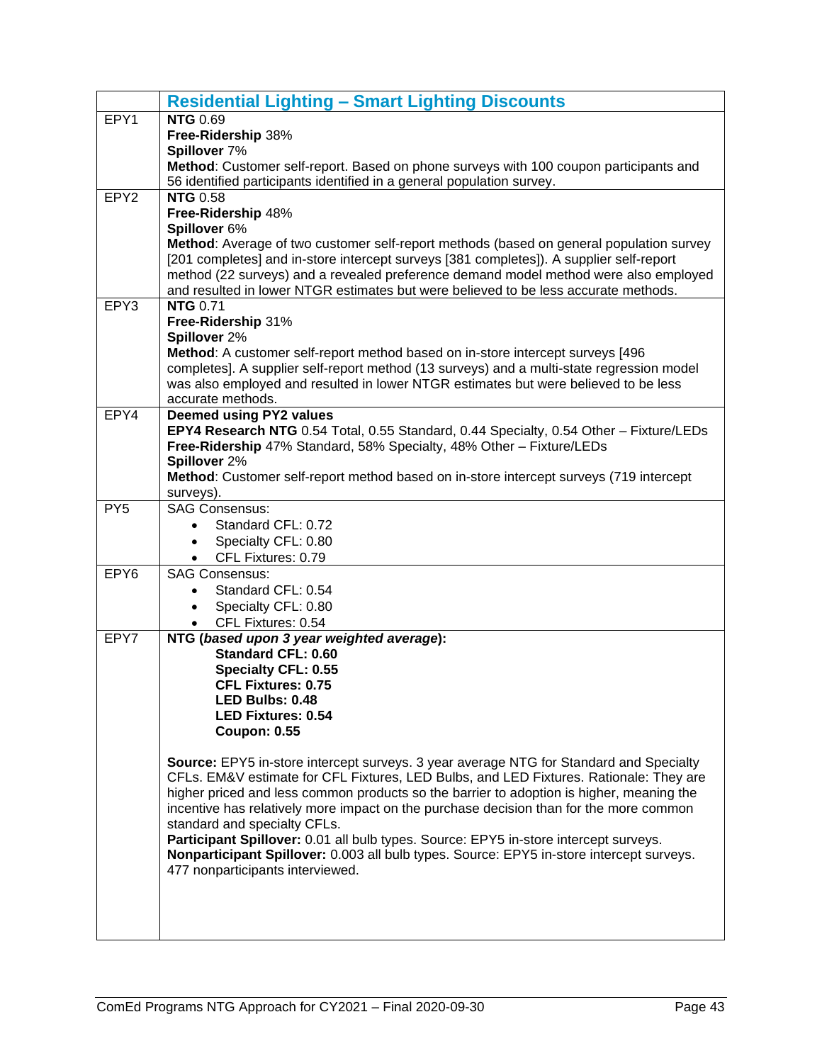<span id="page-44-0"></span>

|                  | <b>Residential Lighting - Smart Lighting Discounts</b>                                                                                                                      |
|------------------|-----------------------------------------------------------------------------------------------------------------------------------------------------------------------------|
| EPY1             | <b>NTG 0.69</b>                                                                                                                                                             |
|                  | Free-Ridership 38%                                                                                                                                                          |
|                  | Spillover 7%                                                                                                                                                                |
|                  | Method: Customer self-report. Based on phone surveys with 100 coupon participants and                                                                                       |
| EPY <sub>2</sub> | 56 identified participants identified in a general population survey.<br><b>NTG 0.58</b>                                                                                    |
|                  | Free-Ridership 48%                                                                                                                                                          |
|                  | Spillover 6%                                                                                                                                                                |
|                  | Method: Average of two customer self-report methods (based on general population survey                                                                                     |
|                  | [201 completes] and in-store intercept surveys [381 completes]). A supplier self-report                                                                                     |
|                  | method (22 surveys) and a revealed preference demand model method were also employed                                                                                        |
|                  | and resulted in lower NTGR estimates but were believed to be less accurate methods.                                                                                         |
| EPY3             | <b>NTG 0.71</b>                                                                                                                                                             |
|                  | Free-Ridership 31%                                                                                                                                                          |
|                  | Spillover 2%                                                                                                                                                                |
|                  | Method: A customer self-report method based on in-store intercept surveys [496<br>completes]. A supplier self-report method (13 surveys) and a multi-state regression model |
|                  | was also employed and resulted in lower NTGR estimates but were believed to be less                                                                                         |
|                  | accurate methods.                                                                                                                                                           |
| EPY4             | <b>Deemed using PY2 values</b>                                                                                                                                              |
|                  | EPY4 Research NTG 0.54 Total, 0.55 Standard, 0.44 Specialty, 0.54 Other - Fixture/LEDs                                                                                      |
|                  | Free-Ridership 47% Standard, 58% Specialty, 48% Other - Fixture/LEDs                                                                                                        |
|                  | Spillover 2%                                                                                                                                                                |
|                  | Method: Customer self-report method based on in-store intercept surveys (719 intercept                                                                                      |
|                  | surveys).                                                                                                                                                                   |
| PY <sub>5</sub>  | <b>SAG Consensus:</b>                                                                                                                                                       |
|                  | Standard CFL: 0.72<br>Specialty CFL: 0.80                                                                                                                                   |
|                  | CFL Fixtures: 0.79                                                                                                                                                          |
| EPY6             | <b>SAG Consensus:</b>                                                                                                                                                       |
|                  | Standard CFL: 0.54                                                                                                                                                          |
|                  | Specialty CFL: 0.80                                                                                                                                                         |
|                  | CFL Fixtures: 0.54                                                                                                                                                          |
| EPY7             | NTG (based upon 3 year weighted average):                                                                                                                                   |
|                  | <b>Standard CFL: 0.60</b>                                                                                                                                                   |
|                  | <b>Specialty CFL: 0.55</b>                                                                                                                                                  |
|                  | <b>CFL Fixtures: 0.75</b>                                                                                                                                                   |
|                  | LED Bulbs: 0.48<br><b>LED Fixtures: 0.54</b>                                                                                                                                |
|                  | <b>Coupon: 0.55</b>                                                                                                                                                         |
|                  |                                                                                                                                                                             |
|                  | Source: EPY5 in-store intercept surveys. 3 year average NTG for Standard and Specialty                                                                                      |
|                  | CFLs. EM&V estimate for CFL Fixtures, LED Bulbs, and LED Fixtures. Rationale: They are                                                                                      |
|                  | higher priced and less common products so the barrier to adoption is higher, meaning the                                                                                    |
|                  | incentive has relatively more impact on the purchase decision than for the more common                                                                                      |
|                  | standard and specialty CFLs.<br>Participant Spillover: 0.01 all bulb types. Source: EPY5 in-store intercept surveys.                                                        |
|                  | Nonparticipant Spillover: 0.003 all bulb types. Source: EPY5 in-store intercept surveys.                                                                                    |
|                  | 477 nonparticipants interviewed.                                                                                                                                            |
|                  |                                                                                                                                                                             |
|                  |                                                                                                                                                                             |
|                  |                                                                                                                                                                             |
|                  |                                                                                                                                                                             |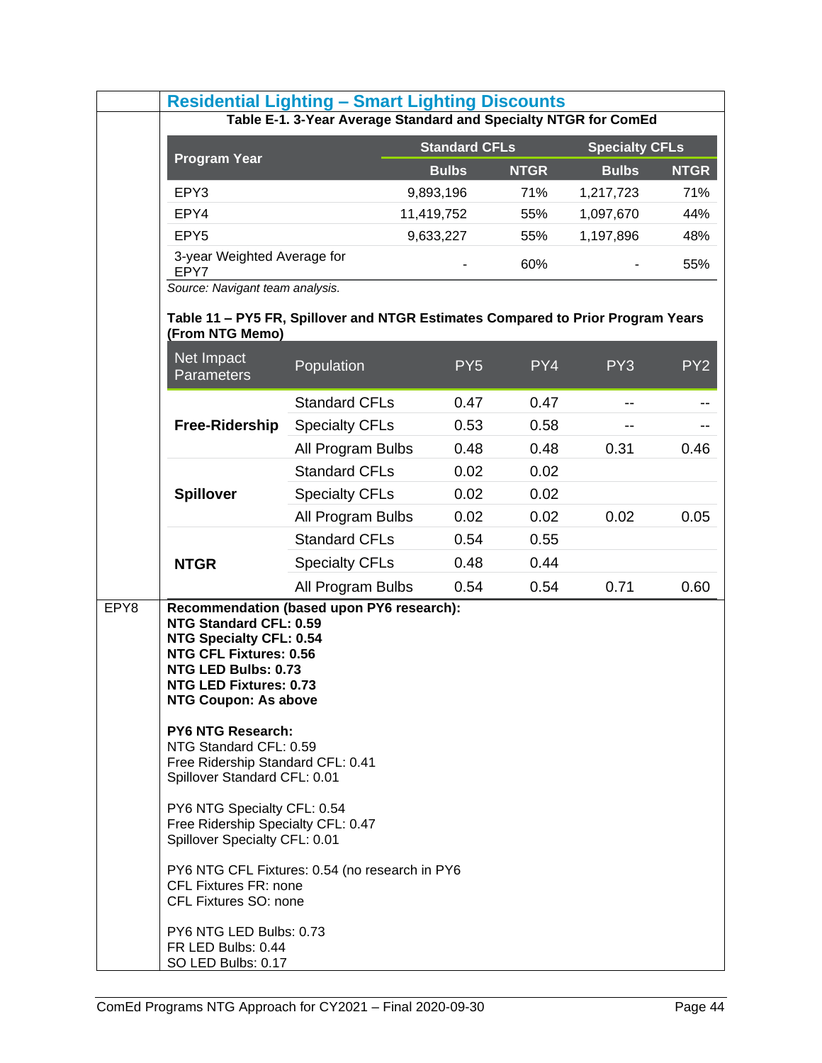|      | <b>Residential Lighting - Smart Lighting Discounts</b>                                                                                                                                                                                                                                                                                                                                                                                                                                                                                                                                                                     |                       |                      |             |                       |                 |
|------|----------------------------------------------------------------------------------------------------------------------------------------------------------------------------------------------------------------------------------------------------------------------------------------------------------------------------------------------------------------------------------------------------------------------------------------------------------------------------------------------------------------------------------------------------------------------------------------------------------------------------|-----------------------|----------------------|-------------|-----------------------|-----------------|
|      | Table E-1. 3-Year Average Standard and Specialty NTGR for ComEd                                                                                                                                                                                                                                                                                                                                                                                                                                                                                                                                                            |                       |                      |             |                       |                 |
|      | <b>Program Year</b>                                                                                                                                                                                                                                                                                                                                                                                                                                                                                                                                                                                                        |                       | <b>Standard CFLs</b> |             | <b>Specialty CFLs</b> |                 |
|      |                                                                                                                                                                                                                                                                                                                                                                                                                                                                                                                                                                                                                            |                       | <b>Bulbs</b>         | <b>NTGR</b> | <b>Bulbs</b>          | <b>NTGR</b>     |
|      | EPY3                                                                                                                                                                                                                                                                                                                                                                                                                                                                                                                                                                                                                       |                       | 9,893,196            | 71%         | 1,217,723             | 71%             |
|      | EPY4                                                                                                                                                                                                                                                                                                                                                                                                                                                                                                                                                                                                                       |                       | 11,419,752           | 55%         | 1,097,670             | 44%             |
|      | EPY <sub>5</sub>                                                                                                                                                                                                                                                                                                                                                                                                                                                                                                                                                                                                           |                       | 9,633,227            | 55%         | 1,197,896             | 48%             |
|      | 3-year Weighted Average for<br>EPY7                                                                                                                                                                                                                                                                                                                                                                                                                                                                                                                                                                                        |                       |                      | 60%         |                       | 55%             |
|      | Source: Navigant team analysis.                                                                                                                                                                                                                                                                                                                                                                                                                                                                                                                                                                                            |                       |                      |             |                       |                 |
|      | Table 11 - PY5 FR, Spillover and NTGR Estimates Compared to Prior Program Years<br>(From NTG Memo)                                                                                                                                                                                                                                                                                                                                                                                                                                                                                                                         |                       |                      |             |                       |                 |
|      | Net Impact<br><b>Parameters</b>                                                                                                                                                                                                                                                                                                                                                                                                                                                                                                                                                                                            | Population            | PY <sub>5</sub>      | PY4         | PY <sub>3</sub>       | PY <sub>2</sub> |
|      |                                                                                                                                                                                                                                                                                                                                                                                                                                                                                                                                                                                                                            | <b>Standard CFLs</b>  | 0.47                 | 0.47        | --                    |                 |
|      | Free-Ridership                                                                                                                                                                                                                                                                                                                                                                                                                                                                                                                                                                                                             | <b>Specialty CFLs</b> | 0.53                 | 0.58        |                       |                 |
|      |                                                                                                                                                                                                                                                                                                                                                                                                                                                                                                                                                                                                                            | All Program Bulbs     | 0.48                 | 0.48        | 0.31                  | 0.46            |
|      |                                                                                                                                                                                                                                                                                                                                                                                                                                                                                                                                                                                                                            | <b>Standard CFLs</b>  | 0.02                 | 0.02        |                       |                 |
|      | <b>Spillover</b>                                                                                                                                                                                                                                                                                                                                                                                                                                                                                                                                                                                                           | <b>Specialty CFLs</b> | 0.02                 | 0.02        |                       |                 |
|      |                                                                                                                                                                                                                                                                                                                                                                                                                                                                                                                                                                                                                            | All Program Bulbs     | 0.02                 | 0.02        | 0.02                  | 0.05            |
|      |                                                                                                                                                                                                                                                                                                                                                                                                                                                                                                                                                                                                                            | <b>Standard CFLs</b>  | 0.54                 | 0.55        |                       |                 |
|      | <b>NTGR</b>                                                                                                                                                                                                                                                                                                                                                                                                                                                                                                                                                                                                                | <b>Specialty CFLs</b> | 0.48                 | 0.44        |                       |                 |
|      |                                                                                                                                                                                                                                                                                                                                                                                                                                                                                                                                                                                                                            | All Program Bulbs     | 0.54                 | 0.54        | 0.71                  | 0.60            |
| EPY8 | Recommendation (based upon PY6 research):<br>NTG Standard CFL: 0.59<br><b>NTG Specialty CFL: 0.54</b><br><b>NTG CFL Fixtures: 0.56</b><br>NTG LED Bulbs: 0.73<br><b>NTG LED Fixtures: 0.73</b><br><b>NTG Coupon: As above</b><br><b>PY6 NTG Research:</b><br>NTG Standard CFL: 0.59<br>Free Ridership Standard CFL: 0.41<br>Spillover Standard CFL: 0.01<br>PY6 NTG Specialty CFL: 0.54<br>Free Ridership Specialty CFL: 0.47<br>Spillover Specialty CFL: 0.01<br>PY6 NTG CFL Fixtures: 0.54 (no research in PY6<br><b>CFL Fixtures FR: none</b><br>CFL Fixtures SO: none<br>PY6 NTG LED Bulbs: 0.73<br>FR LED Bulbs: 0.44 |                       |                      |             |                       |                 |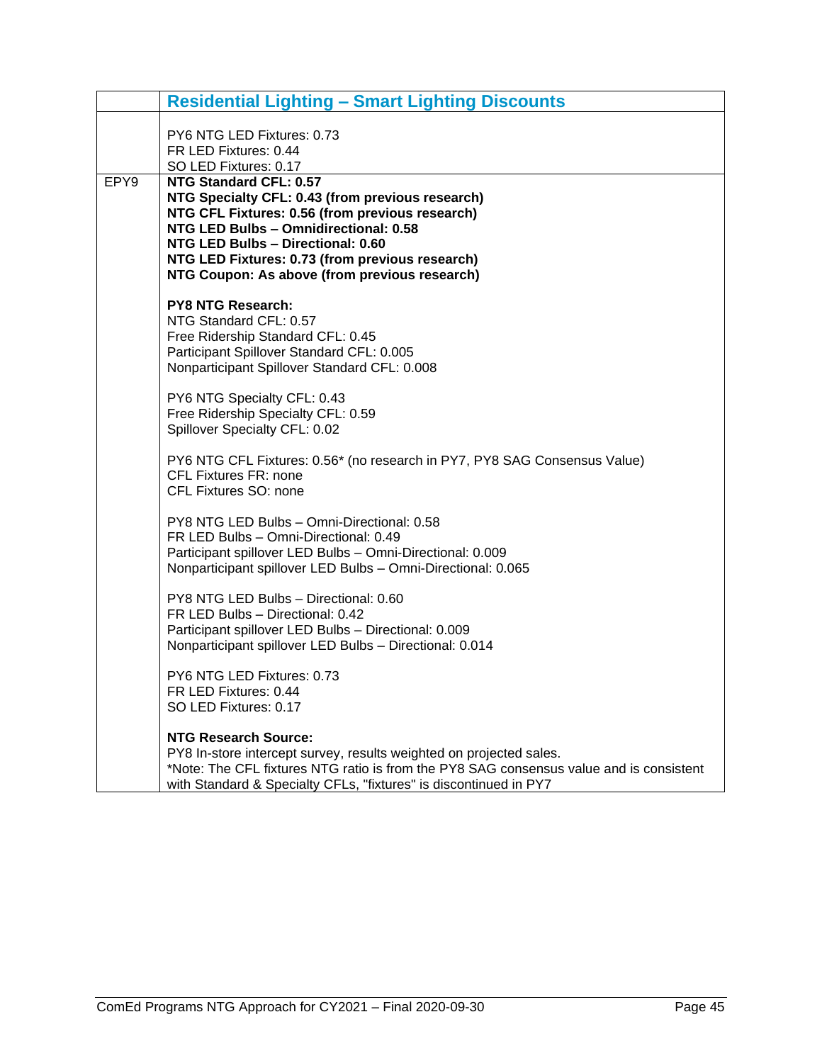|      | <b>Residential Lighting - Smart Lighting Discounts</b>                                                                                                                                                                                                                                                          |
|------|-----------------------------------------------------------------------------------------------------------------------------------------------------------------------------------------------------------------------------------------------------------------------------------------------------------------|
|      | PY6 NTG LED Fixtures: 0.73<br>FR LED Fixtures: 0.44<br>SO LED Fixtures: 0.17                                                                                                                                                                                                                                    |
| EPY9 | NTG Standard CFL: 0.57<br>NTG Specialty CFL: 0.43 (from previous research)<br>NTG CFL Fixtures: 0.56 (from previous research)<br>NTG LED Bulbs - Omnidirectional: 0.58<br>NTG LED Bulbs - Directional: 0.60<br>NTG LED Fixtures: 0.73 (from previous research)<br>NTG Coupon: As above (from previous research) |
|      | <b>PY8 NTG Research:</b><br>NTG Standard CFL: 0.57<br>Free Ridership Standard CFL: 0.45<br>Participant Spillover Standard CFL: 0.005<br>Nonparticipant Spillover Standard CFL: 0.008                                                                                                                            |
|      | PY6 NTG Specialty CFL: 0.43<br>Free Ridership Specialty CFL: 0.59<br>Spillover Specialty CFL: 0.02                                                                                                                                                                                                              |
|      | PY6 NTG CFL Fixtures: 0.56* (no research in PY7, PY8 SAG Consensus Value)<br><b>CFL Fixtures FR: none</b><br>CFL Fixtures SO: none                                                                                                                                                                              |
|      | PY8 NTG LED Bulbs - Omni-Directional: 0.58<br>FR LED Bulbs - Omni-Directional: 0.49<br>Participant spillover LED Bulbs - Omni-Directional: 0.009<br>Nonparticipant spillover LED Bulbs - Omni-Directional: 0.065                                                                                                |
|      | PY8 NTG LED Bulbs - Directional: 0.60<br>FR LED Bulbs - Directional: 0.42<br>Participant spillover LED Bulbs - Directional: 0.009<br>Nonparticipant spillover LED Bulbs - Directional: 0.014                                                                                                                    |
|      | PY6 NTG LED Fixtures: 0.73<br>FR LED Fixtures: 0.44<br>SO LED Fixtures: 0.17                                                                                                                                                                                                                                    |
|      | <b>NTG Research Source:</b><br>PY8 In-store intercept survey, results weighted on projected sales.<br>*Note: The CFL fixtures NTG ratio is from the PY8 SAG consensus value and is consistent<br>with Standard & Specialty CFLs, "fixtures" is discontinued in PY7                                              |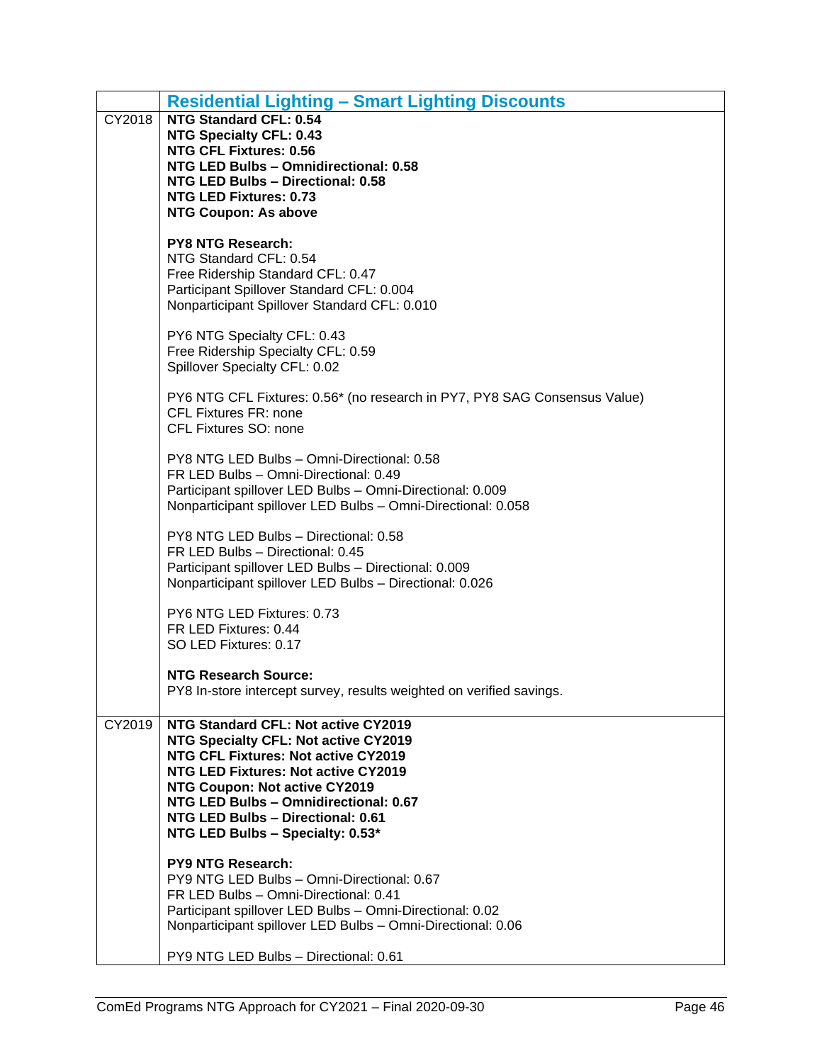|        | <b>Residential Lighting - Smart Lighting Discounts</b>                                                                    |
|--------|---------------------------------------------------------------------------------------------------------------------------|
| CY2018 | <b>NTG Standard CFL: 0.54</b>                                                                                             |
|        | <b>NTG Specialty CFL: 0.43</b><br><b>NTG CFL Fixtures: 0.56</b>                                                           |
|        | NTG LED Bulbs - Omnidirectional: 0.58                                                                                     |
|        | NTG LED Bulbs - Directional: 0.58                                                                                         |
|        | <b>NTG LED Fixtures: 0.73</b><br><b>NTG Coupon: As above</b>                                                              |
|        |                                                                                                                           |
|        | <b>PY8 NTG Research:</b><br>NTG Standard CFL: 0.54                                                                        |
|        | Free Ridership Standard CFL: 0.47                                                                                         |
|        | Participant Spillover Standard CFL: 0.004                                                                                 |
|        | Nonparticipant Spillover Standard CFL: 0.010                                                                              |
|        | PY6 NTG Specialty CFL: 0.43                                                                                               |
|        | Free Ridership Specialty CFL: 0.59                                                                                        |
|        | Spillover Specialty CFL: 0.02                                                                                             |
|        | PY6 NTG CFL Fixtures: 0.56* (no research in PY7, PY8 SAG Consensus Value)                                                 |
|        | <b>CFL Fixtures FR: none</b>                                                                                              |
|        | CFL Fixtures SO: none                                                                                                     |
|        | PY8 NTG LED Bulbs - Omni-Directional: 0.58                                                                                |
|        | FR LED Bulbs - Omni-Directional: 0.49                                                                                     |
|        | Participant spillover LED Bulbs - Omni-Directional: 0.009<br>Nonparticipant spillover LED Bulbs - Omni-Directional: 0.058 |
|        |                                                                                                                           |
|        | PY8 NTG LED Bulbs - Directional: 0.58                                                                                     |
|        | FR LED Bulbs - Directional: 0.45<br>Participant spillover LED Bulbs - Directional: 0.009                                  |
|        | Nonparticipant spillover LED Bulbs - Directional: 0.026                                                                   |
|        | PY6 NTG LED Fixtures: 0.73                                                                                                |
|        | FR LED Fixtures: 0.44                                                                                                     |
|        | SO LED Fixtures: 0.17                                                                                                     |
|        | <b>NTG Research Source:</b>                                                                                               |
|        | PY8 In-store intercept survey, results weighted on verified savings                                                       |
|        |                                                                                                                           |
| CY2019 | NTG Standard CFL: Not active CY2019<br>NTG Specialty CFL: Not active CY2019                                               |
|        | NTG CFL Fixtures: Not active CY2019                                                                                       |
|        | <b>NTG LED Fixtures: Not active CY2019</b>                                                                                |
|        | NTG Coupon: Not active CY2019<br>NTG LED Bulbs - Omnidirectional: 0.67                                                    |
|        | NTG LED Bulbs - Directional: 0.61                                                                                         |
|        | NTG LED Bulbs - Specialty: 0.53*                                                                                          |
|        | <b>PY9 NTG Research:</b>                                                                                                  |
|        | PY9 NTG LED Bulbs - Omni-Directional: 0.67                                                                                |
|        | FR LED Bulbs - Omni-Directional: 0.41<br>Participant spillover LED Bulbs - Omni-Directional: 0.02                         |
|        | Nonparticipant spillover LED Bulbs - Omni-Directional: 0.06                                                               |
|        |                                                                                                                           |
|        | PY9 NTG LED Bulbs - Directional: 0.61                                                                                     |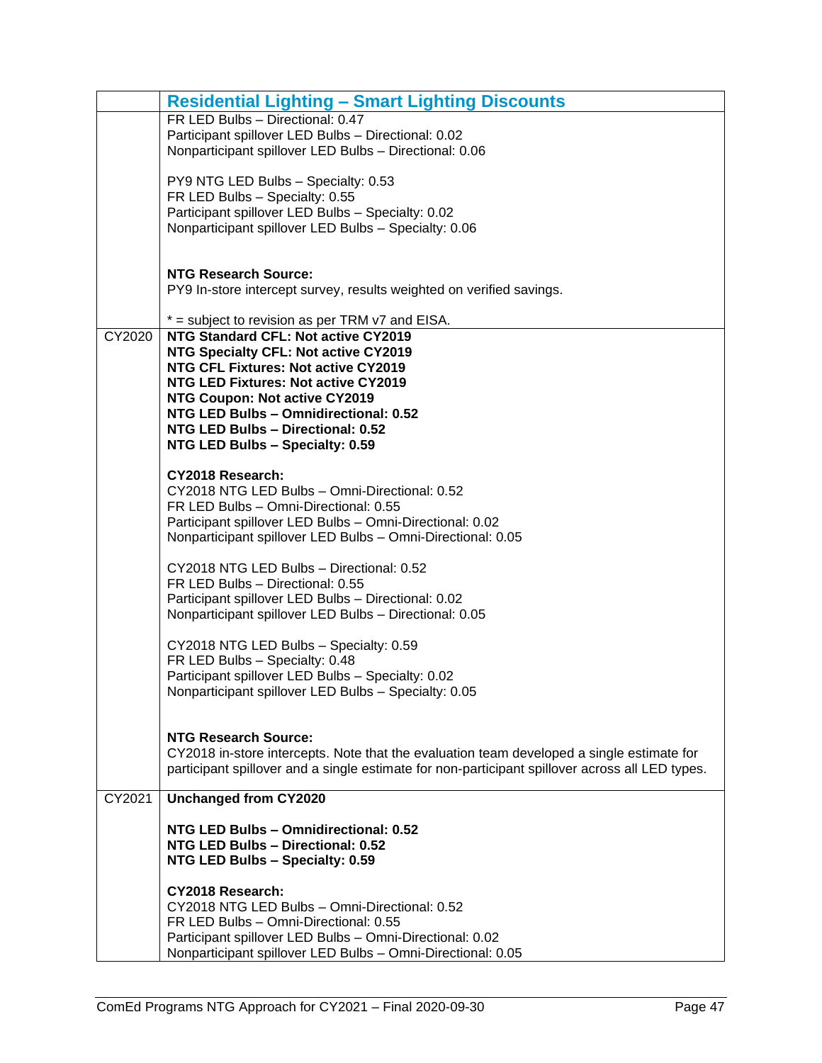|        | <b>Residential Lighting - Smart Lighting Discounts</b>                                                    |
|--------|-----------------------------------------------------------------------------------------------------------|
|        | FR LED Bulbs - Directional: 0.47                                                                          |
|        | Participant spillover LED Bulbs - Directional: 0.02                                                       |
|        | Nonparticipant spillover LED Bulbs - Directional: 0.06                                                    |
|        | PY9 NTG LED Bulbs - Specialty: 0.53                                                                       |
|        | FR LED Bulbs - Specialty: 0.55                                                                            |
|        | Participant spillover LED Bulbs - Specialty: 0.02                                                         |
|        | Nonparticipant spillover LED Bulbs - Specialty: 0.06                                                      |
|        |                                                                                                           |
|        |                                                                                                           |
|        | <b>NTG Research Source:</b>                                                                               |
|        | PY9 In-store intercept survey, results weighted on verified savings.                                      |
|        | $*$ = subject to revision as per TRM $v7$ and EISA.                                                       |
| CY2020 | NTG Standard CFL: Not active CY2019                                                                       |
|        | NTG Specialty CFL: Not active CY2019                                                                      |
|        | NTG CFL Fixtures: Not active CY2019                                                                       |
|        | NTG LED Fixtures: Not active CY2019                                                                       |
|        | NTG Coupon: Not active CY2019                                                                             |
|        | NTG LED Bulbs - Omnidirectional: 0.52                                                                     |
|        | NTG LED Bulbs - Directional: 0.52<br>NTG LED Bulbs - Specialty: 0.59                                      |
|        |                                                                                                           |
|        | CY2018 Research:                                                                                          |
|        | CY2018 NTG LED Bulbs - Omni-Directional: 0.52                                                             |
|        | FR LED Bulbs - Omni-Directional: 0.55                                                                     |
|        | Participant spillover LED Bulbs - Omni-Directional: 0.02                                                  |
|        | Nonparticipant spillover LED Bulbs - Omni-Directional: 0.05                                               |
|        | CY2018 NTG LED Bulbs - Directional: 0.52                                                                  |
|        | FR LED Bulbs - Directional: 0.55                                                                          |
|        | Participant spillover LED Bulbs - Directional: 0.02                                                       |
|        | Nonparticipant spillover LED Bulbs - Directional: 0.05                                                    |
|        |                                                                                                           |
|        | CY2018 NTG LED Bulbs - Specialty: 0.59                                                                    |
|        | FR LED Bulbs - Specialty: 0.48                                                                            |
|        | Participant spillover LED Bulbs - Specialty: 0.02<br>Nonparticipant spillover LED Bulbs - Specialty: 0.05 |
|        |                                                                                                           |
|        |                                                                                                           |
|        | <b>NTG Research Source:</b>                                                                               |
|        | CY2018 in-store intercepts. Note that the evaluation team developed a single estimate for                 |
|        | participant spillover and a single estimate for non-participant spillover across all LED types.           |
| CY2021 | <b>Unchanged from CY2020</b>                                                                              |
|        |                                                                                                           |
|        | NTG LED Bulbs - Omnidirectional: 0.52                                                                     |
|        | NTG LED Bulbs - Directional: 0.52                                                                         |
|        | NTG LED Bulbs - Specialty: 0.59                                                                           |
|        |                                                                                                           |
|        | CY2018 Research:                                                                                          |
|        | CY2018 NTG LED Bulbs - Omni-Directional: 0.52<br>FR LED Bulbs - Omni-Directional: 0.55                    |
|        | Participant spillover LED Bulbs - Omni-Directional: 0.02                                                  |
|        | Nonparticipant spillover LED Bulbs - Omni-Directional: 0.05                                               |
|        |                                                                                                           |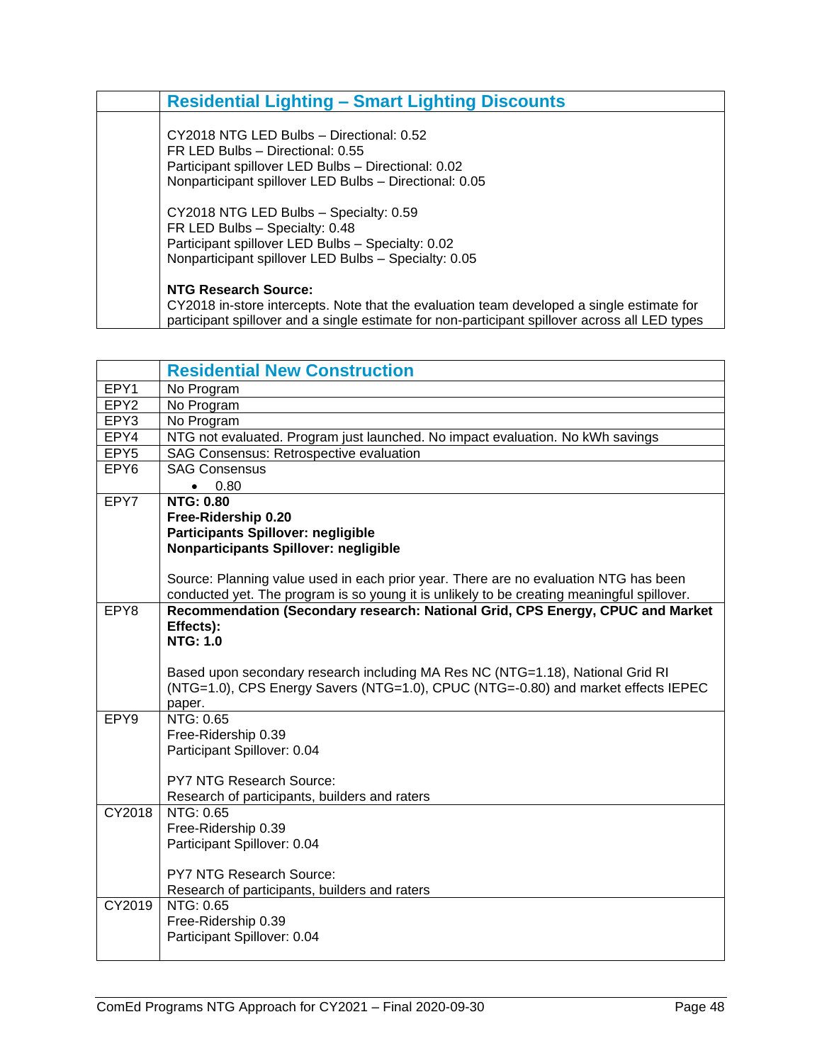| <b>Residential Lighting – Smart Lighting Discounts</b>                                                                                                                                                                     |
|----------------------------------------------------------------------------------------------------------------------------------------------------------------------------------------------------------------------------|
| CY2018 NTG LED Bulbs - Directional: 0.52<br>FR LED Bulbs - Directional: 0.55<br>Participant spillover LED Bulbs - Directional: 0.02<br>Nonparticipant spillover LED Bulbs - Directional: 0.05                              |
| CY2018 NTG LED Bulbs - Specialty: 0.59<br>FR LED Bulbs - Specialty: 0.48<br>Participant spillover LED Bulbs - Specialty: 0.02<br>Nonparticipant spillover LED Bulbs - Specialty: 0.05                                      |
| <b>NTG Research Source:</b><br>CY2018 in-store intercepts. Note that the evaluation team developed a single estimate for<br>participant spillover and a single estimate for non-participant spillover across all LED types |

<span id="page-49-0"></span>

|                  | <b>Residential New Construction</b>                                                        |
|------------------|--------------------------------------------------------------------------------------------|
| EPY1             | No Program                                                                                 |
| EPY <sub>2</sub> | No Program                                                                                 |
| EPY3             | No Program                                                                                 |
| EPY4             | NTG not evaluated. Program just launched. No impact evaluation. No kWh savings             |
| EPY <sub>5</sub> | SAG Consensus: Retrospective evaluation                                                    |
| EPY <sub>6</sub> | <b>SAG Consensus</b>                                                                       |
|                  | 0.80<br>$\bullet$                                                                          |
| EPY7             | <b>NTG: 0.80</b>                                                                           |
|                  | Free-Ridership 0.20                                                                        |
|                  | <b>Participants Spillover: negligible</b>                                                  |
|                  | Nonparticipants Spillover: negligible                                                      |
|                  |                                                                                            |
|                  | Source: Planning value used in each prior year. There are no evaluation NTG has been       |
|                  | conducted yet. The program is so young it is unlikely to be creating meaningful spillover. |
| EPY8             | Recommendation (Secondary research: National Grid, CPS Energy, CPUC and Market             |
|                  | Effects):<br><b>NTG: 1.0</b>                                                               |
|                  |                                                                                            |
|                  | Based upon secondary research including MA Res NC (NTG=1.18), National Grid RI             |
|                  | (NTG=1.0), CPS Energy Savers (NTG=1.0), CPUC (NTG=-0.80) and market effects IEPEC          |
|                  | paper.                                                                                     |
| EPY9             | NTG: 0.65                                                                                  |
|                  | Free-Ridership 0.39                                                                        |
|                  | Participant Spillover: 0.04                                                                |
|                  |                                                                                            |
|                  | <b>PY7 NTG Research Source:</b>                                                            |
|                  | Research of participants, builders and raters                                              |
| CY2018           | NTG: 0.65                                                                                  |
|                  | Free-Ridership 0.39                                                                        |
|                  |                                                                                            |
|                  | Participant Spillover: 0.04                                                                |
|                  |                                                                                            |
|                  | <b>PY7 NTG Research Source:</b>                                                            |
|                  | Research of participants, builders and raters                                              |
| CY2019           | NTG: 0.65                                                                                  |
|                  | Free-Ridership 0.39                                                                        |
|                  | Participant Spillover: 0.04                                                                |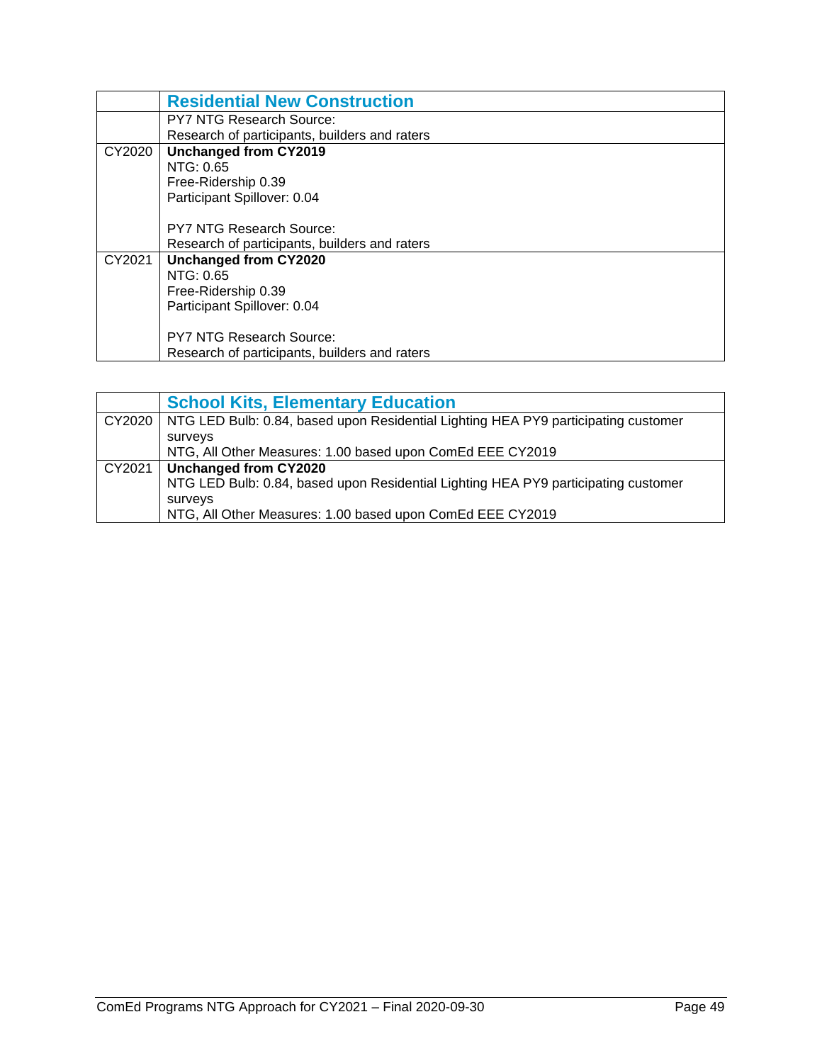|        | <b>Residential New Construction</b>           |
|--------|-----------------------------------------------|
|        | <b>PY7 NTG Research Source:</b>               |
|        | Research of participants, builders and raters |
| CY2020 | <b>Unchanged from CY2019</b>                  |
|        | NTG: 0.65                                     |
|        | Free-Ridership 0.39                           |
|        | Participant Spillover: 0.04                   |
|        |                                               |
|        | <b>PY7 NTG Research Source:</b>               |
|        | Research of participants, builders and raters |
| CY2021 | <b>Unchanged from CY2020</b>                  |
|        | NTG: 0.65                                     |
|        | Free-Ridership 0.39                           |
|        | Participant Spillover: 0.04                   |
|        |                                               |
|        | <b>PY7 NTG Research Source:</b>               |
|        | Research of participants, builders and raters |

<span id="page-50-0"></span>

|        | <b>School Kits, Elementary Education</b>                                                    |
|--------|---------------------------------------------------------------------------------------------|
|        | CY2020   NTG LED Bulb: 0.84, based upon Residential Lighting HEA PY9 participating customer |
|        | surveys                                                                                     |
|        | NTG, All Other Measures: 1.00 based upon ComEd EEE CY2019                                   |
| CY2021 | Unchanged from CY2020                                                                       |
|        | NTG LED Bulb: 0.84, based upon Residential Lighting HEA PY9 participating customer          |
|        | surveys                                                                                     |
|        | NTG, All Other Measures: 1.00 based upon ComEd EEE CY2019                                   |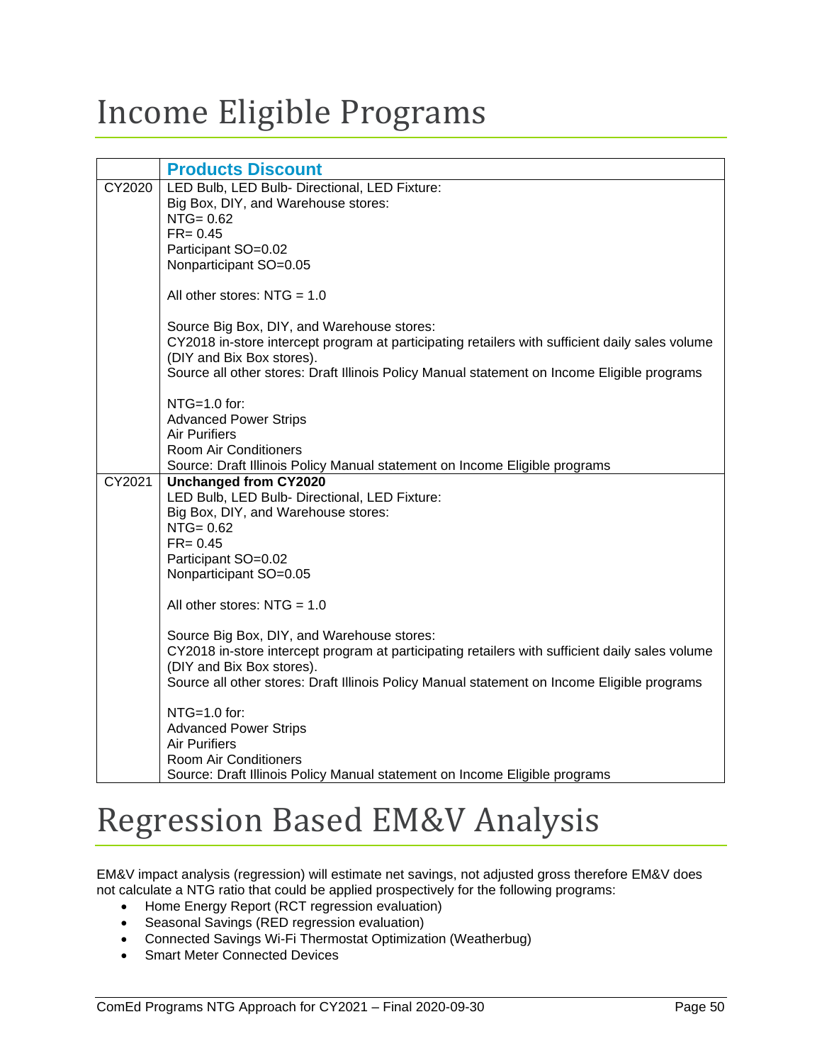### <span id="page-51-0"></span>Income Eligible Programs

<span id="page-51-1"></span>

|        | <b>Products Discount</b>                                                                                                     |
|--------|------------------------------------------------------------------------------------------------------------------------------|
| CY2020 | LED Bulb, LED Bulb- Directional, LED Fixture:                                                                                |
|        | Big Box, DIY, and Warehouse stores:                                                                                          |
|        | $NTG = 0.62$                                                                                                                 |
|        | $FR = 0.45$                                                                                                                  |
|        | Participant SO=0.02                                                                                                          |
|        | Nonparticipant SO=0.05                                                                                                       |
|        | All other stores: $NTG = 1.0$                                                                                                |
|        |                                                                                                                              |
|        | Source Big Box, DIY, and Warehouse stores:                                                                                   |
|        | CY2018 in-store intercept program at participating retailers with sufficient daily sales volume<br>(DIY and Bix Box stores). |
|        | Source all other stores: Draft Illinois Policy Manual statement on Income Eligible programs                                  |
|        |                                                                                                                              |
|        | $NTG=1.0$ for:                                                                                                               |
|        | <b>Advanced Power Strips</b>                                                                                                 |
|        | <b>Air Purifiers</b>                                                                                                         |
|        | Room Air Conditioners                                                                                                        |
|        | Source: Draft Illinois Policy Manual statement on Income Eligible programs                                                   |
| CY2021 | <b>Unchanged from CY2020</b>                                                                                                 |
|        | LED Bulb, LED Bulb- Directional, LED Fixture:                                                                                |
|        | Big Box, DIY, and Warehouse stores:                                                                                          |
|        | $NTG = 0.62$                                                                                                                 |
|        | $FR = 0.45$                                                                                                                  |
|        | Participant SO=0.02                                                                                                          |
|        | Nonparticipant SO=0.05                                                                                                       |
|        |                                                                                                                              |
|        | All other stores: $NTG = 1.0$                                                                                                |
|        | Source Big Box, DIY, and Warehouse stores:                                                                                   |
|        | CY2018 in-store intercept program at participating retailers with sufficient daily sales volume                              |
|        | (DIY and Bix Box stores).                                                                                                    |
|        | Source all other stores: Draft Illinois Policy Manual statement on Income Eligible programs                                  |
|        |                                                                                                                              |
|        | $NTG=1.0$ for:                                                                                                               |
|        | <b>Advanced Power Strips</b>                                                                                                 |
|        | <b>Air Purifiers</b>                                                                                                         |
|        | <b>Room Air Conditioners</b>                                                                                                 |
|        | Source: Draft Illinois Policy Manual statement on Income Eligible programs                                                   |

### <span id="page-51-2"></span>Regression Based EM&V Analysis

EM&V impact analysis (regression) will estimate net savings, not adjusted gross therefore EM&V does not calculate a NTG ratio that could be applied prospectively for the following programs:

- Home Energy Report (RCT regression evaluation)
- Seasonal Savings (RED regression evaluation)
- Connected Savings Wi-Fi Thermostat Optimization (Weatherbug)
- Smart Meter Connected Devices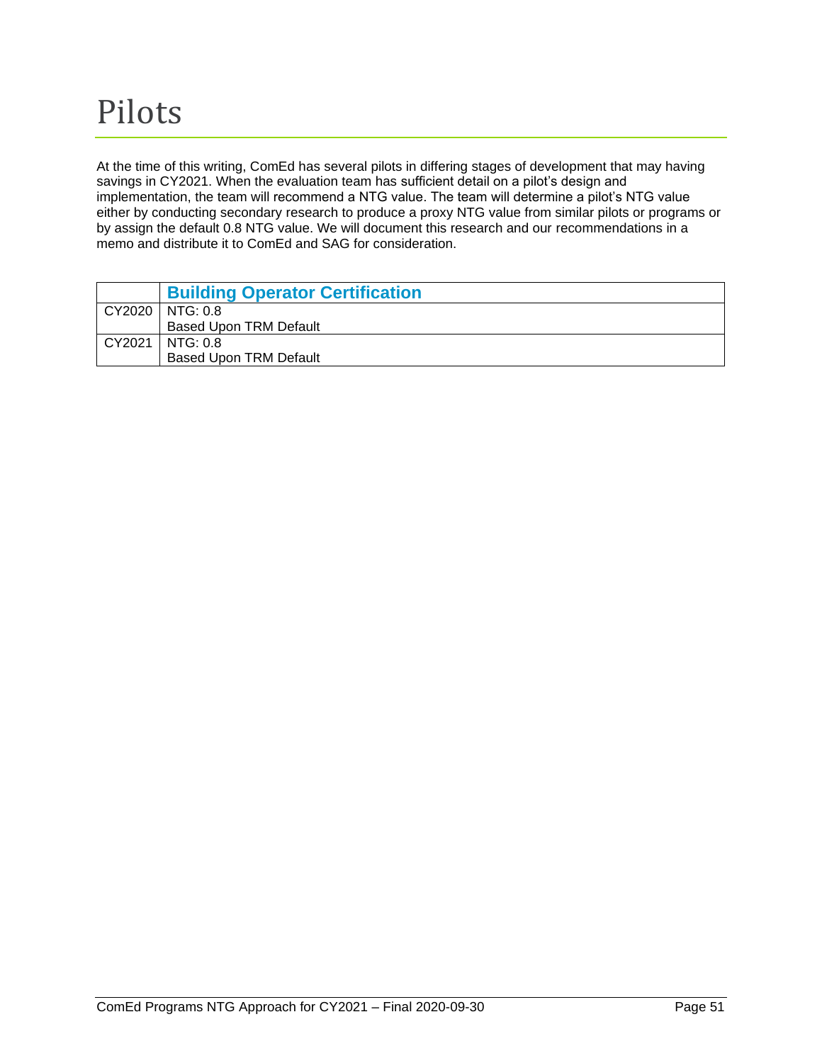<span id="page-52-0"></span>At the time of this writing, ComEd has several pilots in differing stages of development that may having savings in CY2021. When the evaluation team has sufficient detail on a pilot's design and implementation, the team will recommend a NTG value. The team will determine a pilot's NTG value either by conducting secondary research to produce a proxy NTG value from similar pilots or programs or by assign the default 0.8 NTG value. We will document this research and our recommendations in a memo and distribute it to ComEd and SAG for consideration.

<span id="page-52-1"></span>

| <b>Building Operator Certification</b> |
|----------------------------------------|
| CY2020   NTG: 0.8                      |
| <b>Based Upon TRM Default</b>          |
| CY2021   NTG: 0.8                      |
| <b>Based Upon TRM Default</b>          |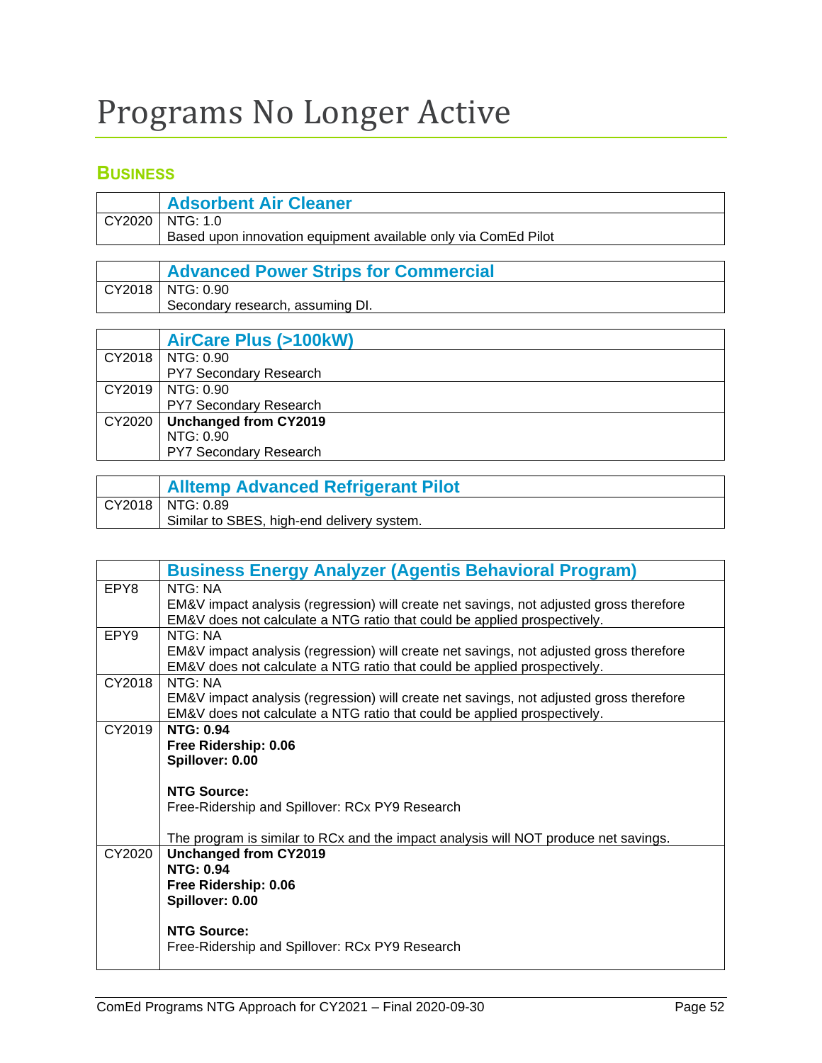## <span id="page-53-0"></span>Programs No Longer Active

#### <span id="page-53-1"></span>**BUSINESS**

<span id="page-53-2"></span>

| <b>Adsorbent Air Cleaner</b>                                   |
|----------------------------------------------------------------|
| CY2020   NTG: 1.0                                              |
| Based upon innovation equipment available only via ComEd Pilot |
|                                                                |
| <b>Advanced Power Strips for Commercial</b>                    |
| $\sim$ $\sim$ $\sim$ $\sim$ $\sim$ $\sim$ $\sim$ $\sim$        |

<span id="page-53-3"></span>CY2018 NTG: 0.90 Secondary research, assuming DI.

<span id="page-53-4"></span>

| <b>AirCare Plus (&gt;100kW)</b> |
|---------------------------------|
| CY2018   NTG: 0.90              |
| <b>PY7 Secondary Research</b>   |
| CY2019   NTG: 0.90              |
| PY7 Secondary Research          |
| CY2020   Unchanged from CY2019  |
| NTG: 0.90                       |
| <b>PY7 Secondary Research</b>   |

<span id="page-53-5"></span>

| <b>Alltemp Advanced Refrigerant Pilot</b>  |
|--------------------------------------------|
| $CY2018$   NTG: 0.89                       |
| Similar to SBES, high-end delivery system. |

<span id="page-53-6"></span>

|                  | <b>Business Energy Analyzer (Agentis Behavioral Program)</b>                            |
|------------------|-----------------------------------------------------------------------------------------|
| EPY8             | NTG: NA                                                                                 |
|                  | EM&V impact analysis (regression) will create net savings, not adjusted gross therefore |
|                  | EM&V does not calculate a NTG ratio that could be applied prospectively.                |
| EPY <sub>9</sub> | NTG: NA                                                                                 |
|                  | EM&V impact analysis (regression) will create net savings, not adjusted gross therefore |
|                  | EM&V does not calculate a NTG ratio that could be applied prospectively.                |
| CY2018           | NTG: NA                                                                                 |
|                  | EM&V impact analysis (regression) will create net savings, not adjusted gross therefore |
|                  | EM&V does not calculate a NTG ratio that could be applied prospectively.                |
| CY2019           | <b>NTG: 0.94</b>                                                                        |
|                  | Free Ridership: 0.06                                                                    |
|                  | Spillover: 0.00                                                                         |
|                  | <b>NTG Source:</b>                                                                      |
|                  | Free-Ridership and Spillover: RCx PY9 Research                                          |
|                  |                                                                                         |
|                  | The program is similar to RCx and the impact analysis will NOT produce net savings.     |
| CY2020           | <b>Unchanged from CY2019</b>                                                            |
|                  | <b>NTG: 0.94</b>                                                                        |
|                  | Free Ridership: 0.06                                                                    |
|                  | Spillover: 0.00                                                                         |
|                  |                                                                                         |
|                  | <b>NTG Source:</b>                                                                      |
|                  | Free-Ridership and Spillover: RCx PY9 Research                                          |
|                  |                                                                                         |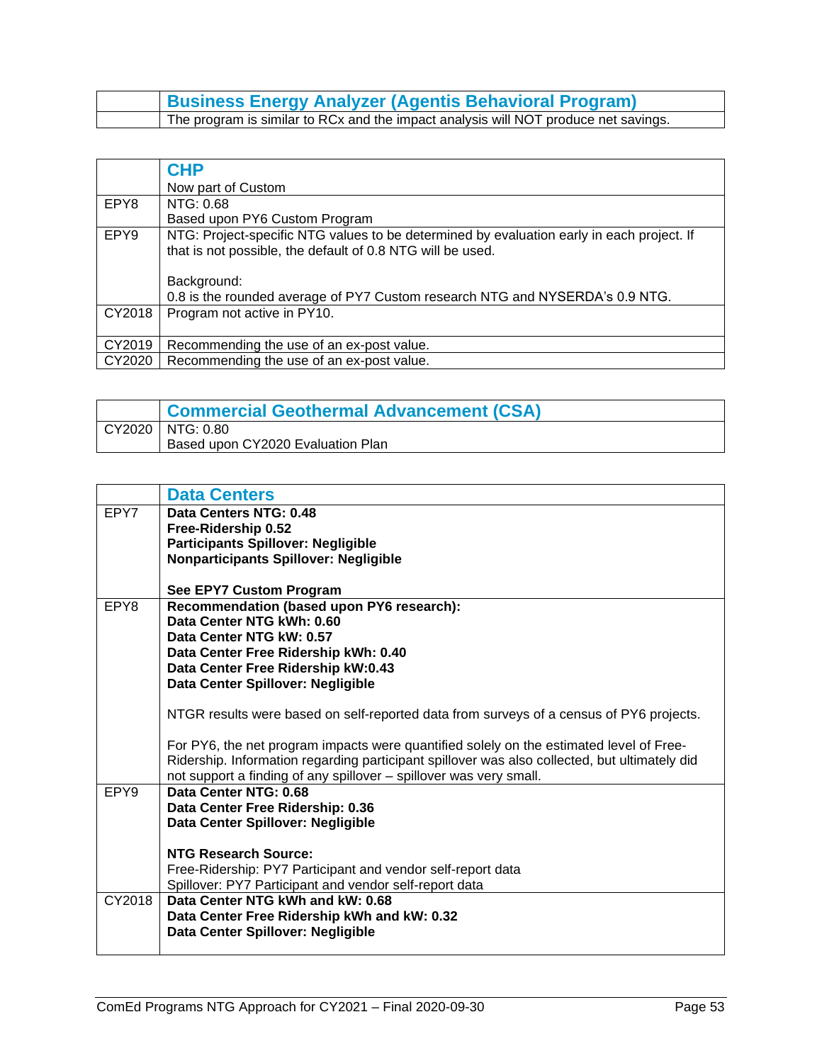| <b>Business Energy Analyzer (Agentis Behavioral Program)</b>                        |
|-------------------------------------------------------------------------------------|
| The program is similar to RCx and the impact analysis will NOT produce net savings. |

<span id="page-54-0"></span>

|        | <b>CHP</b>                                                                                                                                              |
|--------|---------------------------------------------------------------------------------------------------------------------------------------------------------|
|        | Now part of Custom                                                                                                                                      |
| EPY8   | NTG: 0.68                                                                                                                                               |
|        | Based upon PY6 Custom Program                                                                                                                           |
| EPY9   | NTG: Project-specific NTG values to be determined by evaluation early in each project. If<br>that is not possible, the default of 0.8 NTG will be used. |
|        | Background:                                                                                                                                             |
|        | 0.8 is the rounded average of PY7 Custom research NTG and NYSERDA's 0.9 NTG.                                                                            |
| CY2018 | Program not active in PY10.                                                                                                                             |
| CY2019 | Recommending the use of an ex-post value.                                                                                                               |
| CY2020 | Recommending the use of an ex-post value.                                                                                                               |

<span id="page-54-1"></span>

| <b>Commercial Geothermal Advancement (CSA)</b> |
|------------------------------------------------|
| CY2020   NTG: 0.80                             |
| Based upon CY2020 Evaluation Plan              |

<span id="page-54-2"></span>

|        | <b>Data Centers</b>                                                                           |
|--------|-----------------------------------------------------------------------------------------------|
| EPY7   | Data Centers NTG: 0.48                                                                        |
|        | Free-Ridership 0.52                                                                           |
|        | <b>Participants Spillover: Negligible</b>                                                     |
|        | <b>Nonparticipants Spillover: Negligible</b>                                                  |
|        |                                                                                               |
|        | See EPY7 Custom Program                                                                       |
| EPY8   | Recommendation (based upon PY6 research):                                                     |
|        | Data Center NTG kWh: 0.60                                                                     |
|        | Data Center NTG kW: 0.57                                                                      |
|        | Data Center Free Ridership kWh: 0.40                                                          |
|        | Data Center Free Ridership kW:0.43                                                            |
|        | Data Center Spillover: Negligible                                                             |
|        |                                                                                               |
|        | NTGR results were based on self-reported data from surveys of a census of PY6 projects.       |
|        | For PY6, the net program impacts were quantified solely on the estimated level of Free-       |
|        | Ridership. Information regarding participant spillover was also collected, but ultimately did |
|        | not support a finding of any spillover - spillover was very small.                            |
| EPY9   | Data Center NTG: 0.68                                                                         |
|        | Data Center Free Ridership: 0.36                                                              |
|        | Data Center Spillover: Negligible                                                             |
|        |                                                                                               |
|        | <b>NTG Research Source:</b>                                                                   |
|        | Free-Ridership: PY7 Participant and vendor self-report data                                   |
|        | Spillover: PY7 Participant and vendor self-report data                                        |
| CY2018 | Data Center NTG kWh and kW: 0.68                                                              |
|        | Data Center Free Ridership kWh and kW: 0.32                                                   |
|        | Data Center Spillover: Negligible                                                             |
|        |                                                                                               |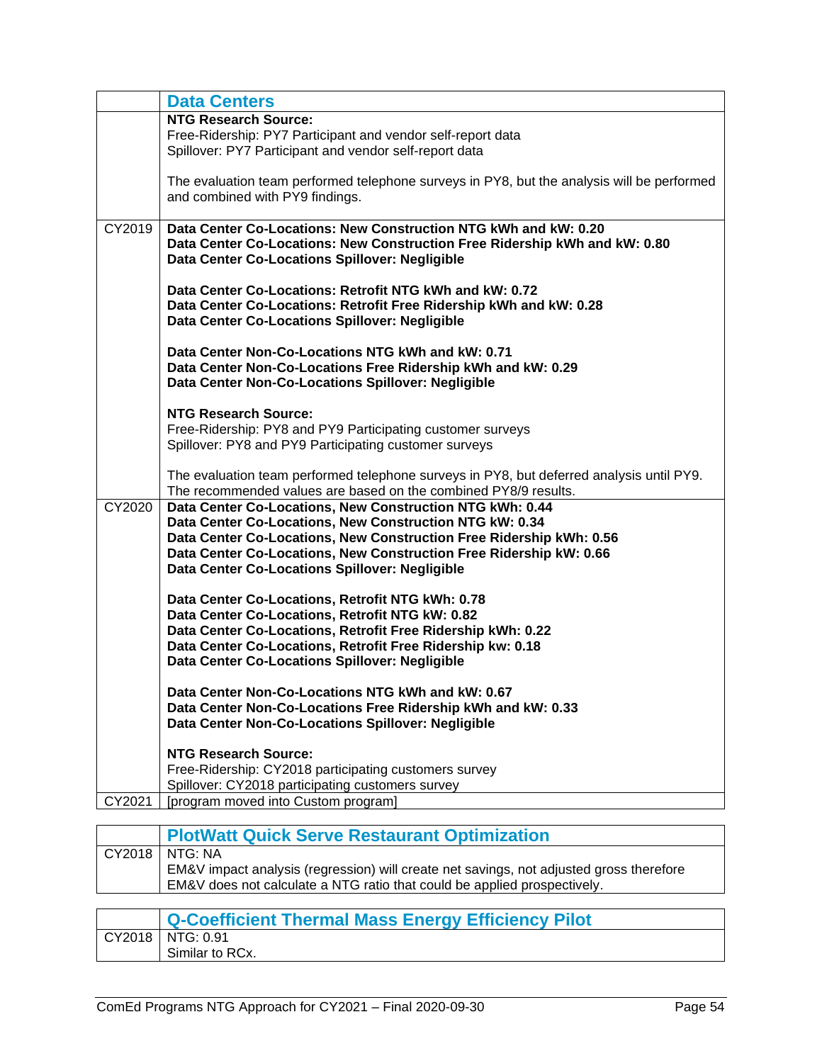|        | <b>Data Centers</b>                                                                                                          |
|--------|------------------------------------------------------------------------------------------------------------------------------|
|        | <b>NTG Research Source:</b>                                                                                                  |
|        | Free-Ridership: PY7 Participant and vendor self-report data                                                                  |
|        | Spillover: PY7 Participant and vendor self-report data                                                                       |
|        | The evaluation team performed telephone surveys in PY8, but the analysis will be performed                                   |
|        | and combined with PY9 findings.                                                                                              |
| CY2019 | Data Center Co-Locations: New Construction NTG kWh and kW: 0.20                                                              |
|        | Data Center Co-Locations: New Construction Free Ridership kWh and kW: 0.80<br>Data Center Co-Locations Spillover: Negligible |
|        | Data Center Co-Locations: Retrofit NTG kWh and kW: 0.72                                                                      |
|        | Data Center Co-Locations: Retrofit Free Ridership kWh and kW: 0.28                                                           |
|        | Data Center Co-Locations Spillover: Negligible                                                                               |
|        | Data Center Non-Co-Locations NTG kWh and kW: 0.71                                                                            |
|        | Data Center Non-Co-Locations Free Ridership kWh and kW: 0.29                                                                 |
|        | Data Center Non-Co-Locations Spillover: Negligible                                                                           |
|        | <b>NTG Research Source:</b>                                                                                                  |
|        | Free-Ridership: PY8 and PY9 Participating customer surveys                                                                   |
|        | Spillover: PY8 and PY9 Participating customer surveys                                                                        |
|        | The evaluation team performed telephone surveys in PY8, but deferred analysis until PY9.                                     |
|        | The recommended values are based on the combined PY8/9 results.                                                              |
| CY2020 | Data Center Co-Locations, New Construction NTG kWh: 0.44                                                                     |
|        | Data Center Co-Locations, New Construction NTG kW: 0.34                                                                      |
|        | Data Center Co-Locations, New Construction Free Ridership kWh: 0.56                                                          |
|        | Data Center Co-Locations, New Construction Free Ridership kW: 0.66                                                           |
|        | Data Center Co-Locations Spillover: Negligible                                                                               |
|        | Data Center Co-Locations, Retrofit NTG kWh: 0.78                                                                             |
|        | Data Center Co-Locations, Retrofit NTG kW: 0.82                                                                              |
|        | Data Center Co-Locations, Retrofit Free Ridership kWh: 0.22                                                                  |
|        | Data Center Co-Locations, Retrofit Free Ridership kw: 0.18                                                                   |
|        | Data Center Co-Locations Spillover: Negligible                                                                               |
|        | Data Center Non-Co-Locations NTG kWh and kW: 0.67                                                                            |
|        | Data Center Non-Co-Locations Free Ridership kWh and kW: 0.33                                                                 |
|        | Data Center Non-Co-Locations Spillover: Negligible                                                                           |
|        | <b>NTG Research Source:</b>                                                                                                  |
|        | Free-Ridership: CY2018 participating customers survey                                                                        |
|        | Spillover: CY2018 participating customers survey                                                                             |
| CY2021 | [program moved into Custom program]                                                                                          |

<span id="page-55-0"></span>

| <b>PlotWatt Quick Serve Restaurant Optimization</b>                                     |
|-----------------------------------------------------------------------------------------|
| CY2018   NTG: NA                                                                        |
| EM&V impact analysis (regression) will create net savings, not adjusted gross therefore |
| EM&V does not calculate a NTG ratio that could be applied prospectively.                |
|                                                                                         |
|                                                                                         |

<span id="page-55-1"></span>

| Q-Coefficient Thermal Mass Energy Efficiency Pilot |
|----------------------------------------------------|
| CY2018   NTG: 0.91                                 |
| Similar to RCx.                                    |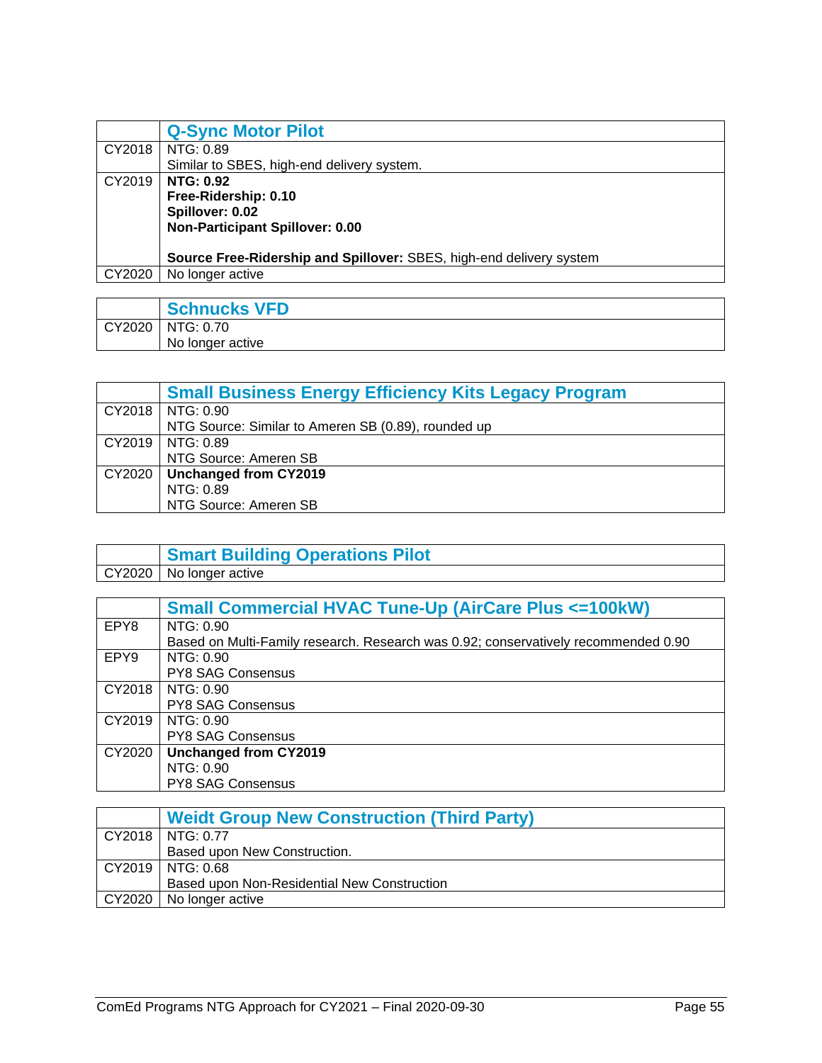<span id="page-56-0"></span>

|        | <b>Q-Sync Motor Pilot</b>                                           |  |  |
|--------|---------------------------------------------------------------------|--|--|
| CY2018 | NTG: 0.89                                                           |  |  |
|        | Similar to SBES, high-end delivery system.                          |  |  |
| CY2019 | <b>NTG: 0.92</b>                                                    |  |  |
|        | Free-Ridership: 0.10                                                |  |  |
|        | Spillover: 0.02                                                     |  |  |
|        | Non-Participant Spillover: 0.00                                     |  |  |
|        |                                                                     |  |  |
|        | Source Free-Ridership and Spillover: SBES, high-end delivery system |  |  |
| CY2020 | No longer active                                                    |  |  |

<span id="page-56-1"></span>

|        | <b>Schnucks VFD</b> |
|--------|---------------------|
| CY2020 | NTG: 0.70           |
|        | No longer active    |

<span id="page-56-2"></span>

|        | <b>Small Business Energy Efficiency Kits Legacy Program</b> |  |
|--------|-------------------------------------------------------------|--|
|        | CY2018   NTG: 0.90                                          |  |
|        | NTG Source: Similar to Ameren SB (0.89), rounded up         |  |
|        | CY2019   NTG: 0.89                                          |  |
|        | NTG Source: Ameren SB                                       |  |
| CY2020 | Unchanged from CY2019                                       |  |
|        | NTG: 0.89                                                   |  |
|        | NTG Source: Ameren SB                                       |  |

<span id="page-56-3"></span>

| <b>Smart Building Operations Pilot</b> |
|----------------------------------------|
| CY2020   No longer active              |

<span id="page-56-4"></span>

|                  | <b>Small Commercial HVAC Tune-Up (AirCare Plus &lt;= 100kW)</b>                    |  |  |  |
|------------------|------------------------------------------------------------------------------------|--|--|--|
| EPY8             | NTG: 0.90                                                                          |  |  |  |
|                  | Based on Multi-Family research. Research was 0.92; conservatively recommended 0.90 |  |  |  |
| EPY <sub>9</sub> | NTG: 0.90                                                                          |  |  |  |
|                  | <b>PY8 SAG Consensus</b>                                                           |  |  |  |
| CY2018           | NTG: 0.90                                                                          |  |  |  |
|                  | <b>PY8 SAG Consensus</b>                                                           |  |  |  |
| CY2019           | NTG: 0.90                                                                          |  |  |  |
|                  | <b>PY8 SAG Consensus</b>                                                           |  |  |  |
| CY2020           | <b>Unchanged from CY2019</b>                                                       |  |  |  |
|                  | NTG: 0.90                                                                          |  |  |  |
|                  | <b>PY8 SAG Consensus</b>                                                           |  |  |  |

<span id="page-56-5"></span>

| <b>Weidt Group New Construction (Third Party)</b> |  |
|---------------------------------------------------|--|
| $CY2018$   NTG: 0.77                              |  |
| Based upon New Construction.                      |  |
| CY2019   NTG: 0.68                                |  |
| Based upon Non-Residential New Construction       |  |
| CY2020   No longer active                         |  |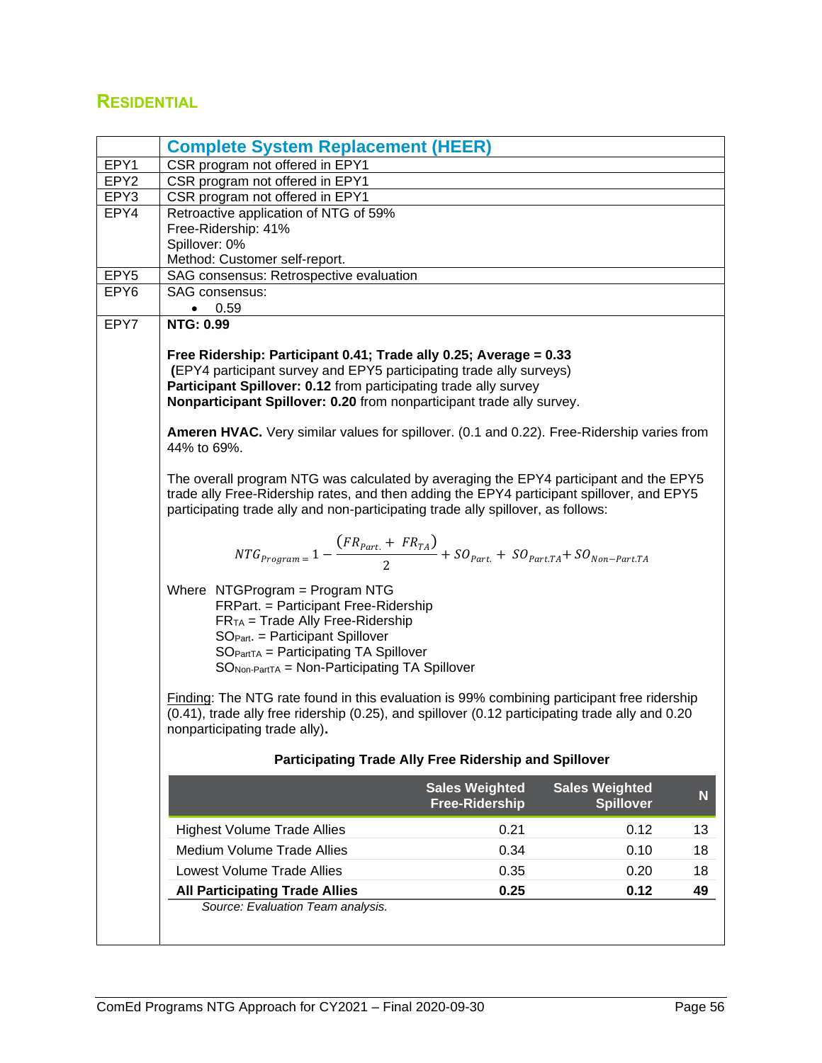### <span id="page-57-0"></span>**RESIDENTIAL**

<span id="page-57-1"></span>

|                  | <b>Complete System Replacement (HEER)</b>                                                                                                                                                                                                                                                                                                                                                          |                                                |                                           |    |
|------------------|----------------------------------------------------------------------------------------------------------------------------------------------------------------------------------------------------------------------------------------------------------------------------------------------------------------------------------------------------------------------------------------------------|------------------------------------------------|-------------------------------------------|----|
| EPY1             | CSR program not offered in EPY1                                                                                                                                                                                                                                                                                                                                                                    |                                                |                                           |    |
| EPY2             | CSR program not offered in EPY1                                                                                                                                                                                                                                                                                                                                                                    |                                                |                                           |    |
| EPY3             | CSR program not offered in EPY1                                                                                                                                                                                                                                                                                                                                                                    |                                                |                                           |    |
| EPY4             | Retroactive application of NTG of 59%                                                                                                                                                                                                                                                                                                                                                              |                                                |                                           |    |
|                  | Free-Ridership: 41%                                                                                                                                                                                                                                                                                                                                                                                |                                                |                                           |    |
|                  | Spillover: 0%<br>Method: Customer self-report.                                                                                                                                                                                                                                                                                                                                                     |                                                |                                           |    |
| EPY <sub>5</sub> | SAG consensus: Retrospective evaluation                                                                                                                                                                                                                                                                                                                                                            |                                                |                                           |    |
| EPY6             | SAG consensus:                                                                                                                                                                                                                                                                                                                                                                                     |                                                |                                           |    |
|                  | $\bullet$ 0.59                                                                                                                                                                                                                                                                                                                                                                                     |                                                |                                           |    |
| EPY7             | <b>NTG: 0.99</b>                                                                                                                                                                                                                                                                                                                                                                                   |                                                |                                           |    |
|                  | Free Ridership: Participant 0.41; Trade ally 0.25; Average = 0.33<br>(EPY4 participant survey and EPY5 participating trade ally surveys)<br>Participant Spillover: 0.12 from participating trade ally survey<br>Nonparticipant Spillover: 0.20 from nonparticipant trade ally survey.<br>Ameren HVAC. Very similar values for spillover. (0.1 and 0.22). Free-Ridership varies from<br>44% to 69%. |                                                |                                           |    |
|                  | The overall program NTG was calculated by averaging the EPY4 participant and the EPY5<br>trade ally Free-Ridership rates, and then adding the EPY4 participant spillover, and EPY5<br>participating trade ally and non-participating trade ally spillover, as follows:                                                                                                                             |                                                |                                           |    |
|                  | $NTG_{Program} = 1 - \frac{(FR_{part.} + FR_{TA})}{2} + SO_{Part.} + SO_{Part.TA} + SO_{Non-Part.TA}$                                                                                                                                                                                                                                                                                              |                                                |                                           |    |
|                  | Where NTGProgram = Program NTG<br>FRPart. = Participant Free-Ridership<br>$FRTA$ = Trade Ally Free-Ridership<br>SO <sub>Part</sub> . = Participant Spillover<br>$SOPartTA = Participating TA Spillover$<br>$SONon-PartTA = Non-Participating TA Spillover$                                                                                                                                         |                                                |                                           |    |
|                  | Finding: The NTG rate found in this evaluation is 99% combining participant free ridership<br>(0.41), trade ally free ridership (0.25), and spillover (0.12 participating trade ally and 0.20<br>nonparticipating trade ally).                                                                                                                                                                     |                                                |                                           |    |
|                  | Participating Trade Ally Free Ridership and Spillover                                                                                                                                                                                                                                                                                                                                              |                                                |                                           |    |
|                  |                                                                                                                                                                                                                                                                                                                                                                                                    | <b>Sales Weighted</b><br><b>Free-Ridership</b> | <b>Sales Weighted</b><br><b>Spillover</b> | N  |
|                  | <b>Highest Volume Trade Allies</b>                                                                                                                                                                                                                                                                                                                                                                 | 0.21                                           | 0.12                                      | 13 |
|                  | <b>Medium Volume Trade Allies</b>                                                                                                                                                                                                                                                                                                                                                                  | 0.34                                           | 0.10                                      | 18 |
|                  | Lowest Volume Trade Allies                                                                                                                                                                                                                                                                                                                                                                         | 0.35                                           | 0.20                                      | 18 |
|                  | <b>All Participating Trade Allies</b>                                                                                                                                                                                                                                                                                                                                                              | 0.25                                           | 0.12                                      | 49 |
|                  | Source: Evaluation Team analysis.                                                                                                                                                                                                                                                                                                                                                                  |                                                |                                           |    |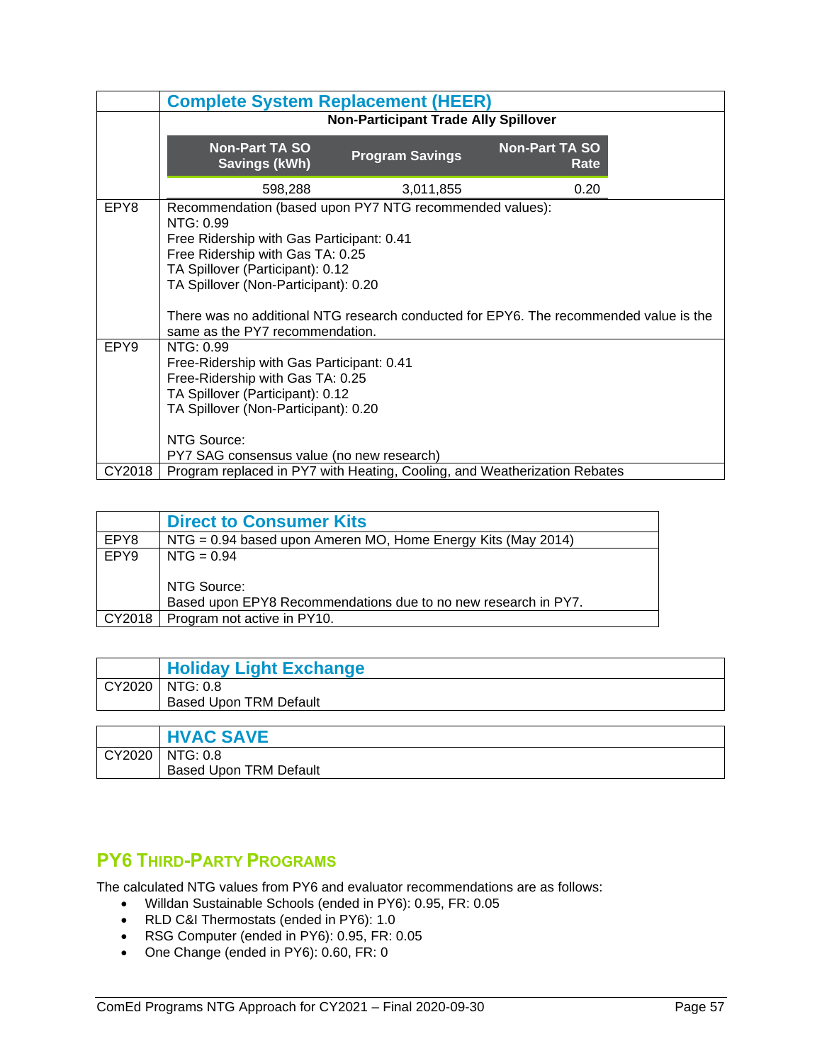|        | <b>Complete System Replacement (HEER)</b>                                                                                                                                                                                         |                        |                               |  |
|--------|-----------------------------------------------------------------------------------------------------------------------------------------------------------------------------------------------------------------------------------|------------------------|-------------------------------|--|
|        | <b>Non-Participant Trade Ally Spillover</b>                                                                                                                                                                                       |                        |                               |  |
|        | <b>Non-Part TA SO</b><br><b>Savings (kWh)</b>                                                                                                                                                                                     | <b>Program Savings</b> | <b>Non-Part TA SO</b><br>Rate |  |
|        | 598,288                                                                                                                                                                                                                           | 3,011,855              | 0.20                          |  |
| EPY8   | Recommendation (based upon PY7 NTG recommended values):<br>NTG: 0.99<br>Free Ridership with Gas Participant: 0.41<br>Free Ridership with Gas TA: 0.25<br>TA Spillover (Participant): 0.12<br>TA Spillover (Non-Participant): 0.20 |                        |                               |  |
|        | There was no additional NTG research conducted for EPY6. The recommended value is the<br>same as the PY7 recommendation.                                                                                                          |                        |                               |  |
| EPY9   | NTG: 0.99<br>Free-Ridership with Gas Participant: 0.41<br>Free-Ridership with Gas TA: 0.25<br>TA Spillover (Participant): 0.12<br>TA Spillover (Non-Participant): 0.20<br>NTG Source:                                             |                        |                               |  |
|        | PY7 SAG consensus value (no new research)                                                                                                                                                                                         |                        |                               |  |
| CY2018 | Program replaced in PY7 with Heating, Cooling, and Weatherization Rebates                                                                                                                                                         |                        |                               |  |

<span id="page-58-0"></span>

|        | <b>Direct to Consumer Kits</b>                                                |  |  |
|--------|-------------------------------------------------------------------------------|--|--|
| EPY8   | $NTG = 0.94$ based upon Ameren MO, Home Energy Kits (May 2014)                |  |  |
| EPY9   | $NTG = 0.94$                                                                  |  |  |
|        | NTG Source:<br>Based upon EPY8 Recommendations due to no new research in PY7. |  |  |
| CY2018 | Program not active in PY10.                                                   |  |  |

<span id="page-58-1"></span>

|        | <b>Holiday Light Exchange</b>     |
|--------|-----------------------------------|
| CY2020 | $\overline{\phantom{a}}$ NTG: 0.8 |
|        | <b>Based Upon TRM Default</b>     |
|        |                                   |
|        | ----- <b>------</b> ---           |

<span id="page-58-2"></span>

|        | <b>HVAC SAVE</b>              |
|--------|-------------------------------|
| CY2020 | NIG: 0.8                      |
|        | <b>Based Upon TRM Default</b> |

### <span id="page-58-3"></span>**PY6 THIRD-PARTY PROGRAMS**

The calculated NTG values from PY6 and evaluator recommendations are as follows:

- Willdan Sustainable Schools (ended in PY6): 0.95, FR: 0.05
- RLD C&I Thermostats (ended in PY6): 1.0
- RSG Computer (ended in PY6): 0.95, FR: 0.05
- One Change (ended in PY6): 0.60, FR: 0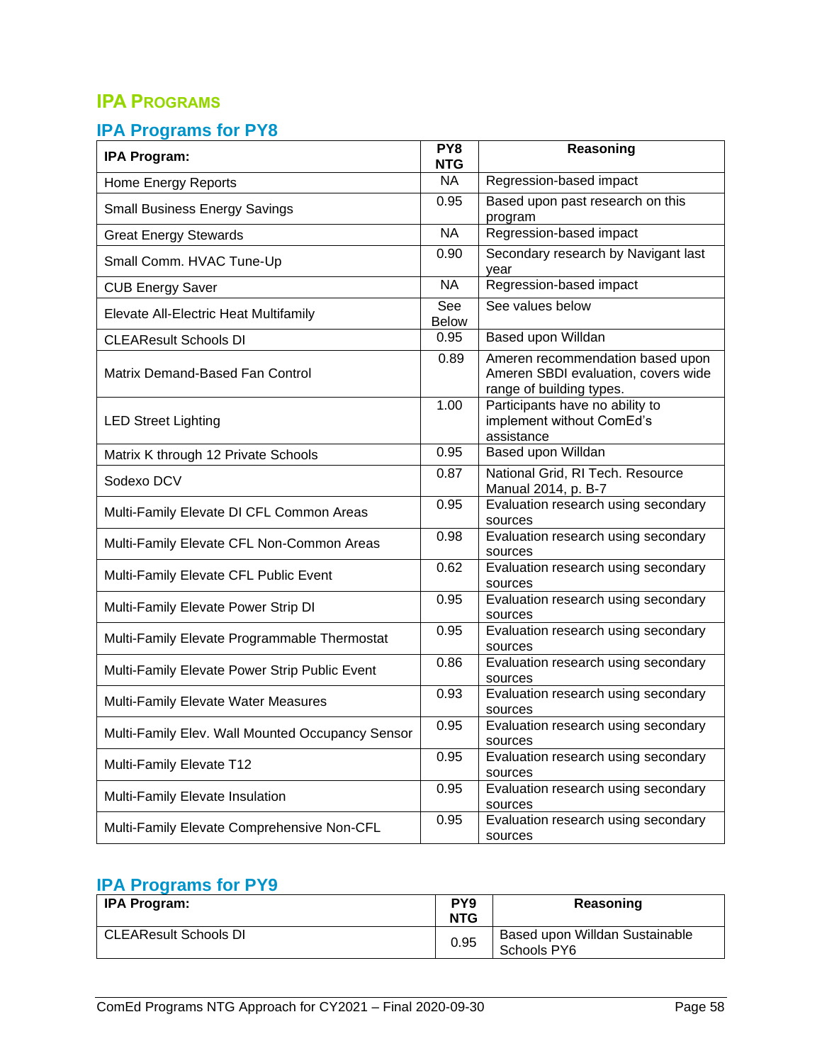### <span id="page-59-0"></span>**IPA PROGRAMS**

#### <span id="page-59-1"></span>**IPA Programs for PY8**

| <b>IPA Program:</b>                              | PY8<br><b>NTG</b>   | Reasoning                                                                                           |
|--------------------------------------------------|---------------------|-----------------------------------------------------------------------------------------------------|
| Home Energy Reports                              | <b>NA</b>           | Regression-based impact                                                                             |
| <b>Small Business Energy Savings</b>             | 0.95                | Based upon past research on this<br>program                                                         |
| <b>Great Energy Stewards</b>                     | <b>NA</b>           | Regression-based impact                                                                             |
| Small Comm. HVAC Tune-Up                         | 0.90                | Secondary research by Navigant last<br>year                                                         |
| <b>CUB Energy Saver</b>                          | <b>NA</b>           | Regression-based impact                                                                             |
| Elevate All-Electric Heat Multifamily            | See<br><b>Below</b> | See values below                                                                                    |
| <b>CLEAResult Schools DI</b>                     | 0.95                | Based upon Willdan                                                                                  |
| Matrix Demand-Based Fan Control                  | 0.89                | Ameren recommendation based upon<br>Ameren SBDI evaluation, covers wide<br>range of building types. |
| <b>LED Street Lighting</b>                       | 1.00                | Participants have no ability to<br>implement without ComEd's<br>assistance                          |
| Matrix K through 12 Private Schools              | 0.95                | Based upon Willdan                                                                                  |
| Sodexo DCV                                       | 0.87                | National Grid, RI Tech. Resource<br>Manual 2014, p. B-7                                             |
| Multi-Family Elevate DI CFL Common Areas         | 0.95                | Evaluation research using secondary<br>sources                                                      |
| Multi-Family Elevate CFL Non-Common Areas        | 0.98                | Evaluation research using secondary<br>sources                                                      |
| Multi-Family Elevate CFL Public Event            | 0.62                | Evaluation research using secondary<br>sources                                                      |
| Multi-Family Elevate Power Strip DI              | 0.95                | Evaluation research using secondary<br>sources                                                      |
| Multi-Family Elevate Programmable Thermostat     | 0.95                | Evaluation research using secondary<br>sources                                                      |
| Multi-Family Elevate Power Strip Public Event    | 0.86                | Evaluation research using secondary<br>sources                                                      |
| Multi-Family Elevate Water Measures              | 0.93                | Evaluation research using secondary<br>sources                                                      |
| Multi-Family Elev. Wall Mounted Occupancy Sensor | 0.95                | Evaluation research using secondary<br>sources                                                      |
| Multi-Family Elevate T12                         | 0.95                | Evaluation research using secondary<br>sources                                                      |
| Multi-Family Elevate Insulation                  | 0.95                | Evaluation research using secondary<br>sources                                                      |
| Multi-Family Elevate Comprehensive Non-CFL       | 0.95                | Evaluation research using secondary<br>sources                                                      |

### <span id="page-59-2"></span>**IPA Programs for PY9**

| <b>IPA Program:</b>          | PY <sub>9</sub><br><b>NTG</b> | Reasoning                                     |
|------------------------------|-------------------------------|-----------------------------------------------|
| <b>CLEAResult Schools DI</b> | 0.95                          | Based upon Willdan Sustainable<br>Schools PY6 |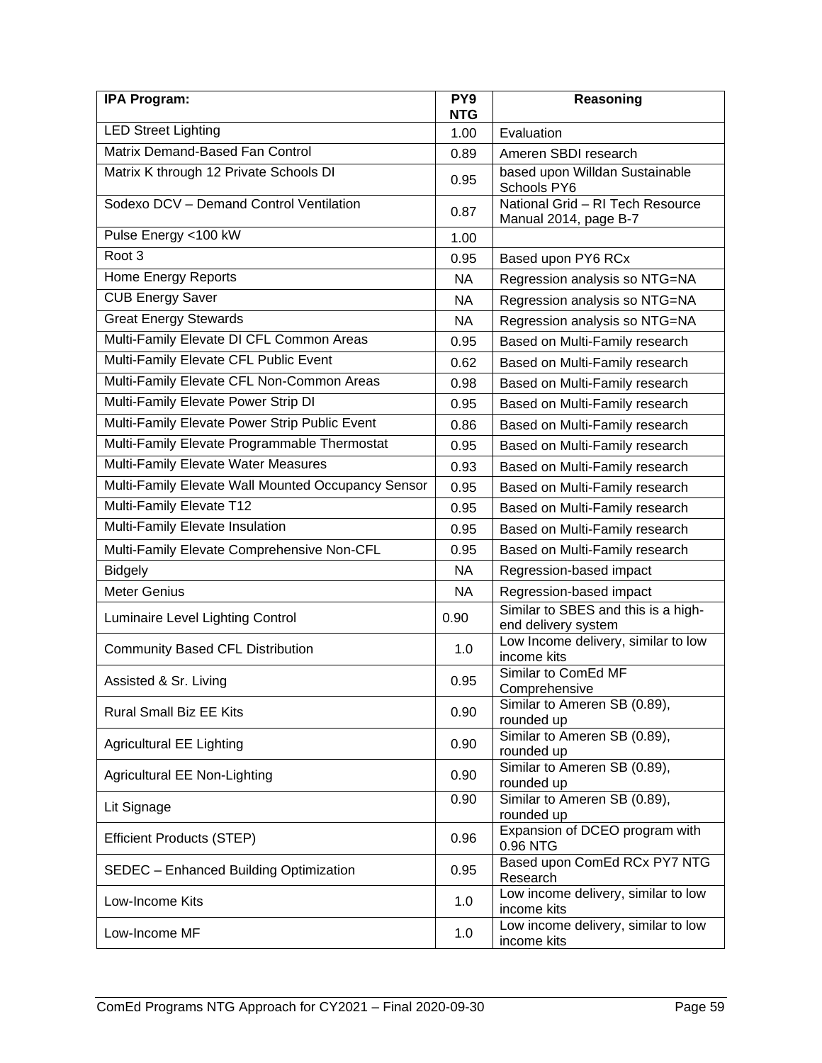| <b>IPA Program:</b>                                | PY <sub>9</sub><br><b>NTG</b> | Reasoning                                                  |
|----------------------------------------------------|-------------------------------|------------------------------------------------------------|
| <b>LED Street Lighting</b>                         | 1.00                          | Evaluation                                                 |
| Matrix Demand-Based Fan Control                    | 0.89                          | Ameren SBDI research                                       |
| Matrix K through 12 Private Schools DI             | 0.95                          | based upon Willdan Sustainable<br>Schools PY6              |
| Sodexo DCV - Demand Control Ventilation            | 0.87                          | National Grid - RI Tech Resource<br>Manual 2014, page B-7  |
| Pulse Energy <100 kW                               | 1.00                          |                                                            |
| Root <sub>3</sub>                                  | 0.95                          | Based upon PY6 RCx                                         |
| <b>Home Energy Reports</b>                         | NA                            | Regression analysis so NTG=NA                              |
| <b>CUB Energy Saver</b>                            | NA                            | Regression analysis so NTG=NA                              |
| <b>Great Energy Stewards</b>                       | <b>NA</b>                     | Regression analysis so NTG=NA                              |
| Multi-Family Elevate DI CFL Common Areas           | 0.95                          | Based on Multi-Family research                             |
| Multi-Family Elevate CFL Public Event              | 0.62                          | Based on Multi-Family research                             |
| Multi-Family Elevate CFL Non-Common Areas          | 0.98                          | Based on Multi-Family research                             |
| Multi-Family Elevate Power Strip DI                | 0.95                          | Based on Multi-Family research                             |
| Multi-Family Elevate Power Strip Public Event      | 0.86                          | Based on Multi-Family research                             |
| Multi-Family Elevate Programmable Thermostat       | 0.95                          | Based on Multi-Family research                             |
| Multi-Family Elevate Water Measures                | 0.93                          | Based on Multi-Family research                             |
| Multi-Family Elevate Wall Mounted Occupancy Sensor | 0.95                          | Based on Multi-Family research                             |
| Multi-Family Elevate T12                           | 0.95                          | Based on Multi-Family research                             |
| Multi-Family Elevate Insulation                    | 0.95                          | Based on Multi-Family research                             |
| Multi-Family Elevate Comprehensive Non-CFL         | 0.95                          | Based on Multi-Family research                             |
| <b>Bidgely</b>                                     | <b>NA</b>                     | Regression-based impact                                    |
| <b>Meter Genius</b>                                | <b>NA</b>                     | Regression-based impact                                    |
| Luminaire Level Lighting Control                   | 0.90                          | Similar to SBES and this is a high-<br>end delivery system |
| <b>Community Based CFL Distribution</b>            | 1.0                           | Low Income delivery, similar to low<br>income kits         |
| Assisted & Sr. Living                              | 0.95                          | Similar to ComEd MF<br>Comprehensive                       |
| Rural Small Biz EE Kits                            | 0.90                          | Similar to Ameren SB (0.89),<br>rounded up                 |
| <b>Agricultural EE Lighting</b>                    | 0.90                          | Similar to Ameren SB (0.89),<br>rounded up                 |
| Agricultural EE Non-Lighting                       | 0.90                          | Similar to Ameren SB (0.89),<br>rounded up                 |
| Lit Signage                                        | 0.90                          | Similar to Ameren SB (0.89),<br>rounded up                 |
| <b>Efficient Products (STEP)</b>                   | 0.96                          | Expansion of DCEO program with<br>0.96 NTG                 |
| SEDEC - Enhanced Building Optimization             | 0.95                          | Based upon ComEd RCx PY7 NTG<br>Research                   |
| Low-Income Kits                                    | 1.0                           | Low income delivery, similar to low<br>income kits         |
| Low-Income MF                                      | 1.0                           | Low income delivery, similar to low<br>income kits         |